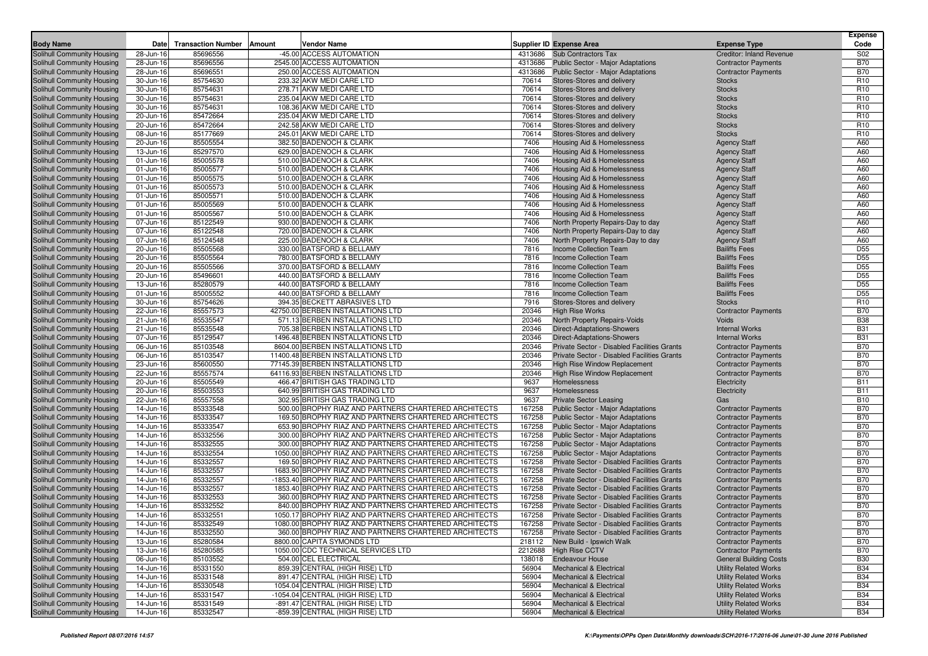|                            |           |                           |                                                                   |         |                                                    |                                 | <b>Expense</b>                     |
|----------------------------|-----------|---------------------------|-------------------------------------------------------------------|---------|----------------------------------------------------|---------------------------------|------------------------------------|
| <b>Body Name</b>           | Date      | <b>Transaction Number</b> | Amount<br>Vendor Name                                             |         | <b>Supplier ID Expense Area</b>                    | <b>Expense Type</b>             | Code                               |
| Solihull Community Housing | 28-Jun-16 | 85696556                  | -45.00 ACCESS AUTOMATION                                          |         | 4313686 Sub Contractors Tax                        | <b>Creditor: Inland Revenue</b> | S02                                |
| Solihull Community Housing | 28-Jun-16 | 85696556                  | 2545.00 ACCESS AUTOMATION                                         |         | 4313686 Public Sector - Major Adaptations          | <b>Contractor Payments</b>      | <b>B70</b>                         |
| Solihull Community Housing | 28-Jun-16 | 85696551                  | 250.00 ACCESS AUTOMATION                                          | 4313686 | Public Sector - Major Adaptations                  | <b>Contractor Payments</b>      | <b>B70</b>                         |
| Solihull Community Housing | 30-Jun-16 | 85754630                  | 233.32 AKW MEDI CARE LTD                                          | 70614   | Stores-Stores and delivery                         | <b>Stocks</b>                   | R <sub>10</sub>                    |
| Solihull Community Housing | 30-Jun-16 | 85754631                  | 278.71 AKW MEDI CARE LTD                                          | 70614   | Stores-Stores and delivery                         | <b>Stocks</b>                   | R <sub>10</sub>                    |
| Solihull Community Housing | 30-Jun-16 | 85754631                  | 235.04 AKW MEDI CARE LTD                                          | 70614   | Stores-Stores and delivery                         | <b>Stocks</b>                   | R <sub>10</sub>                    |
| Solihull Community Housing | 30-Jun-16 | 85754631                  | 108.36 AKW MEDI CARE LTD                                          | 70614   | Stores-Stores and delivery                         | <b>Stocks</b>                   | R <sub>10</sub>                    |
| Solihull Community Housing | 20-Jun-16 | 85472664                  | 235.04 AKW MEDI CARE LTD                                          | 70614   | Stores-Stores and delivery                         | <b>Stocks</b>                   | R <sub>10</sub>                    |
| Solihull Community Housing | 20-Jun-16 | 85472664                  | 242.58 AKW MEDI CARE LTD                                          | 70614   | Stores-Stores and delivery                         | <b>Stocks</b>                   | R <sub>10</sub>                    |
| Solihull Community Housing | 08-Jun-16 | 85177669                  | 245.01 AKW MEDI CARE LTD                                          | 70614   | Stores-Stores and delivery                         | <b>Stocks</b>                   | R <sub>10</sub>                    |
| Solihull Community Housing | 20-Jun-16 | 85505554                  | 382.50 BADENOCH & CLARK                                           | 7406    | Housing Aid & Homelessness                         | <b>Agency Staff</b>             | A60                                |
| Solihull Community Housing | 13-Jun-16 | 85297570                  | 629.00 BADENOCH & CLARK                                           | 7406    | Housing Aid & Homelessness                         | <b>Agency Staff</b>             | A60                                |
| Solihull Community Housing | 01-Jun-16 | 85005578                  | 510.00 BADENOCH & CLARK                                           | 7406    | Housing Aid & Homelessness                         | <b>Agency Staff</b>             | A60                                |
| Solihull Community Housing | 01-Jun-16 | 85005577                  | 510.00 BADENOCH & CLARK                                           | 7406    | Housing Aid & Homelessness                         | <b>Agency Staff</b>             | A60                                |
| Solihull Community Housing | 01-Jun-16 | 85005575                  | 510.00 BADENOCH & CLARK                                           | 7406    | Housing Aid & Homelessness                         | <b>Agency Staff</b>             | A60                                |
| Solihull Community Housing | 01-Jun-16 | 85005573                  | 510.00 BADENOCH & CLARK                                           | 7406    | Housing Aid & Homelessness                         | <b>Agency Staff</b>             | A60                                |
| Solihull Community Housing | 01-Jun-16 | 85005571                  | 510.00 BADENOCH & CLARK                                           | 7406    | Housing Aid & Homelessness                         | <b>Agency Staff</b>             | A60                                |
| Solihull Community Housing | 01-Jun-16 | 85005569                  | 510.00 BADENOCH & CLARK                                           | 7406    | Housing Aid & Homelessness                         | <b>Agency Staff</b>             | A60                                |
| Solihull Community Housing | 01-Jun-16 | 85005567                  | 510.00 BADENOCH & CLARK                                           | 7406    | Housing Aid & Homelessness                         | <b>Agency Staff</b>             | A60                                |
| Solihull Community Housing | 07-Jun-16 | 85122549                  | 930.00 BADENOCH & CLARK                                           | 7406    | North Property Repairs-Day to day                  | <b>Agency Staff</b>             | A60                                |
| Solihull Community Housing | 07-Jun-16 | 85122548                  | 720.00 BADENOCH & CLARK                                           | 7406    | North Property Repairs-Day to day                  | <b>Agency Staff</b>             | A60                                |
| Solihull Community Housing | 07-Jun-16 | 85124548                  | 225.00 BADENOCH & CLARK                                           | 7406    | North Property Repairs-Day to day                  | <b>Agency Staff</b>             | A60                                |
| Solihull Community Housing | 20-Jun-16 | 85505568                  | 330.00 BATSFORD & BELLAMY                                         | 7816    | <b>Income Collection Team</b>                      | <b>Bailiffs Fees</b>            | D <sub>55</sub>                    |
| Solihull Community Housing | 20-Jun-16 | 85505564                  | 780.00 BATSFORD & BELLAMY                                         | 7816    | Income Collection Team                             | <b>Bailiffs Fees</b>            | D <sub>55</sub>                    |
|                            |           | 85505566                  | 370.00 BATSFORD & BELLAMY                                         | 7816    | Income Collection Team                             | <b>Bailiffs Fees</b>            | D <sub>55</sub>                    |
| Solihull Community Housing | 20-Jun-16 | 85496601                  |                                                                   | 7816    |                                                    | <b>Bailiffs Fees</b>            | D <sub>55</sub>                    |
| Solihull Community Housing | 20-Jun-16 |                           | 440.00 BATSFORD & BELLAMY                                         |         | Income Collection Team                             |                                 |                                    |
| Solihull Community Housing | 13-Jun-16 | 85280579                  | 440.00 BATSFORD & BELLAMY<br>440.00 BATSFORD & BELLAMY            | 7816    | <b>Income Collection Team</b>                      | <b>Bailiffs Fees</b>            | D <sub>55</sub><br>D <sub>55</sub> |
| Solihull Community Housing | 01-Jun-16 | 85005552                  |                                                                   | 7816    | <b>Income Collection Team</b>                      | <b>Bailiffs Fees</b>            |                                    |
| Solihull Community Housing | 30-Jun-16 | 85754626                  | 394.35 BECKETT ABRASIVES LTD<br>42750.00 BERBEN INSTALLATIONS LTD | 7916    | Stores-Stores and delivery                         | <b>Stocks</b>                   | R <sub>10</sub>                    |
| Solihull Community Housing | 22-Jun-16 | 85557573                  |                                                                   | 20346   | <b>High Rise Works</b>                             | <b>Contractor Payments</b>      | <b>B70</b>                         |
| Solihull Community Housing | 21-Jun-16 | 85535547                  | 571.13 BERBEN INSTALLATIONS LTD                                   | 20346   | North Property Repairs-Voids                       | Voids                           | <b>B38</b>                         |
| Solihull Community Housing | 21-Jun-16 | 85535548                  | 705.38 BERBEN INSTALLATIONS LTD                                   | 20346   | <b>Direct-Adaptations-Showers</b>                  | <b>Internal Works</b>           | <b>B31</b>                         |
| Solihull Community Housing | 07-Jun-16 | 85129547                  | 1496.48 BERBEN INSTALLATIONS LTD                                  | 20346   | Direct-Adaptations-Showers                         | <b>Internal Works</b>           | <b>B31</b>                         |
| Solihull Community Housing | 06-Jun-16 | 85103548                  | 8604.00 BERBEN INSTALLATIONS LTD                                  | 20346   | Private Sector - Disabled Facilities Grants        | <b>Contractor Payments</b>      | <b>B70</b>                         |
| Solihull Community Housing | 06-Jun-16 | 85103547                  | 11400.48 BERBEN INSTALLATIONS LTD                                 | 20346   | Private Sector - Disabled Facilities Grants        | <b>Contractor Payments</b>      | <b>B70</b>                         |
| Solihull Community Housing | 23-Jun-16 | 85600550                  | 77145.39 BERBEN INSTALLATIONS LTD                                 | 20346   | High Rise Window Replacement                       | <b>Contractor Payments</b>      | <b>B70</b>                         |
| Solihull Community Housing | 22-Jun-16 | 85557574                  | 64116.93 BERBEN INSTALLATIONS LTD                                 | 20346   | <b>High Rise Window Replacement</b>                | <b>Contractor Payments</b>      | <b>B70</b>                         |
| Solihull Community Housing | 20-Jun-16 | 85505549                  | 466.47 BRITISH GAS TRADING LTD                                    | 9637    | Homelessness                                       | Electricity                     | <b>B11</b>                         |
| Solihull Community Housing | 20-Jun-16 | 85503553                  | 640.99 BRITISH GAS TRADING LTD                                    | 9637    | Homelessness                                       | Electricity                     | <b>B11</b>                         |
| Solihull Community Housing | 22-Jun-16 | 85557558                  | 302.95 BRITISH GAS TRADING LTD                                    | 9637    | <b>Private Sector Leasing</b>                      | Gas                             | <b>B10</b>                         |
| Solihull Community Housing | 14-Jun-16 | 85333548                  | 500.00 BROPHY RIAZ AND PARTNERS CHARTERED ARCHITECTS              | 167258  | <b>Public Sector - Major Adaptations</b>           | <b>Contractor Payments</b>      | <b>B70</b>                         |
| Solihull Community Housing | 14-Jun-16 | 85333547                  | 169.50 BROPHY RIAZ AND PARTNERS CHARTERED ARCHITECTS              | 167258  | <b>Public Sector - Major Adaptations</b>           | <b>Contractor Payments</b>      | <b>B70</b>                         |
| Solihull Community Housing | 14-Jun-16 | 85333547                  | 653.90 BROPHY RIAZ AND PARTNERS CHARTERED ARCHITECTS              | 167258  | <b>Public Sector - Major Adaptations</b>           | <b>Contractor Payments</b>      | <b>B70</b>                         |
| Solihull Community Housing | 14-Jun-16 | 85332556                  | 300.00 BROPHY RIAZ AND PARTNERS CHARTERED ARCHITECTS              | 167258  | <b>Public Sector - Major Adaptations</b>           | <b>Contractor Payments</b>      | <b>B70</b>                         |
| Solihull Community Housing | 14-Jun-16 | 85332555                  | 300.00 BROPHY RIAZ AND PARTNERS CHARTERED ARCHITECTS              | 167258  | <b>Public Sector - Major Adaptations</b>           | <b>Contractor Payments</b>      | <b>B70</b>                         |
| Solihull Community Housing | 14-Jun-16 | 85332554                  | 1050.00 BROPHY RIAZ AND PARTNERS CHARTERED ARCHITECTS             | 167258  | <b>Public Sector - Major Adaptations</b>           | <b>Contractor Payments</b>      | <b>B70</b>                         |
| Solihull Community Housing | 14-Jun-16 | 85332557                  | 169.50 BROPHY RIAZ AND PARTNERS CHARTERED ARCHITECTS              | 167258  | Private Sector - Disabled Facilities Grants        | <b>Contractor Payments</b>      | <b>B70</b>                         |
| Solihull Community Housing | 14-Jun-16 | 85332557                  | 1683.90 BROPHY RIAZ AND PARTNERS CHARTERED ARCHITECTS             | 167258  | Private Sector - Disabled Facilities Grants        | <b>Contractor Payments</b>      | <b>B70</b>                         |
| Solihull Community Housing | 14-Jun-16 | 85332557                  | -1853.40 BROPHY RIAZ AND PARTNERS CHARTERED ARCHITECTS            | 167258  | Private Sector - Disabled Facilities Grants        | <b>Contractor Payments</b>      | <b>B70</b>                         |
| Solihull Community Housing | 14-Jun-16 | 85332557                  | 1853.40 BROPHY RIAZ AND PARTNERS CHARTERED ARCHITECTS             | 167258  | Private Sector - Disabled Facilities Grants        | <b>Contractor Payments</b>      | <b>B70</b>                         |
| Solihull Community Housing | 14-Jun-16 | 85332553                  | 360.00 BROPHY RIAZ AND PARTNERS CHARTERED ARCHITECTS              | 167258  | Private Sector - Disabled Facilities Grants        | <b>Contractor Payments</b>      | <b>B70</b>                         |
| Solihull Community Housing | 14-Jun-16 | 85332552                  | 840.00 BROPHY RIAZ AND PARTNERS CHARTERED ARCHITECTS              | 167258  | Private Sector - Disabled Facilities Grants        | <b>Contractor Payments</b>      | <b>B70</b>                         |
| Solihull Community Housing | 14-Jun-16 | 85332551                  | 1050.17 BROPHY RIAZ AND PARTNERS CHARTERED ARCHITECTS             | 167258  | Private Sector - Disabled Facilities Grants        | <b>Contractor Payments</b>      | <b>B70</b>                         |
| Solihull Community Housing | 14-Jun-16 | 85332549                  | 1080.00 BROPHY RIAZ AND PARTNERS CHARTERED ARCHITECTS             |         | 167258 Private Sector - Disabled Facilities Grants | <b>Contractor Payments</b>      | <b>B70</b>                         |
| Solihull Community Housing | 14-Jun-16 | 85332550                  | 360.00 BROPHY RIAZ AND PARTNERS CHARTERED ARCHITECTS              |         | 167258 Private Sector - Disabled Facilities Grants | <b>Contractor Payments</b>      | <b>B70</b>                         |
| Solihull Community Housing | 13-Jun-16 | 85280584                  | 8800.00 CAPITA SYMONDS LTD                                        |         | 218112 New Build - Ipswich Walk                    | <b>Contractor Payments</b>      | <b>B70</b>                         |
| Solihull Community Housing | 13-Jun-16 | 85280585                  | 1050.00 CDC TECHNICAL SERVICES LTD                                |         | 2212688 High Rise CCTV                             | <b>Contractor Payments</b>      | <b>B70</b>                         |
| Solihull Community Housing | 06-Jun-16 | 85103552                  | 504.00 CEL ELECTRICAL                                             | 138018  | <b>Endeavour House</b>                             | <b>General Building Costs</b>   | <b>B30</b>                         |
| Solihull Community Housing | 14-Jun-16 | 85331550                  | 859.39 CENTRAL (HIGH RISE) LTD                                    | 56904   | <b>Mechanical &amp; Electrical</b>                 | <b>Utility Related Works</b>    | <b>B34</b>                         |
| Solihull Community Housing | 14-Jun-16 | 85331548                  | 891.47 CENTRAL (HIGH RISE) LTD                                    | 56904   | <b>Mechanical &amp; Electrical</b>                 | <b>Utility Related Works</b>    | <b>B34</b>                         |
| Solihull Community Housing | 14-Jun-16 | 85330548                  | 1054.04 CENTRAL (HIGH RISE) LTD                                   | 56904   | <b>Mechanical &amp; Electrical</b>                 | <b>Utility Related Works</b>    | <b>B34</b>                         |
| Solihull Community Housing | 14-Jun-16 | 85331547                  | -1054.04 CENTRAL (HIGH RISE) LTD                                  | 56904   | <b>Mechanical &amp; Electrical</b>                 | <b>Utility Related Works</b>    | <b>B34</b>                         |
| Solihull Community Housing | 14-Jun-16 | 85331549                  | -891.47 CENTRAL (HIGH RISE) LTD                                   | 56904   | <b>Mechanical &amp; Electrical</b>                 | <b>Utility Related Works</b>    | <b>B34</b>                         |
| Solihull Community Housing | 14-Jun-16 | 85332547                  | -859.39 CENTRAL (HIGH RISE) LTD                                   | 56904   | <b>Mechanical &amp; Electrical</b>                 | <b>Utility Related Works</b>    | <b>B34</b>                         |
|                            |           |                           |                                                                   |         |                                                    |                                 |                                    |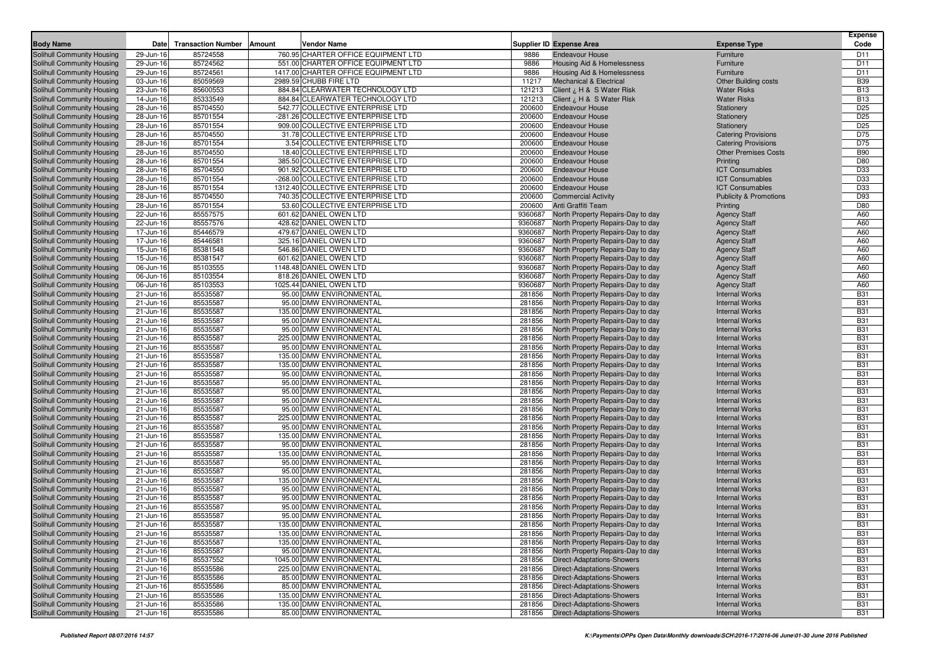| <b>Body Name</b>                                         | Date                   | <b>Transaction Number</b> | <b>Amount</b><br>Vendor Name                                        |                  | <b>Supplier ID Expense Area</b>                                               | <b>Expense Type</b>                            | <b>Expense</b><br>Code   |
|----------------------------------------------------------|------------------------|---------------------------|---------------------------------------------------------------------|------------------|-------------------------------------------------------------------------------|------------------------------------------------|--------------------------|
| Solihull Community Housing                               | 29-Jun-16              | 85724558                  | 760.95 CHARTER OFFICE EQUIPMENT LTD                                 | 9886             | <b>Endeavour House</b>                                                        | Furniture                                      | D11                      |
| Solihull Community Housing                               | 29-Jun-16              | 85724562                  | 551.00 CHARTER OFFICE EQUIPMENT LTD                                 | 9886             | <b>Housing Aid &amp; Homelessness</b>                                         | Furniture                                      | D11                      |
| Solihull Community Housing                               | 29-Jun-16              | 85724561                  | 1417.00 CHARTER OFFICE EQUIPMENT LTD                                | 9886             | Housing Aid & Homelessness                                                    | Furniture                                      | D11                      |
| Solihull Community Housing                               | 03-Jun-16              | 85059569                  | 2989.59 CHUBB FIRE LTD                                              | 11217            | <b>Mechanical &amp; Electrical</b>                                            | <b>Other Building costs</b>                    | <b>B39</b>               |
| Solihull Community Housing                               | 23-Jun-16              | 85600553                  | 884.84 CLEARWATER TECHNOLOGY LTD                                    | 121213           | Client ¿ H & S Water Risk                                                     | <b>Water Risks</b>                             | <b>B13</b>               |
| Solihull Community Housing                               | 14-Jun-16              | 85333549                  | 884.84 CLEARWATER TECHNOLOGY LTD                                    | 121213           | Client ¿ H & S Water Risk                                                     | <b>Water Risks</b>                             | <b>B13</b>               |
| Solihull Community Housing                               | 28-Jun-16              | 85704550                  | 542.77 COLLECTIVE ENTERPRISE LTD                                    | 200600           | <b>Endeavour House</b>                                                        | Stationery                                     | D <sub>25</sub>          |
| Solihull Community Housing                               | 28-Jun-16              | 85701554                  | -281.26 COLLECTIVE ENTERPRISE LTD                                   | 200600           | <b>Endeavour House</b>                                                        | Stationery                                     | D <sub>25</sub>          |
| Solihull Community Housing                               | 28-Jun-16              | 85701554                  | 909.00 COLLECTIVE ENTERPRISE LTD                                    | 200600           | <b>Endeavour House</b>                                                        | Stationery                                     | D <sub>25</sub>          |
| Solihull Community Housing                               | 28-Jun-16              | 85704550                  | 31.78 COLLECTIVE ENTERPRISE LTD                                     | 200600           | <b>Endeavour House</b>                                                        | <b>Catering Provisions</b>                     | D75                      |
| Solihull Community Housing                               | 28-Jun-16              | 85701554                  | 3.54 COLLECTIVE ENTERPRISE LTD                                      | 200600           | <b>Endeavour House</b>                                                        | <b>Catering Provisions</b>                     | D75                      |
| Solihull Community Housing                               | 28-Jun-16              | 85704550                  | 18.40 COLLECTIVE ENTERPRISE LTD                                     | 200600           | <b>Endeavour House</b>                                                        | <b>Other Premises Costs</b>                    | <b>B90</b>               |
| Solihull Community Housing                               | 28-Jun-16              | 85701554                  | 385.50 COLLECTIVE ENTERPRISE LTD                                    | 200600           | <b>Endeavour House</b>                                                        | Printing                                       | D80                      |
| Solihull Community Housing                               | 28-Jun-16              | 85704550                  | 901.92 COLLECTIVE ENTERPRISE LTD                                    | 200600           | <b>Endeavour House</b>                                                        | <b>ICT Consumables</b>                         | D33                      |
| Solihull Community Housing                               | 28-Jun-16              | 85701554                  | -268.00 COLLECTIVE ENTERPRISE LTD                                   | 200600           | <b>Endeavour House</b>                                                        | <b>ICT Consumables</b>                         | D33                      |
| Solihull Community Housing                               | 28-Jun-16              | 85701554                  | 1312.40 COLLECTIVE ENTERPRISE LTD                                   | 200600           | <b>Endeavour House</b>                                                        | <b>ICT Consumables</b>                         | D33                      |
| Solihull Community Housing                               | 28-Jun-16              | 85704550<br>85701554      | 740.35 COLLECTIVE ENTERPRISE LTD<br>53.60 COLLECTIVE ENTERPRISE LTD | 200600<br>200600 | <b>Commercial Activity</b><br>Anti Graffiti Team                              | <b>Publicity &amp; Promotions</b>              | D93<br>D80               |
| Solihull Community Housing<br>Solihull Community Housing | 28-Jun-16<br>22-Jun-16 | 85557575                  | 601.62 DANIEL OWEN LTD                                              | 9360687          | North Property Repairs-Day to day                                             | Printing                                       | A60                      |
| Solihull Community Housing                               | 22-Jun-16              | 85557576                  | 428.62 DANIEL OWEN LTD                                              | 9360687          | North Property Repairs-Day to day                                             | <b>Agency Staff</b><br><b>Agency Staff</b>     | A60                      |
| Solihull Community Housing                               | 17-Jun-16              | 85446579                  | 479.67 DANIEL OWEN LTD                                              | 9360687          | North Property Repairs-Day to day                                             | <b>Agency Staff</b>                            | A60                      |
| Solihull Community Housing                               | 17-Jun-16              | 85446581                  | 325.16 DANIEL OWEN LTD                                              | 9360687          | North Property Repairs-Day to day                                             | <b>Agency Staff</b>                            | A60                      |
| Solihull Community Housing                               | 15-Jun-16              | 85381548                  | 546.86 DANIEL OWEN LTD                                              | 9360687          | North Property Repairs-Day to day                                             | <b>Agency Staff</b>                            | A60                      |
| Solihull Community Housing                               | 15-Jun-16              | 85381547                  | 601.62 DANIEL OWEN LTD                                              | 9360687          | North Property Repairs-Day to day                                             | <b>Agency Staff</b>                            | A60                      |
| Solihull Community Housing                               | 06-Jun-16              | 85103555                  | 1148.48 DANIEL OWEN LTD                                             | 9360687          | North Property Repairs-Day to day                                             | <b>Agency Staff</b>                            | A60                      |
| Solihull Community Housing                               | 06-Jun-16              | 85103554                  | 818.26 DANIEL OWEN LTD                                              | 9360687          | North Property Repairs-Day to day                                             | <b>Agency Staff</b>                            | A60                      |
| Solihull Community Housing                               | 06-Jun-16              | 85103553                  | 1025.44 DANIEL OWEN LTD                                             | 9360687          | North Property Repairs-Day to day                                             | <b>Agency Staff</b>                            | A60                      |
| Solihull Community Housing                               | 21-Jun-16              | 85535587                  | 95.00 DMW ENVIRONMENTAL                                             | 281856           | North Property Repairs-Day to day                                             | <b>Internal Works</b>                          | <b>B31</b>               |
| Solihull Community Housing                               | 21-Jun-16              | 85535587                  | 95.00 DMW ENVIRONMENTAL                                             | 281856           | North Property Repairs-Day to day                                             | <b>Internal Works</b>                          | <b>B31</b>               |
| Solihull Community Housing                               | 21-Jun-16              | 85535587                  | 135.00 DMW ENVIRONMENTAL                                            | 281856           | North Property Repairs-Day to day                                             | <b>Internal Works</b>                          | <b>B31</b>               |
| Solihull Community Housing                               | 21-Jun-16              | 85535587                  | 95.00 DMW ENVIRONMENTAL                                             | 281856           | North Property Repairs-Day to day                                             | <b>Internal Works</b>                          | <b>B31</b>               |
| Solihull Community Housing                               | 21-Jun-16              | 85535587                  | 95.00 DMW ENVIRONMENTAL                                             | 281856           | North Property Repairs-Day to day                                             | <b>Internal Works</b>                          | <b>B31</b>               |
| Solihull Community Housing                               | 21-Jun-16              | 85535587                  | 225.00 DMW ENVIRONMENTAL                                            | 281856           | North Property Repairs-Day to day                                             | <b>Internal Works</b>                          | <b>B31</b>               |
| Solihull Community Housing                               | 21-Jun-16              | 85535587                  | 95.00 DMW ENVIRONMENTAL                                             | 281856           | North Property Repairs-Day to day                                             | <b>Internal Works</b>                          | <b>B31</b>               |
| Solihull Community Housing                               | 21-Jun-16              | 85535587                  | 135.00 DMW ENVIRONMENTAL                                            | 281856           | North Property Repairs-Day to day                                             | <b>Internal Works</b>                          | <b>B31</b>               |
| Solihull Community Housing                               | 21-Jun-16              | 85535587<br>85535587      | 135.00 DMW ENVIRONMENTAL<br>95.00 DMW ENVIRONMENTAL                 | 281856<br>281856 | North Property Repairs-Day to day                                             | <b>Internal Works</b><br><b>Internal Works</b> | <b>B31</b><br><b>B31</b> |
| Solihull Community Housing<br>Solihull Community Housing | 21-Jun-16<br>21-Jun-16 | 85535587                  | 95.00 DMW ENVIRONMENTAL                                             | 281856           | North Property Repairs-Day to day<br>North Property Repairs-Day to day        | <b>Internal Works</b>                          | <b>B31</b>               |
| Solihull Community Housing                               | 21-Jun-16              | 85535587                  | 95.00 DMW ENVIRONMENTAL                                             | 281856           | North Property Repairs-Day to day                                             | <b>Internal Works</b>                          | <b>B31</b>               |
| Solihull Community Housing                               | 21-Jun-16              | 85535587                  | 95.00 DMW ENVIRONMENTAL                                             | 281856           | North Property Repairs-Day to day                                             | <b>Internal Works</b>                          | <b>B31</b>               |
| Solihull Community Housing                               | 21-Jun-16              | 85535587                  | 95.00 DMW ENVIRONMENTAL                                             | 281856           | North Property Repairs-Day to day                                             | <b>Internal Works</b>                          | <b>B31</b>               |
| Solihull Community Housing                               | 21-Jun-16              | 85535587                  | 225.00 DMW ENVIRONMENTAL                                            | 281856           | North Property Repairs-Day to day                                             | <b>Internal Works</b>                          | <b>B31</b>               |
| Solihull Community Housing                               | 21-Jun-16              | 85535587                  | 95.00 DMW ENVIRONMENTAL                                             | 281856           | North Property Repairs-Day to day                                             | <b>Internal Works</b>                          | <b>B31</b>               |
| Solihull Community Housing                               | 21-Jun-16              | 85535587                  | 135.00 DMW ENVIRONMENTAL                                            | 281856           | North Property Repairs-Day to day                                             | <b>Internal Works</b>                          | <b>B31</b>               |
| Solihull Community Housing                               | 21-Jun-16              | 85535587                  | 95.00 DMW ENVIRONMENTAL                                             | 281856           | North Property Repairs-Day to day                                             | <b>Internal Works</b>                          | <b>B31</b>               |
| Solihull Community Housing                               | 21-Jun-16              | 85535587                  | 135.00 DMW ENVIRONMENTAL                                            | 281856           | North Property Repairs-Day to day                                             | <b>Internal Works</b>                          | <b>B31</b>               |
| Solihull Community Housing                               | 21-Jun-16              | 85535587                  | 95.00 DMW ENVIRONMENTAL                                             | 281856           | North Property Repairs-Day to day                                             | <b>Internal Works</b>                          | <b>B31</b>               |
| Solihull Community Housing                               | 21-Jun-16              | 85535587                  | 95.00 DMW ENVIRONMENTAL                                             | 281856           | North Property Repairs-Day to day                                             | <b>Internal Works</b>                          | <b>B31</b>               |
| Solihull Community Housing                               | 21-Jun-16              | 85535587                  | 135.00 DMW ENVIRONMENTAL                                            | 281856           | North Property Repairs-Day to day                                             | <b>Internal Works</b>                          | <b>B31</b>               |
| Solihull Community Housing                               | 21-Jun-16              | 85535587                  | 95.00 DMW ENVIRONMENTAL                                             | 281856           | North Property Repairs-Day to day                                             | <b>Internal Works</b>                          | <b>B31</b>               |
| Solihull Community Housing                               | 21-Jun-16              | 85535587                  | 95.00 DMW ENVIRONMENTAL                                             | 281856           | North Property Repairs-Day to day                                             | <b>Internal Works</b>                          | <b>B31</b>               |
| Solihull Community Housing                               | 21-Jun-16              | 85535587                  | 95.00 DMW ENVIRONMENTAL<br>95.00 DMW ENVIRONMENTAL                  | 281856           | North Property Repairs-Day to day                                             | <b>Internal Works</b>                          | <b>B31</b>               |
| Solihull Community Housing<br>Solihull Community Housing | 21-Jun-16<br>21-Jun-16 | 85535587<br>85535587      | 135.00 DMW ENVIRONMENTAL                                            | 281856           | North Property Repairs-Day to day<br>281856 North Property Repairs-Day to day | <b>Internal Works</b><br><b>Internal Works</b> | <b>B31</b><br><b>B31</b> |
| Solihull Community Housing                               | 21-Jun-16              | 85535587                  | 135.00 DMW ENVIRONMENTAL                                            |                  |                                                                               | <b>Internal Works</b>                          | <b>B31</b>               |
| Solihull Community Housing                               | 21-Jun-16              | 85535587                  | 135.00 DMW ENVIRONMENTAL                                            | 281856           | 281856 North Property Repairs-Day to day<br>North Property Repairs-Day to day | <b>Internal Works</b>                          | <b>B31</b>               |
| Solihull Community Housing                               | 21-Jun-16              | 85535587                  | 95.00 DMW ENVIRONMENTAL                                             | 281856           | North Property Repairs-Day to day                                             | <b>Internal Works</b>                          | <b>B31</b>               |
| Solihull Community Housing                               | 21-Jun-16              | 85537552                  | 1045.00 DMW ENVIRONMENTAL                                           | 281856           | <b>Direct-Adaptations-Showers</b>                                             | <b>Internal Works</b>                          | <b>B31</b>               |
| Solihull Community Housing                               | 21-Jun-16              | 85535586                  | 225.00 DMW ENVIRONMENTAL                                            | 281856           | <b>Direct-Adaptations-Showers</b>                                             | <b>Internal Works</b>                          | <b>B31</b>               |
| Solihull Community Housing                               | 21-Jun-16              | 85535586                  | 85.00 DMW ENVIRONMENTAL                                             | 281856           | <b>Direct-Adaptations-Showers</b>                                             | <b>Internal Works</b>                          | <b>B31</b>               |
| Solihull Community Housing                               | 21-Jun-16              | 85535586                  | 85.00 DMW ENVIRONMENTAL                                             | 281856           | <b>Direct-Adaptations-Showers</b>                                             | <b>Internal Works</b>                          | <b>B31</b>               |
| Solihull Community Housing                               | 21-Jun-16              | 85535586                  | 135.00 DMW ENVIRONMENTAL                                            | 281856           | Direct-Adaptations-Showers                                                    | <b>Internal Works</b>                          | <b>B31</b>               |
| Solihull Community Housing                               | 21-Jun-16              | 85535586                  | 135.00 DMW ENVIRONMENTAL                                            | 281856           | <b>Direct-Adaptations-Showers</b>                                             | <b>Internal Works</b>                          | <b>B31</b>               |
| Solihull Community Housing                               | 21-Jun-16              | 85535586                  | 85.00 DMW ENVIRONMENTAL                                             |                  | 281856 Direct-Adaptations-Showers                                             | <b>Internal Works</b>                          | <b>B31</b>               |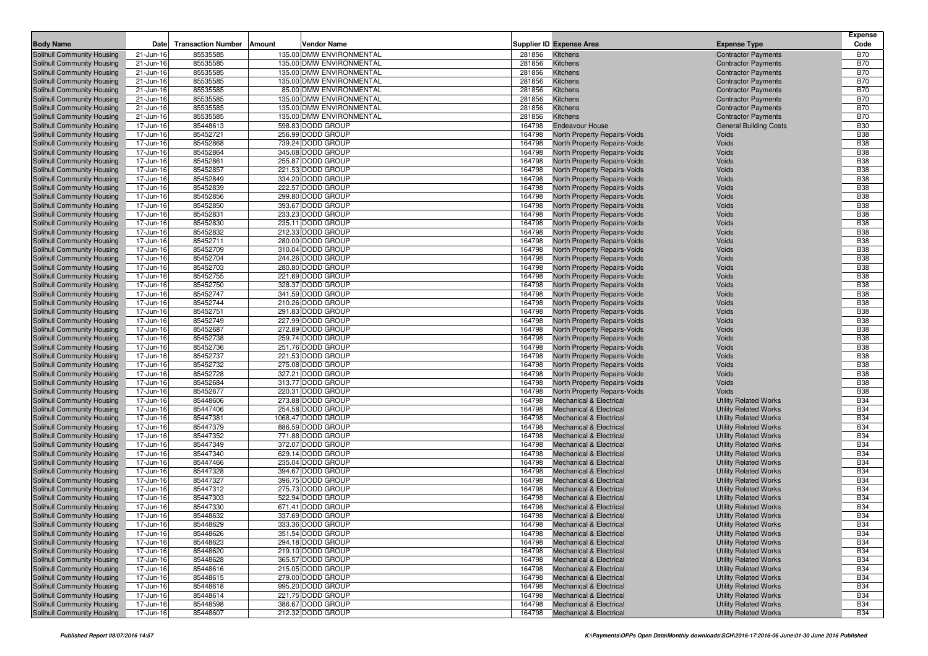| <b>Body Name</b>                                         | Date                   | <b>Transaction Number</b> | <b>Vendor Name</b><br>Amount           |                  | Supplier ID Expense Area                                                 | <b>Expense Type</b>                                          | <b>Expense</b><br>Code   |
|----------------------------------------------------------|------------------------|---------------------------|----------------------------------------|------------------|--------------------------------------------------------------------------|--------------------------------------------------------------|--------------------------|
| Solihull Community Housing                               | 21-Jun-16              | 85535585                  | 135.00 DMW ENVIRONMENTAL               | 281856           | Kitchens                                                                 | <b>Contractor Payments</b>                                   | <b>B70</b>               |
| Solihull Community Housing                               | 21-Jun-16              | 85535585                  | 135.00 DMW ENVIRONMENTAL               | 281856           | Kitchens                                                                 | <b>Contractor Payments</b>                                   | <b>B70</b>               |
| Solihull Community Housing                               | 21-Jun-16              | 85535585                  | 135.00 DMW ENVIRONMENTAL               | 281856           | Kitchens                                                                 | <b>Contractor Payments</b>                                   | <b>B70</b>               |
| Solihull Community Housing                               | 21-Jun-16              | 85535585                  | 135.00 DMW ENVIRONMENTAL               | 281856           | Kitchens                                                                 | <b>Contractor Payments</b>                                   | <b>B70</b>               |
| Solihull Community Housing                               | 21-Jun-16              | 85535585                  | 85.00 DMW ENVIRONMENTAL                | 281856           | Kitchens                                                                 | <b>Contractor Payments</b>                                   | <b>B70</b>               |
| Solihull Community Housing                               | 21-Jun-16              | 85535585                  | 135.00 DMW ENVIRONMENTAL               | 281856           | Kitchens                                                                 | <b>Contractor Payments</b>                                   | <b>B70</b>               |
| Solihull Community Housing                               | 21-Jun-16              | 85535585                  | 135.00 DMW ENVIRONMENTAL               | 281856           | Kitchens                                                                 | <b>Contractor Payments</b>                                   | <b>B70</b>               |
| Solihull Community Housing                               | 21-Jun-16              | 85535585                  | 135.00 DMW ENVIRONMENTAL               | 281856           | Kitchens                                                                 | <b>Contractor Payments</b>                                   | <b>B70</b>               |
| Solihull Community Housing                               | 17-Jun-16              | 85448613                  | 598.83 DODD GROUP                      | 164798           | <b>Endeavour House</b>                                                   | <b>General Building Costs</b>                                | <b>B30</b>               |
| Solihull Community Housing                               | 17-Jun-16              | 85452721                  | 256.99 DODD GROUP                      | 164798           | North Property Repairs-Voids                                             | Voids                                                        | <b>B38</b>               |
| Solihull Community Housing                               | 17-Jun-16              | 85452868                  | 739.24 DODD GROUP                      | 164798           | North Property Repairs-Voids                                             | Voids                                                        | <b>B38</b>               |
| Solihull Community Housing                               | 17-Jun-16              | 85452864                  | 345.08 DODD GROUP                      | 164798           | <b>North Property Repairs-Voids</b>                                      | Voids                                                        | <b>B38</b>               |
| Solihull Community Housing                               | 17-Jun-16              | 85452861                  | 255.87 DODD GROUP                      | 164798           | North Property Repairs-Voids                                             | Voids                                                        | <b>B38</b>               |
| Solihull Community Housing                               | 17-Jun-16              | 85452857                  | 221.53 DODD GROUP                      | 164798           | North Property Repairs-Voids                                             | Voids                                                        | <b>B38</b>               |
| Solihull Community Housing                               | 17-Jun-16              | 85452849                  | 334.20 DODD GROUP                      | 164798           | <b>North Property Repairs-Voids</b>                                      | Voids                                                        | <b>B38</b>               |
| Solihull Community Housing                               | 17-Jun-16              | 85452839                  | 222.57 DODD GROUP                      | 164798           | North Property Repairs-Voids                                             | Voids                                                        | <b>B38</b>               |
| Solihull Community Housing                               | 17-Jun-16              | 85452856                  | 299.80 DODD GROUP                      | 164798           | North Property Repairs-Voids                                             | Voids                                                        | <b>B38</b><br><b>B38</b> |
| Solihull Community Housing                               | 17-Jun-16              | 85452850<br>85452831      | 393.67 DODD GROUP<br>233.23 DODD GROUP | 164798<br>164798 | North Property Repairs-Voids                                             | Voids<br>Voids                                               | <b>B38</b>               |
| Solihull Community Housing<br>Solihull Community Housing | 17-Jun-16<br>17-Jun-16 | 85452830                  | 235.11 DODD GROUP                      | 164798           | North Property Repairs-Voids<br>North Property Repairs-Voids             | Voids                                                        | <b>B38</b>               |
| Solihull Community Housing                               | 17-Jun-16              | 85452832                  | 212.33 DODD GROUP                      | 164798           | North Property Repairs-Voids                                             | Voids                                                        | <b>B38</b>               |
| Solihull Community Housing                               | 17-Jun-16              | 85452711                  | 280.00 DODD GROUP                      | 164798           | North Property Repairs-Voids                                             | Voids                                                        | <b>B38</b>               |
| Solihull Community Housing                               | 17-Jun-16              | 85452709                  | 310.04 DODD GROUP                      | 164798           | North Property Repairs-Voids                                             | Voids                                                        | <b>B38</b>               |
| Solihull Community Housing                               | 17-Jun-16              | 85452704                  | 244.26 DODD GROUP                      | 164798           | North Property Repairs-Voids                                             | Voids                                                        | <b>B38</b>               |
| Solihull Community Housing                               | 17-Jun-16              | 85452703                  | 280.80 DODD GROUP                      | 164798           | North Property Repairs-Voids                                             | Voids                                                        | <b>B38</b>               |
| Solihull Community Housing                               | 17-Jun-16              | 85452755                  | 221.69 DODD GROUP                      | 164798           | <b>North Property Repairs-Voids</b>                                      | Voids                                                        | <b>B38</b>               |
| Solihull Community Housing                               | 17-Jun-16              | 85452750                  | 328.37 DODD GROUP                      | 164798           | North Property Repairs-Voids                                             | Voids                                                        | <b>B38</b>               |
| Solihull Community Housing                               | 17-Jun-16              | 85452747                  | 341.59 DODD GROUP                      | 164798           | North Property Repairs-Voids                                             | Voids                                                        | <b>B38</b>               |
| Solihull Community Housing                               | 17-Jun-16              | 85452744                  | 210.26 DODD GROUP                      | 164798           | North Property Repairs-Voids                                             | Voids                                                        | <b>B38</b>               |
| Solihull Community Housing                               | 17-Jun-16              | 85452751                  | 291.83 DODD GROUP                      | 164798           | North Property Repairs-Voids                                             | Voids                                                        | <b>B38</b>               |
| Solihull Community Housing                               | 17-Jun-16              | 85452749                  | 227.99 DODD GROUP                      | 164798           | North Property Repairs-Voids                                             | Voids                                                        | <b>B38</b>               |
| Solihull Community Housing                               | 17-Jun-16              | 85452687                  | 272.89 DODD GROUP                      | 164798           | North Property Repairs-Voids                                             | Voids                                                        | <b>B38</b>               |
| Solihull Community Housing                               | 17-Jun-16              | 85452738                  | 259.74 DODD GROUP                      | 164798           | North Property Repairs-Voids                                             | Voids                                                        | <b>B38</b>               |
| Solihull Community Housing                               | 17-Jun-16              | 85452736                  | 251.76 DODD GROUP                      | 164798           | North Property Repairs-Voids                                             | Voids                                                        | <b>B38</b>               |
| Solihull Community Housing                               | 17-Jun-16              | 85452737                  | 221.53 DODD GROUP                      | 164798           | North Property Repairs-Voids                                             | Voids                                                        | <b>B38</b>               |
| Solihull Community Housing                               | 17-Jun-16              | 85452732                  | 275.08 DODD GROUP                      | 164798           | North Property Repairs-Voids                                             | Voids                                                        | <b>B38</b>               |
| Solihull Community Housing                               | 17-Jun-16              | 85452728                  | 327.21 DODD GROUP                      | 164798           | North Property Repairs-Voids                                             | Voids                                                        | <b>B38</b>               |
| Solihull Community Housing                               | 17-Jun-16              | 85452684                  | 313.77 DODD GROUP                      | 164798           | North Property Repairs-Voids                                             | Voids                                                        | <b>B38</b>               |
| Solihull Community Housing                               | 17-Jun-16              | 85452677                  | 220.31 DODD GROUP                      | 164798           | North Property Repairs-Voids                                             | Voids                                                        | <b>B38</b><br><b>B34</b> |
| Solihull Community Housing<br>Solihull Community Housing | 17-Jun-16<br>17-Jun-16 | 85448606<br>85447406      | 273.88 DODD GROUP<br>254.58 DODD GROUP | 164798<br>164798 | <b>Mechanical &amp; Electrical</b><br><b>Mechanical &amp; Electrical</b> | <b>Utility Related Works</b><br><b>Utility Related Works</b> | <b>B34</b>               |
| Solihull Community Housing                               | 17-Jun-16              | 85447381                  | 1068.47 DODD GROUP                     | 164798           | <b>Mechanical &amp; Electrical</b>                                       | <b>Utility Related Works</b>                                 | <b>B34</b>               |
| Solihull Community Housing                               | 17-Jun-16              | 85447379                  | 886.59 DODD GROUP                      | 164798           | <b>Mechanical &amp; Electrical</b>                                       | <b>Utility Related Works</b>                                 | <b>B34</b>               |
| Solihull Community Housing                               | 17-Jun-16              | 85447352                  | 771.88 DODD GROUP                      | 164798           | <b>Mechanical &amp; Electrical</b>                                       | <b>Utility Related Works</b>                                 | <b>B34</b>               |
| Solihull Community Housing                               | 17-Jun-16              | 85447349                  | 372.07 DODD GROUP                      | 164798           | <b>Mechanical &amp; Electrical</b>                                       | <b>Utility Related Works</b>                                 | <b>B34</b>               |
| Solihull Community Housing                               | 17-Jun-16              | 85447340                  | 629.14 DODD GROUP                      | 164798           | <b>Mechanical &amp; Electrical</b>                                       | <b>Utility Related Works</b>                                 | <b>B34</b>               |
| Solihull Community Housing                               | 17-Jun-16              | 85447466                  | 235.04 DODD GROUP                      | 164798           | <b>Mechanical &amp; Electrical</b>                                       | <b>Utility Related Works</b>                                 | <b>B34</b>               |
| Solihull Community Housing                               | 17-Jun-16              | 85447328                  | 394.67 DODD GROUP                      | 164798           | <b>Mechanical &amp; Electrical</b>                                       | <b>Utility Related Works</b>                                 | <b>B34</b>               |
| Solihull Community Housing                               | 17-Jun-16              | 85447327                  | 396.75 DODD GROUP                      | 164798           | <b>Mechanical &amp; Electrical</b>                                       | <b>Utility Related Works</b>                                 | <b>B34</b>               |
| Solihull Community Housing                               | 17-Jun-16              | 85447312                  | 275.73 DODD GROUP                      | 164798           | <b>Mechanical &amp; Electrical</b>                                       | <b>Utility Related Works</b>                                 | <b>B34</b>               |
| Solihull Community Housing                               | 17-Jun-16              | 85447303                  | 522.94 DODD GROUP                      | 164798           | <b>Mechanical &amp; Electrical</b>                                       | <b>Utility Related Works</b>                                 | <b>B34</b>               |
| Solihull Community Housing                               | 17-Jun-16              | 85447330                  | 671.41 DODD GROUP                      | 164798           | <b>Mechanical &amp; Electrical</b>                                       | <b>Utility Related Works</b>                                 | <b>B34</b>               |
| Solihull Community Housing                               | 17-Jun-16              | 85448632                  | 337.69 DODD GROUP                      | 164798           | <b>Mechanical &amp; Electrical</b>                                       | <b>Utility Related Works</b>                                 | <b>B34</b>               |
| Solihull Community Housing                               | 17-Jun-16              | 85448629                  | 333.36 DODD GROUP                      |                  | 164798 Mechanical & Electrical                                           | <b>Utility Related Works</b>                                 | <b>B34</b>               |
| Solihull Community Housing                               | 17-Jun-16              | 85448626                  | 351.54 DODD GROUP                      | 164798           | <b>Mechanical &amp; Electrical</b>                                       | <b>Utility Related Works</b>                                 | <b>B34</b>               |
| Solihull Community Housing                               | 17-Jun-16              | 85448623                  | 294.18 DODD GROUP                      | 164798           | <b>Mechanical &amp; Electrical</b>                                       | <b>Utility Related Works</b>                                 | <b>B34</b>               |
| Solihull Community Housing                               | 17-Jun-16              | 85448620                  | 219.10 DODD GROUP                      | 164798           | <b>Mechanical &amp; Electrical</b>                                       | <b>Utility Related Works</b>                                 | <b>B34</b>               |
| Solihull Community Housing                               | 17-Jun-16              | 85448628                  | 365.57 DODD GROUP                      | 164798           | <b>Mechanical &amp; Electrical</b>                                       | <b>Utility Related Works</b>                                 | <b>B34</b>               |
| Solihull Community Housing                               | 17-Jun-16              | 85448616                  | 215.05 DODD GROUP                      | 164798           | <b>Mechanical &amp; Electrical</b>                                       | <b>Utility Related Works</b>                                 | <b>B34</b>               |
| Solihull Community Housing                               | 17-Jun-16              | 85448615                  | 279.00 DODD GROUP                      | 164798           | <b>Mechanical &amp; Electrical</b>                                       | <b>Utility Related Works</b>                                 | <b>B34</b>               |
| Solihull Community Housing                               | 17-Jun-16              | 85448618                  | 995.20 DODD GROUP                      | 164798           | <b>Mechanical &amp; Electrical</b>                                       | <b>Utility Related Works</b>                                 | <b>B34</b>               |
| Solihull Community Housing                               | 17-Jun-16              | 85448614                  | 221.75 DODD GROUP                      | 164798           | <b>Mechanical &amp; Electrical</b>                                       | <b>Utility Related Works</b>                                 | <b>B34</b>               |
| Solihull Community Housing<br>Solihull Community Housing | 17-Jun-16              | 85448598                  | 386.67 DODD GROUP<br>212.32 DODD GROUP | 164798           | <b>Mechanical &amp; Electrical</b>                                       | <b>Utility Related Works</b><br><b>Utility Related Works</b> | <b>B34</b>               |
|                                                          | 17-Jun-16              | 85448607                  |                                        | 164798           | <b>Mechanical &amp; Electrical</b>                                       |                                                              | <b>B34</b>               |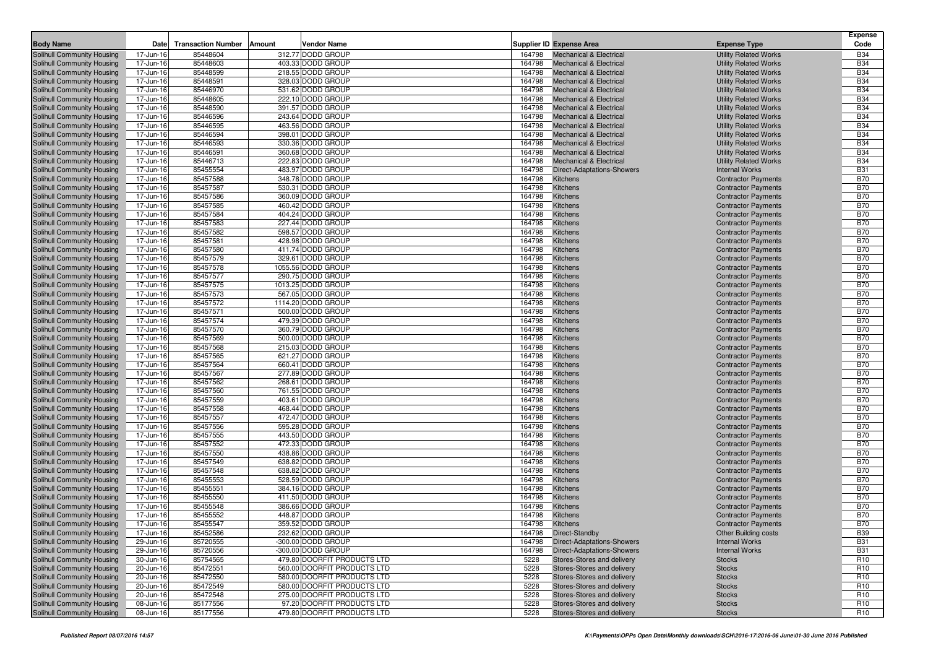| <b>Body Name</b>                                         | Date                   | <b>Transaction Number</b> | Amount | <b>Vendor Name</b>                      |                  | <b>Supplier ID Expense Area</b>                                          | <b>Expense Type</b>                                          | <b>Expense</b><br>Code   |
|----------------------------------------------------------|------------------------|---------------------------|--------|-----------------------------------------|------------------|--------------------------------------------------------------------------|--------------------------------------------------------------|--------------------------|
| Solihull Community Housing                               | 17-Jun-16              | 85448604                  |        | 312.77 DODD GROUP                       | 164798           | <b>Mechanical &amp; Electrical</b>                                       | <b>Utility Related Works</b>                                 | <b>B34</b>               |
| Solihull Community Housing                               | 17-Jun-16              | 85448603                  |        | 403.33 DODD GROUP                       | 164798           | <b>Mechanical &amp; Electrical</b>                                       | <b>Utility Related Works</b>                                 | <b>B34</b>               |
| Solihull Community Housing                               | 17-Jun-16              | 85448599                  |        | 218.55 DODD GROUP                       | 164798           | <b>Mechanical &amp; Electrical</b>                                       | <b>Utility Related Works</b>                                 | <b>B34</b>               |
| Solihull Community Housing                               | 17-Jun-16              | 85448591                  |        | 328.03 DODD GROUP                       | 164798           | <b>Mechanical &amp; Electrical</b>                                       | <b>Utility Related Works</b>                                 | <b>B34</b>               |
| Solihull Community Housing                               | 17-Jun-16              | 85446970                  |        | 531.62 DODD GROUP                       | 164798           | <b>Mechanical &amp; Electrical</b>                                       | <b>Utility Related Works</b>                                 | <b>B34</b>               |
| Solihull Community Housing                               | 17-Jun-16              | 85448605                  |        | 222.10 DODD GROUP                       | 164798           | <b>Mechanical &amp; Electrical</b>                                       | <b>Utility Related Works</b>                                 | <b>B34</b>               |
| Solihull Community Housing                               | 17-Jun-16              | 85448590                  |        | 391.57 DODD GROUP                       | 164798           | <b>Mechanical &amp; Electrical</b>                                       | <b>Utility Related Works</b>                                 | <b>B34</b>               |
| Solihull Community Housing                               | 17-Jun-16              | 85446596                  |        | 243.64 DODD GROUP                       | 164798           | <b>Mechanical &amp; Electrical</b>                                       | <b>Utility Related Works</b>                                 | <b>B34</b>               |
| Solihull Community Housing                               | 17-Jun-16              | 85446595                  |        | 463.56 DODD GROUP                       | 164798           | <b>Mechanical &amp; Electrical</b>                                       | <b>Utility Related Works</b>                                 | <b>B34</b>               |
| Solihull Community Housing                               | 17-Jun-16              | 85446594<br>85446593      |        | 398.01 DODD GROUP<br>330.36 DODD GROUP  | 164798<br>164798 | <b>Mechanical &amp; Electrical</b>                                       | <b>Utility Related Works</b>                                 | <b>B34</b><br><b>B34</b> |
| Solihull Community Housing<br>Solihull Community Housing | 17-Jun-16<br>17-Jun-16 | 85446591                  |        | 360.68 DODD GROUP                       | 164798           | <b>Mechanical &amp; Electrical</b><br><b>Mechanical &amp; Electrical</b> | <b>Utility Related Works</b><br><b>Utility Related Works</b> | <b>B34</b>               |
| Solihull Community Housing                               | 17-Jun-16              | 85446713                  |        | 222.83 DODD GROUP                       | 164798           | <b>Mechanical &amp; Electrical</b>                                       | <b>Utility Related Works</b>                                 | <b>B34</b>               |
| Solihull Community Housing                               | 17-Jun-16              | 85455554                  |        | 483.97 DODD GROUP                       | 164798           | <b>Direct-Adaptations-Showers</b>                                        | <b>Internal Works</b>                                        | <b>B31</b>               |
| Solihull Community Housing                               | 17-Jun-16              | 85457588                  |        | 348.78 DODD GROUP                       | 164798           | Kitchens                                                                 | <b>Contractor Payments</b>                                   | <b>B70</b>               |
| Solihull Community Housing                               | 17-Jun-16              | 85457587                  |        | 530.31 DODD GROUP                       | 164798           | Kitchens                                                                 | <b>Contractor Payments</b>                                   | <b>B70</b>               |
| Solihull Community Housing                               | 17-Jun-16              | 85457586                  |        | 360.09 DODD GROUP                       | 164798           | Kitchens                                                                 | <b>Contractor Payments</b>                                   | <b>B70</b>               |
| Solihull Community Housing                               | 17-Jun-16              | 85457585                  |        | 460.42 DODD GROUP                       | 164798           | Kitchens                                                                 | <b>Contractor Payments</b>                                   | <b>B70</b>               |
| Solihull Community Housing                               | 17-Jun-16              | 85457584                  |        | 404.24 DODD GROUP                       | 164798           | Kitchens                                                                 | <b>Contractor Payments</b>                                   | <b>B70</b>               |
| Solihull Community Housing                               | 17-Jun-16              | 85457583                  |        | 227.44 DODD GROUP                       | 164798           | Kitchens                                                                 | <b>Contractor Payments</b>                                   | <b>B70</b>               |
| Solihull Community Housing                               | 17-Jun-16              | 85457582                  |        | 598.57 DODD GROUP                       | 164798           | Kitchens                                                                 | <b>Contractor Payments</b>                                   | <b>B70</b>               |
| Solihull Community Housing                               | 17-Jun-16              | 85457581                  |        | 428.98 DODD GROUP                       | 164798           | Kitchens                                                                 | <b>Contractor Payments</b>                                   | <b>B70</b>               |
| Solihull Community Housing                               | 17-Jun-16              | 85457580                  |        | 411.74 DODD GROUP                       | 164798           | Kitchens                                                                 | <b>Contractor Payments</b>                                   | <b>B70</b>               |
| Solihull Community Housing                               | 17-Jun-16              | 85457579                  |        | 329.61 DODD GROUP                       | 164798           | Kitchens                                                                 | <b>Contractor Payments</b>                                   | <b>B70</b>               |
| Solihull Community Housing                               | 17-Jun-16              | 85457578                  |        | 1055.56 DODD GROUP<br>290.75 DODD GROUP | 164798           | Kitchens                                                                 | <b>Contractor Payments</b>                                   | <b>B70</b>               |
| Solihull Community Housing                               | 17-Jun-16              | 85457577<br>85457575      |        | 1013.25 DODD GROUP                      | 164798<br>164798 | Kitchens<br>Kitchens                                                     | <b>Contractor Payments</b>                                   | <b>B70</b><br><b>B70</b> |
| Solihull Community Housing<br>Solihull Community Housing | 17-Jun-16<br>17-Jun-16 | 85457573                  |        | 567.05 DODD GROUP                       | 164798           | Kitchens                                                                 | <b>Contractor Payments</b><br><b>Contractor Payments</b>     | <b>B70</b>               |
| Solihull Community Housing                               | 17-Jun-16              | 85457572                  |        | 1114.20 DODD GROUP                      | 164798           | Kitchens                                                                 | <b>Contractor Payments</b>                                   | <b>B70</b>               |
| Solihull Community Housing                               | 17-Jun-16              | 85457571                  |        | 500.00 DODD GROUP                       | 164798           | Kitchens                                                                 | <b>Contractor Payments</b>                                   | <b>B70</b>               |
| Solihull Community Housing                               | 17-Jun-16              | 85457574                  |        | 479.39 DODD GROUP                       | 164798           | Kitchens                                                                 | <b>Contractor Payments</b>                                   | <b>B70</b>               |
| Solihull Community Housing                               | 17-Jun-16              | 85457570                  |        | 360.79 DODD GROUP                       | 164798           | Kitchens                                                                 | <b>Contractor Payments</b>                                   | <b>B70</b>               |
| Solihull Community Housing                               | 17-Jun-16              | 85457569                  |        | 500.00 DODD GROUP                       | 164798           | Kitchens                                                                 | <b>Contractor Payments</b>                                   | <b>B70</b>               |
| Solihull Community Housing                               | 17-Jun-16              | 85457568                  |        | 215.03 DODD GROUP                       | 164798           | Kitchens                                                                 | <b>Contractor Payments</b>                                   | <b>B70</b>               |
| Solihull Community Housing                               | 17-Jun-16              | 85457565                  |        | 621.27 DODD GROUP                       | 164798           | Kitchens                                                                 | <b>Contractor Payments</b>                                   | <b>B70</b>               |
| Solihull Community Housing                               | 17-Jun-16              | 85457564                  |        | 660.41 DODD GROUP                       | 164798           | Kitchens                                                                 | <b>Contractor Payments</b>                                   | <b>B70</b>               |
| Solihull Community Housing                               | 17-Jun-16              | 85457567                  |        | 277.89 DODD GROUP                       | 164798           | Kitchens                                                                 | <b>Contractor Payments</b>                                   | <b>B70</b>               |
| Solihull Community Housing                               | 17-Jun-16              | 85457562                  |        | 268.61 DODD GROUP                       | 164798           | Kitchens                                                                 | <b>Contractor Payments</b>                                   | <b>B70</b>               |
| Solihull Community Housing                               | 17-Jun-16              | 85457560<br>85457559      |        | 761.55 DODD GROUP<br>403.61 DODD GROUP  | 164798<br>164798 | Kitchens<br>Kitchens                                                     | <b>Contractor Payments</b>                                   | <b>B70</b><br><b>B70</b> |
| Solihull Community Housing<br>Solihull Community Housing | 17-Jun-16<br>17-Jun-16 | 85457558                  |        | 468.44 DODD GROUP                       | 164798           | Kitchens                                                                 | <b>Contractor Payments</b><br><b>Contractor Payments</b>     | <b>B70</b>               |
| Solihull Community Housing                               | 17-Jun-16              | 85457557                  |        | 472.47 DODD GROUP                       | 164798           | Kitchens                                                                 | <b>Contractor Payments</b>                                   | <b>B70</b>               |
| Solihull Community Housing                               | 17-Jun-16              | 85457556                  |        | 595.28 DODD GROUP                       | 164798           | Kitchens                                                                 | <b>Contractor Payments</b>                                   | <b>B70</b>               |
| Solihull Community Housing                               | 17-Jun-16              | 85457555                  |        | 443.50 DODD GROUP                       | 164798           | Kitchens                                                                 | <b>Contractor Payments</b>                                   | <b>B70</b>               |
| Solihull Community Housing                               | 17-Jun-16              | 85457552                  |        | 472.33 DODD GROUP                       | 164798           | Kitchens                                                                 | <b>Contractor Payments</b>                                   | <b>B70</b>               |
| Solihull Community Housing                               | 17-Jun-16              | 85457550                  |        | 438.86 DODD GROUP                       | 164798           | Kitchens                                                                 | <b>Contractor Payments</b>                                   | <b>B70</b>               |
| Solihull Community Housing                               | 17-Jun-16              | 85457549                  |        | 638.82 DODD GROUP                       | 164798           | Kitchens                                                                 | <b>Contractor Payments</b>                                   | <b>B70</b>               |
| Solihull Community Housing                               | 17-Jun-16              | 85457548                  |        | 638.82 DODD GROUP                       | 164798           | Kitchens                                                                 | <b>Contractor Payments</b>                                   | <b>B70</b>               |
| Solihull Community Housing                               | 17-Jun-16              | 85455553                  |        | 528.59 DODD GROUP                       | 164798           | Kitchens                                                                 | <b>Contractor Payments</b>                                   | <b>B70</b>               |
| Solihull Community Housing                               | 17-Jun-16              | 85455551                  |        | 384.16 DODD GROUP                       | 164798           | Kitchens                                                                 | <b>Contractor Payments</b>                                   | <b>B70</b>               |
| Solihull Community Housing                               | 17-Jun-16              | 85455550                  |        | 411.50 DODD GROUP                       | 164798           | Kitchens                                                                 | <b>Contractor Payments</b>                                   | <b>B70</b>               |
| Solihull Community Housing                               | 17-Jun-16              | 85455548                  |        | 386.66 DODD GROUP                       | 164798           | Kitchens                                                                 | <b>Contractor Payments</b>                                   | <b>B70</b>               |
| Solihull Community Housing<br>Solihull Community Housing | 17-Jun-16              | 85455552                  |        | 448.87 DODD GROUP                       | 164798           | Kitchens                                                                 | <b>Contractor Payments</b>                                   | <b>B70</b>               |
|                                                          | 17-Jun-16              | 85455547                  |        | 359.52 DODD GROUP                       | 164798           | Kitchens                                                                 | <b>Contractor Payments</b>                                   | <b>B70</b>               |
| Solihull Community Housing<br>Solihull Community Housing | 17-Jun-16<br>29-Jun-16 | 85452586<br>85720555      |        | 232.62 DODD GROUP<br>-300.00 DODD GROUP | 164798           | 164798 Direct-Standby<br><b>Direct-Adaptations-Showers</b>               | <b>Other Building costs</b><br><b>Internal Works</b>         | <b>B39</b><br><b>B31</b> |
| Solihull Community Housing                               | 29-Jun-16              | 85720556                  |        | -300.00 DODD GROUP                      | 164798           | <b>Direct-Adaptations-Showers</b>                                        | <b>Internal Works</b>                                        | <b>B31</b>               |
| Solihull Community Housing                               | 30-Jun-16              | 85754565                  |        | 479.80 DOORFIT PRODUCTS LTD             | 5228             | Stores-Stores and delivery                                               | Stocks                                                       | R <sub>10</sub>          |
| Solihull Community Housing                               | 20-Jun-16              | 85472551                  |        | 560.00 DOORFIT PRODUCTS LTD             | 5228             | Stores-Stores and delivery                                               | Stocks                                                       | R <sub>10</sub>          |
| Solihull Community Housing                               | 20-Jun-16              | 85472550                  |        | 580.00 DOORFIT PRODUCTS LTD             | 5228             | Stores-Stores and delivery                                               | Stocks                                                       | R <sub>10</sub>          |
| Solihull Community Housing                               | 20-Jun-16              | 85472549                  |        | 580.00 DOORFIT PRODUCTS LTD             | 5228             | Stores-Stores and delivery                                               | <b>Stocks</b>                                                | R <sub>10</sub>          |
| Solihull Community Housing                               | 20-Jun-16              | 85472548                  |        | 275.00 DOORFIT PRODUCTS LTD             | 5228             | Stores-Stores and delivery                                               | <b>Stocks</b>                                                | R <sub>10</sub>          |
| Solihull Community Housing                               | 08-Jun-16              | 85177556                  |        | 97.20 DOORFIT PRODUCTS LTD              | 5228             | Stores-Stores and delivery                                               | <b>Stocks</b>                                                | R <sub>10</sub>          |
| Solihull Community Housing                               | 08-Jun-16              | 85177556                  |        | 479.80 DOORFIT PRODUCTS LTD             | 5228             | Stores-Stores and delivery                                               | <b>Stocks</b>                                                | R <sub>10</sub>          |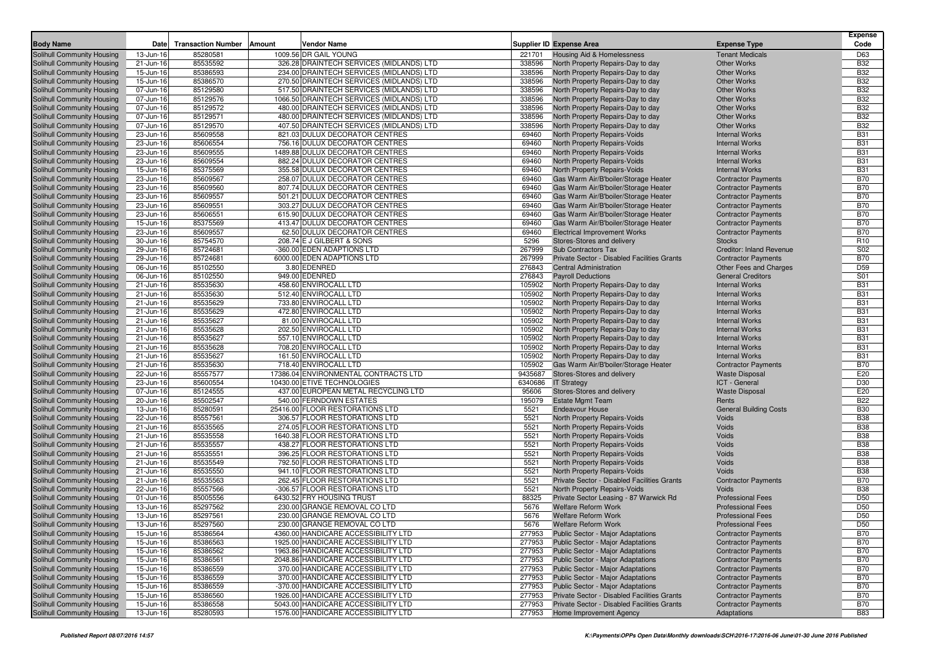|                                                          |                        |                           |        |                                                               |                  |                                                  |                                                | <b>Expense</b>           |
|----------------------------------------------------------|------------------------|---------------------------|--------|---------------------------------------------------------------|------------------|--------------------------------------------------|------------------------------------------------|--------------------------|
| <b>Body Name</b>                                         | Date                   | <b>Transaction Number</b> | Amount | Vendor Name                                                   |                  | <b>Supplier ID Expense Area</b>                  | <b>Expense Type</b>                            | Code                     |
| Solihull Community Housing                               | 13-Jun-16              | 85280581                  |        | 1009.56 DR GAIL YOUNG                                         | 221701           | Housing Aid & Homelessness                       | <b>Tenant Medicals</b>                         | D63                      |
| Solihull Community Housing                               | 21-Jun-16              | 85535592                  |        | 326.28 DRAINTECH SERVICES (MIDLANDS) LTD                      | 338596           | North Property Repairs-Day to day                | <b>Other Works</b>                             | <b>B32</b>               |
| Solihull Community Housing                               | 15-Jun-16              | 85386593                  |        | 234.00 DRAINTECH SERVICES (MIDLANDS) LTD                      | 338596           | North Property Repairs-Day to day                | <b>Other Works</b>                             | <b>B32</b>               |
| Solihull Community Housing                               | 15-Jun-16              | 85386570                  |        | 270.50 DRAINTECH SERVICES (MIDLANDS) LTD                      | 338596           | North Property Repairs-Day to day                | <b>Other Works</b>                             | <b>B32</b>               |
| Solihull Community Housing                               | 07-Jun-16              | 85129580                  |        | 517.50 DRAINTECH SERVICES (MIDLANDS) LTD                      | 338596           | North Property Repairs-Day to day                | <b>Other Works</b>                             | <b>B32</b>               |
| Solihull Community Housing                               | 07-Jun-16              | 85129576                  |        | 1066.50 DRAINTECH SERVICES (MIDLANDS) LTD                     | 338596           | North Property Repairs-Day to day                | <b>Other Works</b>                             | <b>B32</b>               |
| Solihull Community Housing                               | 07-Jun-16              | 85129572                  |        | 480.00 DRAINTECH SERVICES (MIDLANDS) LTD                      | 338596           | North Property Repairs-Day to day                | <b>Other Works</b>                             | <b>B32</b>               |
| Solihull Community Housing                               | 07-Jun-16              | 85129571                  |        | 480.00 DRAINTECH SERVICES (MIDLANDS) LTD                      | 338596           | North Property Repairs-Day to day                | <b>Other Works</b>                             | <b>B32</b>               |
| Solihull Community Housing                               | 07-Jun-16              | 85129570                  |        | 407.50 DRAINTECH SERVICES (MIDLANDS) LTD                      | 338596           | North Property Repairs-Day to day                | <b>Other Works</b>                             | <b>B32</b>               |
| Solihull Community Housing                               | 23-Jun-16              | 85609558                  |        | 821.03 DULUX DECORATOR CENTRES                                | 69460            | North Property Repairs-Voids                     | <b>Internal Works</b>                          | <b>B31</b>               |
| Solihull Community Housing                               | 23-Jun-16              | 85606554                  |        | 756.16 DULUX DECORATOR CENTRES                                | 69460            | North Property Repairs-Voids                     | <b>Internal Works</b>                          | <b>B31</b>               |
| Solihull Community Housing                               | 23-Jun-16              | 85609555                  |        | 1489.88 DULUX DECORATOR CENTRES                               | 69460            | North Property Repairs-Voids                     | <b>Internal Works</b>                          | <b>B31</b>               |
| Solihull Community Housing                               | 23-Jun-16              | 85609554                  |        | 882.24 DULUX DECORATOR CENTRES                                | 69460            | North Property Repairs-Voids                     | <b>Internal Works</b>                          | <b>B31</b>               |
| Solihull Community Housing                               | 15-Jun-16              | 85375569                  |        | 355.58 DULUX DECORATOR CENTRES                                | 69460            | North Property Repairs-Voids                     | <b>Internal Works</b>                          | <b>B31</b>               |
| Solihull Community Housing                               | 23-Jun-16              | 85609567                  |        | 258.07 DULUX DECORATOR CENTRES                                | 69460            | Gas Warm Air/B'boiler/Storage Heater             | <b>Contractor Payments</b>                     | <b>B70</b>               |
| Solihull Community Housing                               | 23-Jun-16              | 85609560                  |        | 807.74 DULUX DECORATOR CENTRES                                | 69460            | Gas Warm Air/B'boiler/Storage Heater             | <b>Contractor Payments</b>                     | <b>B70</b>               |
| Solihull Community Housing                               | 23-Jun-16              | 85609557                  |        | 501.21 DULUX DECORATOR CENTRES                                | 69460            | Gas Warm Air/B'boiler/Storage Heater             | <b>Contractor Payments</b>                     | <b>B70</b>               |
| Solihull Community Housing                               | 23-Jun-16              | 85609551                  |        | 303.27 DULUX DECORATOR CENTRES                                | 69460            | Gas Warm Air/B'boiler/Storage Heater             | <b>Contractor Payments</b>                     | <b>B70</b>               |
| Solihull Community Housing                               | 23-Jun-16              | 85606551                  |        | 615.90 DULUX DECORATOR CENTRES                                | 69460            | Gas Warm Air/B'boiler/Storage Heater             | <b>Contractor Payments</b>                     | <b>B70</b>               |
| Solihull Community Housing                               | 15-Jun-16              | 85375569                  |        | 413.47 DULUX DECORATOR CENTRES                                | 69460            | Gas Warm Air/B'boiler/Storage Heater             | <b>Contractor Payments</b>                     | <b>B70</b>               |
| Solihull Community Housing                               | 23-Jun-16              | 85609557                  |        | 62.50 DULUX DECORATOR CENTRES                                 | 69460            | <b>Electrical Improvement Works</b>              | <b>Contractor Payments</b>                     | <b>B70</b>               |
| Solihull Community Housing                               | 30-Jun-16              | 85754570                  |        | 208.74 E J GILBERT & SONS                                     | 5296             | Stores-Stores and delivery                       | <b>Stocks</b>                                  | R <sub>10</sub>          |
| Solihull Community Housing                               | 29-Jun-16              | 85724681                  |        | -360.00 EDEN ADAPTIONS LTD                                    | 267999           | Sub Contractors Tax                              | Creditor: Inland Revenue                       | S <sub>02</sub>          |
| Solihull Community Housing                               | 29-Jun-16              | 85724681                  |        | 6000.00 EDEN ADAPTIONS LTD                                    | 267999           | Private Sector - Disabled Facilities Grants      | <b>Contractor Payments</b>                     | <b>B70</b>               |
| Solihull Community Housing                               | 06-Jun-16              | 85102550                  |        | 3.80 EDENRED                                                  | 276843           | <b>Central Administration</b>                    | Other Fees and Charges                         | D <sub>59</sub>          |
| Solihull Community Housing                               | 06-Jun-16              | 85102550                  |        | 949.00 EDENRED                                                | 276843           | <b>Payroll Deductions</b>                        | <b>General Creditors</b>                       | S01                      |
| Solihull Community Housing                               | 21-Jun-16              | 85535630                  |        | 458.60 ENVIROCALL LTD                                         | 105902           | North Property Repairs-Day to day                | <b>Internal Works</b>                          | <b>B31</b>               |
| Solihull Community Housing                               | 21-Jun-16              | 85535630                  |        | 512.40 ENVIROCALL LTD                                         | 105902           | North Property Repairs-Day to day                | <b>Internal Works</b>                          | <b>B31</b>               |
| Solihull Community Housing                               | 21-Jun-16              | 85535629                  |        | 733.80 ENVIROCALL LTD                                         | 105902           | North Property Repairs-Day to day                | <b>Internal Works</b>                          | <b>B31</b>               |
| Solihull Community Housing                               | 21-Jun-16              | 85535629                  |        | 472.80 ENVIROCALL LTD                                         | 105902           | North Property Repairs-Day to day                | <b>Internal Works</b>                          | <b>B31</b>               |
| Solihull Community Housing                               | 21-Jun-16              | 85535627                  |        | 81.00 ENVIROCALL LTD<br>202.50 ENVIROCALL LTD                 | 105902           | North Property Repairs-Day to day                | <b>Internal Works</b>                          | <b>B31</b>               |
| Solihull Community Housing                               | 21-Jun-16              | 85535628                  |        |                                                               | 105902           | North Property Repairs-Day to day                | <b>Internal Works</b>                          | <b>B31</b>               |
| Solihull Community Housing<br>Solihull Community Housing | 21-Jun-16              | 85535627                  |        | 557.10 ENVIROCALL LTD<br>708.20 ENVIROCALL LTD                | 105902           | North Property Repairs-Day to day                | <b>Internal Works</b><br><b>Internal Works</b> | <b>B31</b><br><b>B31</b> |
|                                                          | 21-Jun-16              | 85535628                  |        | 161.50 ENVIROCALL LTD                                         | 105902           | North Property Repairs-Day to day                |                                                |                          |
| Solihull Community Housing                               | 21-Jun-16              | 85535627<br>85535630      |        |                                                               | 105902<br>105902 | North Property Repairs-Day to day                | <b>Internal Works</b>                          | <b>B31</b><br><b>B70</b> |
| Solihull Community Housing                               | 21-Jun-16              | 85557577                  |        | 718.40 ENVIROCALL LTD<br>17386.04 ENVIRONMENTAL CONTRACTS LTD | 9435687          | Gas Warm Air/B'boiler/Storage Heater             | <b>Contractor Payments</b>                     | E20                      |
| Solihull Community Housing<br>Solihull Community Housing | 22-Jun-16<br>23-Jun-16 | 85600554                  |        | 10430.00 ETIVE TECHNOLOGIES                                   | 6340686          | Stores-Stores and delivery<br><b>IT Strategy</b> | <b>Waste Disposal</b><br>ICT - General         | D30                      |
| Solihull Community Housing                               | 07-Jun-16              | 85124555                  |        | 437.00 EUROPEAN METAL RECYCLING LTD                           | 95606            | Stores-Stores and delivery                       | <b>Waste Disposal</b>                          | E20                      |
| Solihull Community Housing                               | 20-Jun-16              | 85502547                  |        | 540.00 FERNDOWN ESTATES                                       | 195079           | <b>Estate Mgmt Team</b>                          | Rents                                          | <b>B22</b>               |
| Solihull Community Housing                               | 13-Jun-16              | 85280591                  |        | 25416.00 FLOOR RESTORATIONS LTD                               | 5521             | <b>Endeavour House</b>                           | <b>General Building Costs</b>                  | <b>B30</b>               |
| Solihull Community Housing                               | 22-Jun-16              | 85557561                  |        | 306.57 FLOOR RESTORATIONS LTD                                 | 5521             | North Property Repairs-Voids                     | Voids                                          | <b>B38</b>               |
| Solihull Community Housing                               | 21-Jun-16              | 85535565                  |        | 274.05 FLOOR RESTORATIONS LTD                                 | 5521             | North Property Repairs-Voids                     | Voids                                          | <b>B38</b>               |
| Solihull Community Housing                               | 21-Jun-16              | 85535558                  |        | 1640.38 FLOOR RESTORATIONS LTD                                | 5521             | North Property Repairs-Voids                     | Voids                                          | <b>B38</b>               |
| Solihull Community Housing                               | 21-Jun-16              | 85535557                  |        | 438.27 FLOOR RESTORATIONS LTD                                 | 5521             | North Property Repairs-Voids                     | Voids                                          | <b>B38</b>               |
| Solihull Community Housing                               | 21-Jun-16              | 85535551                  |        | 396.25 FLOOR RESTORATIONS LTD                                 | 5521             | North Property Repairs-Voids                     | Voids                                          | <b>B38</b>               |
| Solihull Community Housing                               | 21-Jun-16              | 85535549                  |        | 792.50 FLOOR RESTORATIONS LTD                                 | 5521             | North Property Repairs-Voids                     | Voids                                          | <b>B38</b>               |
| Solihull Community Housing                               | 21-Jun-16              | 85535550                  |        | 941.10 FLOOR RESTORATIONS LTD                                 | 5521             | North Property Repairs-Voids                     | Voids                                          | <b>B38</b>               |
| Solihull Community Housing                               | 21-Jun-16              | 85535563                  |        | 262.45 FLOOR RESTORATIONS LTD                                 | 5521             | Private Sector - Disabled Facilities Grants      | <b>Contractor Payments</b>                     | <b>B70</b>               |
| Solihull Community Housing                               | 22-Jun-16              | 85557566                  |        | -306.57 FLOOR RESTORATIONS LTD                                | 5521             | North Property Repairs-Voids                     | Voids                                          | <b>B38</b>               |
| Solihull Community Housing                               | 01-Jun-16              | 85005556                  |        | 6430.52 FRY HOUSING TRUST                                     | 88325            | Private Sector Leasing - 87 Warwick Rd           | <b>Professional Fees</b>                       | D <sub>50</sub>          |
| Solihull Community Housing                               | 13-Jun-16              | 85297562                  |        | 230.00 GRANGE REMOVAL CO LTD                                  | 5676             | Welfare Reform Work                              | <b>Professional Fees</b>                       | D <sub>50</sub>          |
| Solihull Community Housing                               | 13-Jun-16              | 85297561                  |        | 230.00 GRANGE REMOVAL CO LTD                                  | 5676             | <b>Welfare Reform Work</b>                       | <b>Professional Fees</b>                       | D50                      |
| Solihull Community Housing                               | 13-Jun-16              | 85297560                  |        | 230.00 GRANGE REMOVAL CO LTD                                  | 5676             | <b>Welfare Reform Work</b>                       | <b>Professional Fees</b>                       | D50                      |
| Solihull Community Housing                               | 15-Jun-16              | 85386564                  |        | 4360.00 HANDICARE ACCESSIBILITY LTD                           |                  | 277953 Public Sector - Major Adaptations         | <b>Contractor Payments</b>                     | <b>B70</b>               |
| Solihull Community Housing                               | 15-Jun-16              | 85386563                  |        | 1925.00 HANDICARE ACCESSIBILITY LTD                           | 277953           | <b>Public Sector - Major Adaptations</b>         | <b>Contractor Payments</b>                     | <b>B70</b>               |
| Solihull Community Housing                               | 15-Jun-16              | 85386562                  |        | 1963.86 HANDICARE ACCESSIBILITY LTD                           | 277953           | <b>Public Sector - Major Adaptations</b>         | <b>Contractor Payments</b>                     | <b>B70</b>               |
| Solihull Community Housing                               | 15-Jun-16              | 85386561                  |        | 2048.86 HANDICARE ACCESSIBILITY LTD                           | 277953           | Public Sector - Major Adaptations                | <b>Contractor Payments</b>                     | <b>B70</b>               |
| Solihull Community Housing                               | 15-Jun-16              | 85386559                  |        | 370.00 HANDICARE ACCESSIBILITY LTD                            | 277953           | <b>Public Sector - Major Adaptations</b>         | <b>Contractor Payments</b>                     | <b>B70</b>               |
| Solihull Community Housing                               | 15-Jun-16              | 85386559                  |        | 370.00 HANDICARE ACCESSIBILITY LTD                            | 277953           | <b>Public Sector - Major Adaptations</b>         | <b>Contractor Payments</b>                     | <b>B70</b>               |
| Solihull Community Housing                               | 15-Jun-16              | 85386559                  |        | -370.00 HANDICARE ACCESSIBILITY LTD                           | 277953           | <b>Public Sector - Major Adaptations</b>         | <b>Contractor Payments</b>                     | <b>B70</b>               |
| Solihull Community Housing                               | 15-Jun-16              | 85386560                  |        | 1926.00 HANDICARE ACCESSIBILITY LTD                           | 277953           | Private Sector - Disabled Facilities Grants      | <b>Contractor Payments</b>                     | <b>B70</b>               |
| Solihull Community Housing                               | 15-Jun-16              | 85386558                  |        | 5043.00 HANDICARE ACCESSIBILITY LTD                           | 277953           | Private Sector - Disabled Facilities Grants      | <b>Contractor Payments</b>                     | <b>B70</b>               |
| Solihull Community Housing                               | 13-Jun-16              | 85280593                  |        | 1576.00 HANDICARE ACCESSIBILITY LTD                           | 277953           | Home Improvement Agency                          | Adaptations                                    | <b>B83</b>               |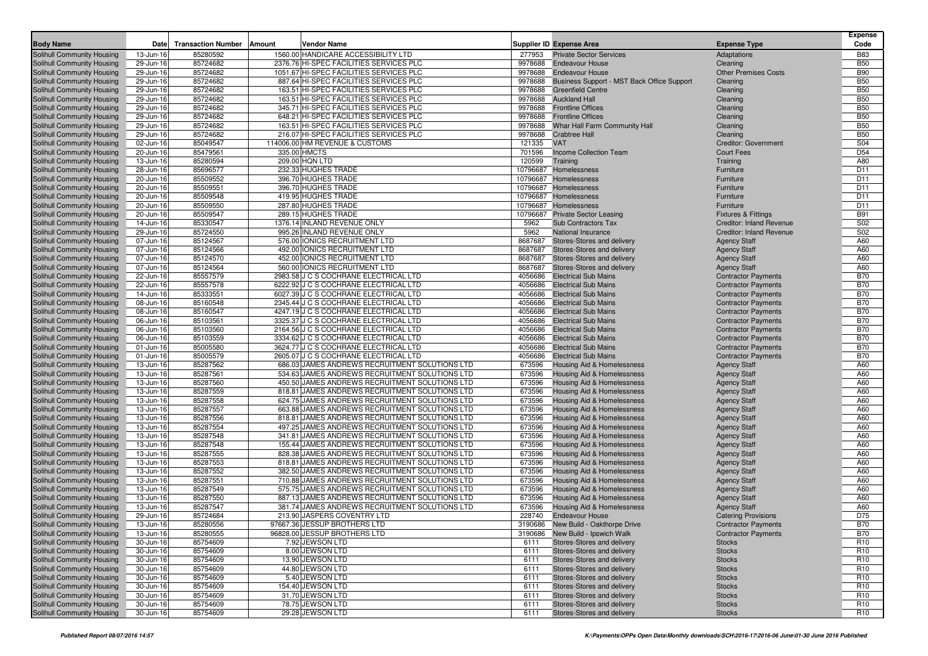| <b>Body Name</b>                                         | Date                   | <b>Transaction Number</b><br>Amount | Vendor Name                                                                                      |                    | <b>Supplier ID Expense Area</b>                                     | <b>Expense Type</b>                        | <b>Expense</b><br>Code             |
|----------------------------------------------------------|------------------------|-------------------------------------|--------------------------------------------------------------------------------------------------|--------------------|---------------------------------------------------------------------|--------------------------------------------|------------------------------------|
| Solihull Community Housing                               | 13-Jun-16              | 85280592                            | 1560.00 HANDICARE ACCESSIBILITY LTD                                                              | 277953             | <b>Private Sector Services</b>                                      | Adaptations                                | <b>B83</b>                         |
| Solihull Community Housing                               | 29-Jun-16              | 85724682                            | 2376.76 HI-SPEC FACILITIES SERVICES PLC                                                          | 9978688            | <b>Endeavour House</b>                                              | Cleaning                                   | <b>B50</b>                         |
| Solihull Community Housing                               | 29-Jun-16              | 85724682                            | 1051.67 HI-SPEC FACILITIES SERVICES PLC                                                          |                    | 9978688 Endeavour House                                             | <b>Other Premises Costs</b>                | <b>B90</b>                         |
| Solihull Community Housing                               | 29-Jun-16              | 85724682                            | 887.64 HI-SPEC FACILITIES SERVICES PLC                                                           |                    | 9978688 Business Support - MST Back Office Support                  | Cleaning                                   | <b>B50</b>                         |
| Solihull Community Housing                               | 29-Jun-16              | 85724682                            | 163.51 HI-SPEC FACILITIES SERVICES PLC                                                           | 9978688            | <b>Greenfield Centre</b>                                            | Cleaning                                   | <b>B50</b>                         |
| Solihull Community Housing                               | 29-Jun-16              | 85724682                            | 163.51 HI-SPEC FACILITIES SERVICES PLC                                                           |                    | 9978688 Auckland Hall                                               | Cleaning                                   | <b>B50</b>                         |
| Solihull Community Housing                               | 29-Jun-16              | 85724682                            | 345.71 HI-SPEC FACILITIES SERVICES PLC                                                           |                    | 9978688 Frontline Offices                                           | Cleaning                                   | <b>B50</b>                         |
| Solihull Community Housing                               | 29-Jun-16              | 85724682                            | 648.21 HI-SPEC FACILITIES SERVICES PLC                                                           | 9978688            | <b>Frontline Offices</b>                                            | Cleaning                                   | <b>B50</b>                         |
| Solihull Community Housing                               | 29-Jun-16              | 85724682                            | 163.51 HI-SPEC FACILITIES SERVICES PLC                                                           | 9978688            | Whar Hall Farm Community Hall                                       | Cleaning                                   | <b>B50</b>                         |
| Solihull Community Housing                               | 29-Jun-16              | 85724682                            | 216.07 HI-SPEC FACILITIES SERVICES PLC                                                           | 9978688            | <b>Crabtree Hall</b>                                                | Cleaning                                   | <b>B50</b>                         |
| Solihull Community Housing                               | 02-Jun-16              | 85049547                            | 114006.00 HM REVENUE & CUSTOMS                                                                   | 121335             | <b>VAT</b>                                                          | Creditor: Government                       | S04                                |
| Solihull Community Housing                               | 20-Jun-16              | 85479561                            | 335.00 HMCTS                                                                                     | 701596             | <b>Income Collection Team</b>                                       | <b>Court Fees</b>                          | D <sub>54</sub>                    |
| Solihull Community Housing                               | 13-Jun-16              | 85280594                            | 209.00 HQN LTD                                                                                   | 120599             | Training                                                            | Training                                   | A80                                |
| Solihull Community Housing                               | 28-Jun-16              | 85696577                            | 232.33 HUGHES TRADE                                                                              | 10796687           | Homelessness                                                        | Furniture                                  | D <sub>11</sub>                    |
| Solihull Community Housing                               | 20-Jun-16              | 85509552                            | 396.70 HUGHES TRADE                                                                              | 10796687           | Homelessness                                                        | Furniture                                  | D <sub>11</sub>                    |
| Solihull Community Housing                               | 20-Jun-16              | 85509551                            | 396.70 HUGHES TRADE                                                                              | 10796687           | Homelessness                                                        | Furniture                                  | D <sub>11</sub>                    |
| Solihull Community Housing                               | 20-Jun-16              | 85509548                            | 419.95 HUGHES TRADE                                                                              | 10796687           | Homelessness                                                        | Furniture                                  | D <sub>11</sub>                    |
| Solihull Community Housing                               | 20-Jun-16              | 85509550                            | 287.80 HUGHES TRADE                                                                              | 10796687           | Homelessness                                                        | Furniture                                  | D <sub>11</sub>                    |
| Solihull Community Housing                               | 20-Jun-16              | 85509547                            | 289.15 HUGHES TRADE                                                                              | 10796687           | <b>Private Sector Leasing</b>                                       | <b>Fixtures &amp; Fittings</b>             | <b>B91</b>                         |
| Solihull Community Housing                               | 14-Jun-16              | 85330547                            | 1376.14 INLAND REVENUE ONLY                                                                      | 5962               | <b>Sub Contractors Tax</b>                                          | <b>Creditor: Inland Revenue</b>            | S02                                |
| Solihull Community Housing                               | 29-Jun-16              | 85724550                            | 995.26 INLAND REVENUE ONLY                                                                       | 5962               | National Insurance                                                  | <b>Creditor: Inland Revenue</b>            | S02                                |
| Solihull Community Housing                               | 07-Jun-16              | 85124567<br>85124566                | 576.00 IONICS RECRUITMENT LTD<br>492.00 IONICS RECRUITMENT LTD                                   | 8687687<br>8687687 | Stores-Stores and delivery<br>Stores-Stores and delivery            | <b>Agency Staff</b>                        | A60<br>A60                         |
| Solihull Community Housing<br>Solihull Community Housing | 07-Jun-16<br>07-Jun-16 | 85124570                            | 452.00 IONICS RECRUITMENT LTD                                                                    | 8687687            | Stores-Stores and delivery                                          | <b>Agency Staff</b>                        | A60                                |
| Solihull Community Housing                               | 07-Jun-16              | 85124564                            | 560.00 IONICS RECRUITMENT LTD                                                                    | 8687687            | Stores-Stores and delivery                                          | <b>Agency Staff</b><br><b>Agency Staff</b> | A60                                |
| Solihull Community Housing                               | 22-Jun-16              | 85557579                            | 2983.58 J C S COCHRANE ELECTRICAL LTD                                                            | 4056686            | <b>Electrical Sub Mains</b>                                         | <b>Contractor Payments</b>                 | <b>B70</b>                         |
| Solihull Community Housing                               | 22-Jun-16              | 85557578                            | 6222.92 J C S COCHRANE ELECTRICAL LTD                                                            | 4056686            | <b>Electrical Sub Mains</b>                                         | <b>Contractor Payments</b>                 | <b>B70</b>                         |
| Solihull Community Housing                               | 14-Jun-16              | 85333551                            | 6027.39 J C S COCHRANE ELECTRICAL LTD                                                            | 4056686            | <b>Electrical Sub Mains</b>                                         | <b>Contractor Payments</b>                 | <b>B70</b>                         |
| Solihull Community Housing                               | 08-Jun-16              | 85160548                            | 2345.44 J C S COCHRANE ELECTRICAL LTD                                                            | 4056686            | <b>Electrical Sub Mains</b>                                         | <b>Contractor Payments</b>                 | <b>B70</b>                         |
| Solihull Community Housing                               | 08-Jun-16              | 85160547                            | 4247.19 J C S COCHRANE ELECTRICAL LTD                                                            | 4056686            | <b>Electrical Sub Mains</b>                                         | <b>Contractor Payments</b>                 | <b>B70</b>                         |
| Solihull Community Housing                               | 06-Jun-16              | 85103561                            | 3325.37 J C S COCHRANE ELECTRICAL LTD                                                            | 4056686            | <b>Electrical Sub Mains</b>                                         | <b>Contractor Payments</b>                 | <b>B70</b>                         |
| Solihull Community Housing                               | 06-Jun-16              | 85103560                            | 2164.56 J C S COCHRANE ELECTRICAL LTD                                                            | 4056686            | <b>Electrical Sub Mains</b>                                         | <b>Contractor Payments</b>                 | <b>B70</b>                         |
| Solihull Community Housing                               | 06-Jun-16              | 85103559                            | 3334.62 J C S COCHRANE ELECTRICAL LTD                                                            | 4056686            | <b>Electrical Sub Mains</b>                                         | <b>Contractor Payments</b>                 | <b>B70</b>                         |
| Solihull Community Housing                               | 01-Jun-16              | 85005580                            | 3624.77 J C S COCHRANE ELECTRICAL LTD                                                            | 4056686            | <b>Electrical Sub Mains</b>                                         | <b>Contractor Payments</b>                 | <b>B70</b>                         |
| Solihull Community Housing                               | 01-Jun-16              | 85005579                            | 2605.07 J C S COCHRANE ELECTRICAL LTD                                                            | 4056686            | <b>Electrical Sub Mains</b>                                         | <b>Contractor Payments</b>                 | <b>B70</b>                         |
| Solihull Community Housing                               | 13-Jun-16              | 85287562                            | 686.03 JAMES ANDREWS RECRUITMENT SOLUTIONS LTD                                                   | 673596             | Housing Aid & Homelessness                                          | <b>Agency Staff</b>                        | A60                                |
| Solihull Community Housing                               | 13-Jun-16              | 85287561                            | 534.63 JAMES ANDREWS RECRUITMENT SOLUTIONS LTD                                                   | 673596             | <b>Housing Aid &amp; Homelessness</b>                               | <b>Agency Staff</b>                        | A60                                |
| Solihull Community Housing                               | 13-Jun-16              | 85287560                            | 450.50 JAMES ANDREWS RECRUITMENT SOLUTIONS LTD                                                   | 673596             | Housing Aid & Homelessness                                          | <b>Agency Staff</b>                        | A60                                |
| Solihull Community Housing                               | 13-Jun-16              | 85287559                            | 818.81 JAMES ANDREWS RECRUITMENT SOLUTIONS LTD                                                   | 673596             | Housing Aid & Homelessness                                          | <b>Agency Staff</b>                        | A60                                |
| Solihull Community Housing                               | 13-Jun-16              | 85287558                            | 624.75 JAMES ANDREWS RECRUITMENT SOLUTIONS LTD                                                   | 673596             | Housing Aid & Homelessness                                          | <b>Agency Staff</b>                        | A60<br>A60                         |
| Solihull Community Housing                               | 13-Jun-16<br>13-Jun-16 | 85287557<br>85287556                | 663.88 JAMES ANDREWS RECRUITMENT SOLUTIONS LTD<br>818.81 JAMES ANDREWS RECRUITMENT SOLUTIONS LTD | 673596<br>673596   | Housing Aid & Homelessness<br><b>Housing Aid &amp; Homelessness</b> | <b>Agency Staff</b>                        | A60                                |
| Solihull Community Housing<br>Solihull Community Housing | 13-Jun-16              | 85287554                            | 497.25 JAMES ANDREWS RECRUITMENT SOLUTIONS LTD                                                   | 673596             | Housing Aid & Homelessness                                          | <b>Agency Staff</b>                        | A60                                |
| Solihull Community Housing                               | 13-Jun-16              | 85287548                            | 341.81 JAMES ANDREWS RECRUITMENT SOLUTIONS LTD                                                   | 673596             | Housing Aid & Homelessness                                          | <b>Agency Staff</b><br><b>Agency Staff</b> | A60                                |
| Solihull Community Housing                               | 13-Jun-16              | 85287548                            | 155.44 JAMES ANDREWS RECRUITMENT SOLUTIONS LTD                                                   | 673596             | Housing Aid & Homelessness                                          | <b>Agency Staff</b>                        | A60                                |
| Solihull Community Housing                               | 13-Jun-16              | 85287555                            | 828.38 JAMES ANDREWS RECRUITMENT SOLUTIONS LTD                                                   | 673596             | Housing Aid & Homelessness                                          | <b>Agency Staff</b>                        | A60                                |
| Solihull Community Housing                               | 13-Jun-16              | 85287553                            | 818.81 JAMES ANDREWS RECRUITMENT SOLUTIONS LTD                                                   | 673596             | Housing Aid & Homelessness                                          | <b>Agency Staff</b>                        | A60                                |
| Solihull Community Housing                               | 13-Jun-16              | 85287552                            | 382.50 JAMES ANDREWS RECRUITMENT SOLUTIONS LTD                                                   | 673596             | Housing Aid & Homelessness                                          | <b>Agency Staff</b>                        | A60                                |
| Solihull Community Housing                               | 13-Jun-16              | 85287551                            | 710.88 JAMES ANDREWS RECRUITMENT SOLUTIONS LTD                                                   | 673596             | Housing Aid & Homelessness                                          | <b>Agency Staff</b>                        | A60                                |
| Solihull Community Housing                               | 13-Jun-16              | 85287549                            | 575.75 JAMES ANDREWS RECRUITMENT SOLUTIONS LTD                                                   | 673596             | Housing Aid & Homelessness                                          | <b>Agency Staff</b>                        | A60                                |
| Solihull Community Housing                               | 13-Jun-16              | 85287550                            | 887.13 JAMES ANDREWS RECRUITMENT SOLUTIONS LTD                                                   | 673596             | <b>Housing Aid &amp; Homelessness</b>                               | <b>Agency Staff</b>                        | A60                                |
| Solihull Community Housing                               | 13-Jun-16              | 85287547                            | 381.74 JAMES ANDREWS RECRUITMENT SOLUTIONS LTD                                                   | 673596             | Housing Aid & Homelessness                                          | <b>Agency Staff</b>                        | A60                                |
| Solihull Community Housing                               | 29-Jun-16              | 85724684                            | 213.90 JASPERS COVENTRY LTD                                                                      | 228740             | <b>Endeavour House</b>                                              | <b>Catering Provisions</b>                 | D75                                |
| Solihull Community Housing                               | 13-Jun-16              | 85280556                            | 97667.36 JESSUP BROTHERS LTD                                                                     |                    | 3190686 New Build - Oakthorpe Drive                                 | <b>Contractor Payments</b>                 | <b>B70</b>                         |
| Solihull Community Housing                               | 13-Jun-16              | 85280555                            | 96828.00 JESSUP BROTHERS LTD                                                                     |                    | 3190686 New Build - Ipswich Walk                                    | <b>Contractor Payments</b>                 | <b>B70</b>                         |
| Solihull Community Housing                               | 30-Jun-16              | 85754609                            | 7.92 JEWSON LTD                                                                                  | 6111               | Stores-Stores and delivery                                          | <b>Stocks</b>                              | R <sub>10</sub>                    |
| Solihull Community Housing                               | 30-Jun-16              | 85754609                            | 8.00 JEWSON LTD                                                                                  | 6111               | Stores-Stores and delivery                                          | <b>Stocks</b>                              | R <sub>10</sub>                    |
| Solihull Community Housing                               | 30-Jun-16              | 85754609                            | 13.90 JEWSON LTD                                                                                 | 6111               | Stores-Stores and delivery                                          | <b>Stocks</b>                              | R <sub>10</sub>                    |
| Solihull Community Housing                               | 30-Jun-16              | 85754609                            | 44.80 JEWSON LTD                                                                                 | 6111               | Stores-Stores and delivery                                          | <b>Stocks</b>                              | R <sub>10</sub>                    |
| Solihull Community Housing                               | 30-Jun-16              | 85754609                            | 5.40 JEWSON LTD                                                                                  | 6111               | Stores-Stores and delivery                                          | <b>Stocks</b>                              | R <sub>10</sub>                    |
| Solihull Community Housing                               | 30-Jun-16              | 85754609                            | 154.40 JEWSON LTD                                                                                | 6111               | Stores-Stores and delivery                                          | <b>Stocks</b>                              | R <sub>10</sub>                    |
| Solihull Community Housing<br>Solihull Community Housing | 30-Jun-16              | 85754609                            | 31.70 JEWSON LTD                                                                                 | 6111               | Stores-Stores and delivery                                          | <b>Stocks</b>                              | R <sub>10</sub>                    |
| Solihull Community Housing                               | 30-Jun-16              | 85754609                            | 78.75 JEWSON LTD<br>29.28 JEWSON LTD                                                             | 6111<br>6111       | Stores-Stores and delivery<br>Stores-Stores and delivery            | <b>Stocks</b>                              | R <sub>10</sub><br>R <sub>10</sub> |
|                                                          | 30-Jun-16              | 85754609                            |                                                                                                  |                    |                                                                     | <b>Stocks</b>                              |                                    |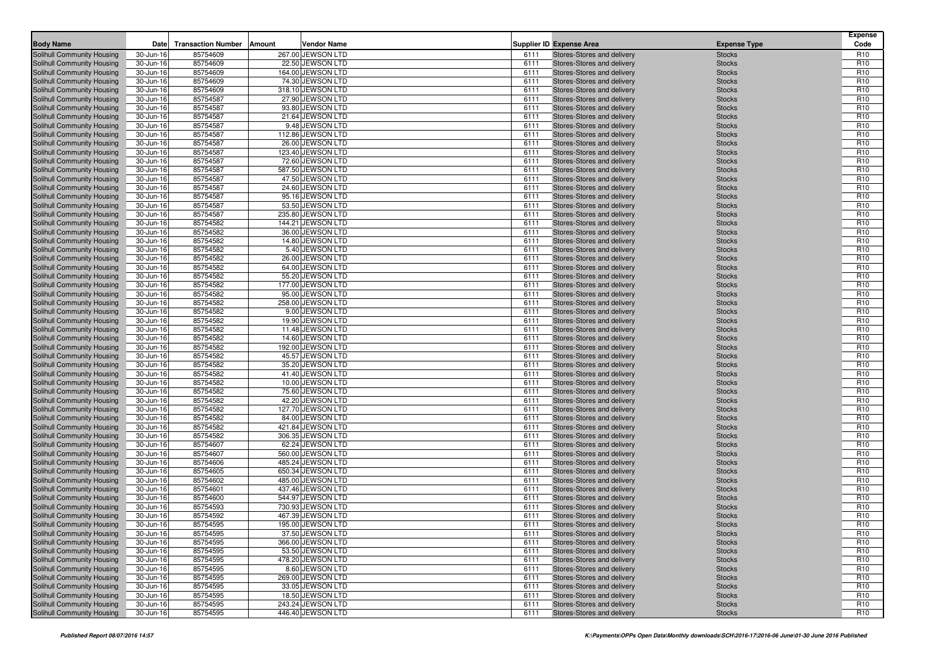| <b>Body Name</b>                                         | Date                   | <b>Transaction Number</b> | Amount | Vendor Name                           |              | <b>Supplier ID Expense Area</b>                          | <b>Expense Type</b>            | <b>Expense</b><br>Code             |
|----------------------------------------------------------|------------------------|---------------------------|--------|---------------------------------------|--------------|----------------------------------------------------------|--------------------------------|------------------------------------|
| Solihull Community Housing                               | 30-Jun-16              | 85754609                  |        | 267.00 JEWSON LTD                     | 6111         | Stores-Stores and delivery                               | <b>Stocks</b>                  | R <sub>10</sub>                    |
| Solihull Community Housing                               | 30-Jun-16              | 85754609                  |        | 22.50 JEWSON LTD                      | 6111         | Stores-Stores and delivery                               | <b>Stocks</b>                  | R <sub>10</sub>                    |
| Solihull Community Housing                               | 30-Jun-16              | 85754609                  |        | 164.00 JEWSON LTD                     | 6111         | Stores-Stores and delivery                               | <b>Stocks</b>                  | R <sub>10</sub>                    |
| Solihull Community Housing                               | 30-Jun-16              | 85754609                  |        | 74.30 JEWSON LTD                      | 6111         | Stores-Stores and delivery                               | <b>Stocks</b>                  | R <sub>10</sub>                    |
| Solihull Community Housing                               | 30-Jun-16              | 85754609                  |        | 318.10 JEWSON LTD                     | 6111         | Stores-Stores and delivery                               | <b>Stocks</b>                  | R <sub>10</sub>                    |
| Solihull Community Housing                               | 30-Jun-16              | 85754587                  |        | 27.90 JEWSON LTD                      | 6111         | Stores-Stores and delivery                               | <b>Stocks</b>                  | R <sub>10</sub>                    |
| Solihull Community Housing                               | 30-Jun-16              | 85754587                  |        | 93.80 JEWSON LTD                      | 6111         | Stores-Stores and delivery                               | <b>Stocks</b>                  | R <sub>10</sub>                    |
| Solihull Community Housing                               | 30-Jun-16              | 85754587                  |        | 21.64 JEWSON LTD                      | 6111         | Stores-Stores and delivery                               | <b>Stocks</b>                  | R <sub>10</sub>                    |
| Solihull Community Housing                               | 30-Jun-16              | 85754587                  |        | 9.48 JEWSON LTD                       | 6111         | Stores-Stores and delivery                               | <b>Stocks</b>                  | R <sub>10</sub>                    |
| Solihull Community Housing                               | 30-Jun-16              | 85754587                  |        | 112.86 JEWSON LTD                     | 6111         | Stores-Stores and delivery                               | <b>Stocks</b>                  | R <sub>10</sub>                    |
| Solihull Community Housing<br>Solihull Community Housing | 30-Jun-16              | 85754587                  |        | 26.00 JEWSON LTD                      | 6111<br>6111 | Stores-Stores and delivery                               | <b>Stocks</b>                  | R <sub>10</sub><br>R <sub>10</sub> |
| Solihull Community Housing                               | 30-Jun-16<br>30-Jun-16 | 85754587<br>85754587      |        | 123.40 JEWSON LTD<br>72.60 JEWSON LTD | 6111         | Stores-Stores and delivery<br>Stores-Stores and delivery | <b>Stocks</b><br><b>Stocks</b> | R <sub>10</sub>                    |
| Solihull Community Housing                               | 30-Jun-16              | 85754587                  |        | 587.50 JEWSON LTD                     | 6111         | Stores-Stores and delivery                               | <b>Stocks</b>                  | R <sub>10</sub>                    |
| Solihull Community Housing                               | 30-Jun-16              | 85754587                  |        | 47.50 JEWSON LTD                      | 6111         | Stores-Stores and delivery                               | <b>Stocks</b>                  | R <sub>10</sub>                    |
| Solihull Community Housing                               | 30-Jun-16              | 85754587                  |        | 24.60 JEWSON LTD                      | 6111         | Stores-Stores and delivery                               | <b>Stocks</b>                  | R <sub>10</sub>                    |
| Solihull Community Housing                               | 30-Jun-16              | 85754587                  |        | 95.16 JEWSON LTD                      | 6111         | Stores-Stores and delivery                               | <b>Stocks</b>                  | R <sub>10</sub>                    |
| Solihull Community Housing                               | 30-Jun-16              | 85754587                  |        | 53.50 JEWSON LTD                      | 6111         | Stores-Stores and delivery                               | <b>Stocks</b>                  | R <sub>10</sub>                    |
| Solihull Community Housing                               | 30-Jun-16              | 85754587                  |        | 235.80 JEWSON LTD                     | 6111         | Stores-Stores and delivery                               | <b>Stocks</b>                  | R <sub>10</sub>                    |
| Solihull Community Housing                               | 30-Jun-16              | 85754582                  |        | 144.21 JEWSON LTD                     | 6111         | Stores-Stores and delivery                               | <b>Stocks</b>                  | R <sub>10</sub>                    |
| Solihull Community Housing                               | 30-Jun-16              | 85754582                  |        | 36.00 JEWSON LTD                      | 6111         | Stores-Stores and delivery                               | <b>Stocks</b>                  | R <sub>10</sub>                    |
| Solihull Community Housing                               | 30-Jun-16              | 85754582                  |        | 14.80 JEWSON LTD                      | 6111         | Stores-Stores and delivery                               | <b>Stocks</b>                  | R <sub>10</sub>                    |
| Solihull Community Housing                               | 30-Jun-16              | 85754582                  |        | 5.40 JEWSON LTD                       | 6111         | Stores-Stores and delivery                               | <b>Stocks</b>                  | R <sub>10</sub>                    |
| Solihull Community Housing                               | 30-Jun-16              | 85754582                  |        | 26.00 JEWSON LTD                      | 6111         | Stores-Stores and delivery                               | <b>Stocks</b>                  | R <sub>10</sub>                    |
| Solihull Community Housing                               | 30-Jun-16              | 85754582                  |        | 64.00 JEWSON LTD                      | 6111         | Stores-Stores and delivery                               | <b>Stocks</b>                  | R <sub>10</sub>                    |
| Solihull Community Housing                               | 30-Jun-16              | 85754582                  |        | 55.20 JEWSON LTD                      | 6111         | Stores-Stores and delivery                               | <b>Stocks</b>                  | R <sub>10</sub>                    |
| Solihull Community Housing<br>Solihull Community Housing | 30-Jun-16<br>30-Jun-16 | 85754582<br>85754582      |        | 177.00 JEWSON LTD<br>95.00 JEWSON LTD | 6111<br>6111 | Stores-Stores and delivery<br>Stores-Stores and delivery | <b>Stocks</b><br><b>Stocks</b> | R <sub>10</sub><br>R <sub>10</sub> |
| Solihull Community Housing                               | 30-Jun-16              | 85754582                  |        | 258.00 JEWSON LTD                     | 6111         | Stores-Stores and delivery                               | <b>Stocks</b>                  | R <sub>10</sub>                    |
| Solihull Community Housing                               | 30-Jun-16              | 85754582                  |        | 9.00 JEWSON LTD                       | 6111         | Stores-Stores and delivery                               | <b>Stocks</b>                  | R <sub>10</sub>                    |
| Solihull Community Housing                               | 30-Jun-16              | 85754582                  |        | 19.90 JEWSON LTD                      | 6111         | Stores-Stores and delivery                               | <b>Stocks</b>                  | R <sub>10</sub>                    |
| Solihull Community Housing                               | 30-Jun-16              | 85754582                  |        | 11.48 JEWSON LTD                      | 6111         | Stores-Stores and delivery                               | <b>Stocks</b>                  | R <sub>10</sub>                    |
| Solihull Community Housing                               | 30-Jun-16              | 85754582                  |        | 14.60 JEWSON LTD                      | 6111         | Stores-Stores and delivery                               | <b>Stocks</b>                  | R <sub>10</sub>                    |
| Solihull Community Housing                               | 30-Jun-16              | 85754582                  |        | 192.00 JEWSON LTD                     | 6111         | Stores-Stores and delivery                               | <b>Stocks</b>                  | R <sub>10</sub>                    |
| Solihull Community Housing                               | 30-Jun-16              | 85754582                  |        | 45.57 JEWSON LTD                      | 6111         | Stores-Stores and delivery                               | <b>Stocks</b>                  | R <sub>10</sub>                    |
| Solihull Community Housing                               | 30-Jun-16              | 85754582                  |        | 35.20 JEWSON LTD                      | 6111         | Stores-Stores and delivery                               | <b>Stocks</b>                  | R <sub>10</sub>                    |
| Solihull Community Housing                               | 30-Jun-16              | 85754582                  |        | 41.40 JEWSON LTD                      | 6111         | Stores-Stores and delivery                               | <b>Stocks</b>                  | R <sub>10</sub>                    |
| Solihull Community Housing                               | 30-Jun-16              | 85754582                  |        | 10.00 JEWSON LTD                      | 6111         | Stores-Stores and delivery                               | <b>Stocks</b>                  | R <sub>10</sub>                    |
| <b>Solihull Community Housing</b>                        | 30-Jun-16              | 85754582                  |        | 75.60 JEWSON LTD                      | 6111         | Stores-Stores and delivery                               | <b>Stocks</b>                  | R <sub>10</sub>                    |
| Solihull Community Housing<br>Solihull Community Housing | 30-Jun-16<br>30-Jun-16 | 85754582<br>85754582      |        | 42.20 JEWSON LTD<br>127.70 JEWSON LTD | 6111<br>6111 | Stores-Stores and delivery<br>Stores-Stores and delivery | <b>Stocks</b><br><b>Stocks</b> | R <sub>10</sub><br>R <sub>10</sub> |
| Solihull Community Housing                               | 30-Jun-16              | 85754582                  |        | 84.00 JEWSON LTD                      | 6111         | Stores-Stores and delivery                               | <b>Stocks</b>                  | R <sub>10</sub>                    |
| Solihull Community Housing                               | 30-Jun-16              | 85754582                  |        | 421.84 JEWSON LTD                     | 6111         | Stores-Stores and delivery                               | <b>Stocks</b>                  | R <sub>10</sub>                    |
| Solihull Community Housing                               | 30-Jun-16              | 85754582                  |        | 306.35 JEWSON LTD                     | 6111         | Stores-Stores and delivery                               | <b>Stocks</b>                  | R <sub>10</sub>                    |
| Solihull Community Housing                               | 30-Jun-16              | 85754607                  |        | 62.24 JEWSON LTD                      | 6111         | Stores-Stores and delivery                               | <b>Stocks</b>                  | R <sub>10</sub>                    |
| Solihull Community Housing                               | 30-Jun-16              | 85754607                  |        | 560.00 JEWSON LTD                     | 6111         | Stores-Stores and delivery                               | <b>Stocks</b>                  | R <sub>10</sub>                    |
| Solihull Community Housing                               | 30-Jun-16              | 85754606                  |        | 485.24 JEWSON LTD                     | 6111         | Stores-Stores and delivery                               | <b>Stocks</b>                  | R <sub>10</sub>                    |
| Solihull Community Housing                               | 30-Jun-16              | 85754605                  |        | 650.34 JEWSON LTD                     | 6111         | Stores-Stores and delivery                               | <b>Stocks</b>                  | R <sub>10</sub>                    |
| Solihull Community Housing                               | 30-Jun-16              | 85754602                  |        | 485.00 JEWSON LTD                     | 6111         | Stores-Stores and delivery                               | <b>Stocks</b>                  | R <sub>10</sub>                    |
| Solihull Community Housing                               | 30-Jun-16              | 85754601                  |        | 437.46 JEWSON LTD                     | 6111         | Stores-Stores and delivery                               | <b>Stocks</b>                  | R <sub>10</sub>                    |
| Solihull Community Housing                               | 30-Jun-16              | 85754600                  |        | 544.97 JEWSON LTD                     | 6111         | Stores-Stores and delivery                               | <b>Stocks</b>                  | R <sub>10</sub>                    |
| Solihull Community Housing                               | 30-Jun-16              | 85754593                  |        | 730.93 JEWSON LTD                     | 6111         | Stores-Stores and delivery                               | <b>Stocks</b>                  | R <sub>10</sub>                    |
| Solihull Community Housing                               | 30-Jun-16              | 85754592                  |        | 467.39 JEWSON LTD                     | 6111         | Stores-Stores and delivery<br>Stores-Stores and delivery | <b>Stocks</b>                  | R <sub>10</sub>                    |
| Solihull Community Housing<br>Solihull Community Housing | 30-Jun-16              | 85754595                  |        | 195.00 JEWSON LTD                     | 6111         |                                                          | <b>Stocks</b>                  | R <sub>10</sub><br>R <sub>10</sub> |
| Solihull Community Housing                               | 30-Jun-16<br>30-Jun-16 | 85754595<br>85754595      |        | 37.50 JEWSON LTD<br>366.00 JEWSON LTD | 6111<br>6111 | Stores-Stores and delivery<br>Stores-Stores and delivery | <b>Stocks</b><br><b>Stocks</b> | R <sub>10</sub>                    |
| Solihull Community Housing                               | 30-Jun-16              | 85754595                  |        | 53.50 JEWSON LTD                      | 6111         | Stores-Stores and delivery                               | <b>Stocks</b>                  | R <sub>10</sub>                    |
| Solihull Community Housing                               | 30-Jun-16              | 85754595                  |        | 478.20 JEWSON LTD                     | 6111         | Stores-Stores and delivery                               | <b>Stocks</b>                  | R <sub>10</sub>                    |
| Solihull Community Housing                               | 30-Jun-16              | 85754595                  |        | 8.60 JEWSON LTD                       | 6111         | Stores-Stores and delivery                               | <b>Stocks</b>                  | R <sub>10</sub>                    |
| Solihull Community Housing                               | 30-Jun-16              | 85754595                  |        | 269.00 JEWSON LTD                     | 6111         | Stores-Stores and delivery                               | <b>Stocks</b>                  | R <sub>10</sub>                    |
| Solihull Community Housing                               | 30-Jun-16              | 85754595                  |        | 33.05 JEWSON LTD                      | 6111         | Stores-Stores and delivery                               | <b>Stocks</b>                  | R <sub>10</sub>                    |
| Solihull Community Housing                               | 30-Jun-16              | 85754595                  |        | 18.50 JEWSON LTD                      | 6111         | Stores-Stores and delivery                               | <b>Stocks</b>                  | R <sub>10</sub>                    |
| Solihull Community Housing                               | 30-Jun-16              | 85754595                  |        | 243.24 JEWSON LTD                     | 6111         | Stores-Stores and delivery                               | <b>Stocks</b>                  | R <sub>10</sub>                    |
| Solihull Community Housing                               | 30-Jun-16              | 85754595                  |        | 446.40 JEWSON LTD                     | 6111         | Stores-Stores and delivery                               | <b>Stocks</b>                  | R <sub>10</sub>                    |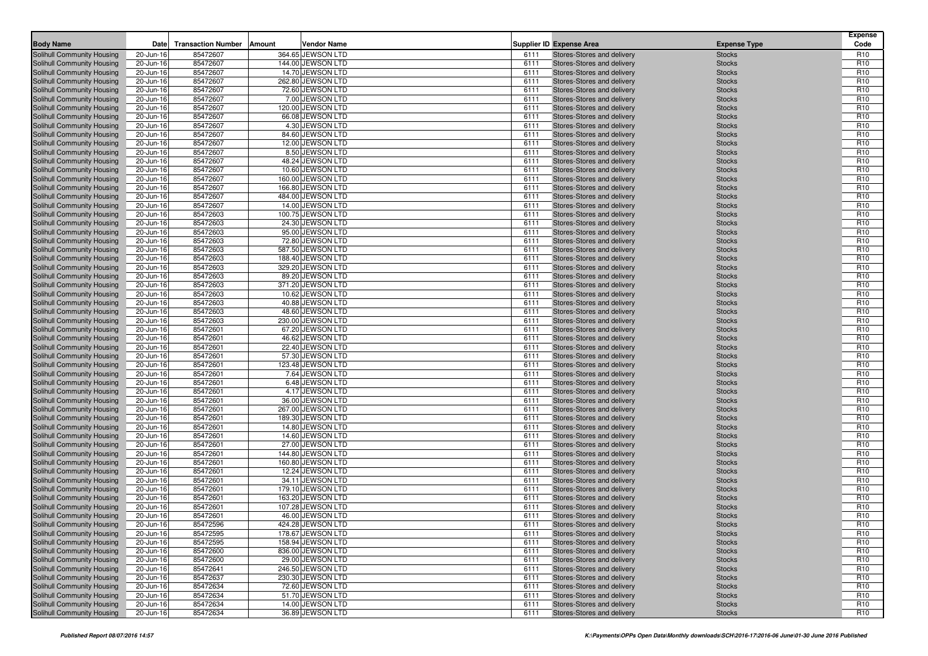| <b>Body Name</b>                                         | Date                   | <b>Transaction Number</b> | Amount<br>Vendor Name                  |              |              | <b>Supplier ID Expense Area</b>                          |                                | <b>Expense</b><br>Code             |
|----------------------------------------------------------|------------------------|---------------------------|----------------------------------------|--------------|--------------|----------------------------------------------------------|--------------------------------|------------------------------------|
|                                                          |                        |                           |                                        |              |              |                                                          | <b>Expense Type</b>            |                                    |
| Solihull Community Housing<br>Solihull Community Housing | 20-Jun-16<br>20-Jun-16 | 85472607<br>85472607      | 364.65 JEWSON LTD<br>144.00 JEWSON LTD | 6111         | 6111         | Stores-Stores and delivery<br>Stores-Stores and delivery | <b>Stocks</b><br><b>Stocks</b> | R <sub>10</sub><br>R <sub>10</sub> |
| Solihull Community Housing                               | 20-Jun-16              | 85472607                  | 14.70 JEWSON LTD                       |              | 6111         | Stores-Stores and delivery                               | <b>Stocks</b>                  | R <sub>10</sub>                    |
| Solihull Community Housing                               | 20-Jun-16              | 85472607                  | 262.80 JEWSON LTD                      | 6111         |              | Stores-Stores and delivery                               | <b>Stocks</b>                  | R <sub>10</sub>                    |
| Solihull Community Housing                               | 20-Jun-16              | 85472607                  | 72.60 JEWSON LTD                       | 6111         |              | Stores-Stores and delivery                               | <b>Stocks</b>                  | R <sub>10</sub>                    |
| Solihull Community Housing                               | 20-Jun-16              | 85472607                  | 7.00 JEWSON LTD                        |              | 6111         | Stores-Stores and delivery                               | <b>Stocks</b>                  | R <sub>10</sub>                    |
| Solihull Community Housing                               | 20-Jun-16              | 85472607                  | 120.00 JEWSON LTD                      | 6111         |              | Stores-Stores and delivery                               | <b>Stocks</b>                  | R <sub>10</sub>                    |
| Solihull Community Housing                               | 20-Jun-16              | 85472607                  | 66.08 JEWSON LTD                       | 6111         |              | Stores-Stores and delivery                               | <b>Stocks</b>                  | R <sub>10</sub>                    |
| Solihull Community Housing                               | 20-Jun-16              | 85472607                  | 4.30 JEWSON LTD                        |              | 6111         | Stores-Stores and delivery                               | <b>Stocks</b>                  | R <sub>10</sub>                    |
| Solihull Community Housing                               | 20-Jun-16              | 85472607                  | 84.60 JEWSON LTD                       |              | 6111         | Stores-Stores and delivery                               | <b>Stocks</b>                  | R <sub>10</sub>                    |
| Solihull Community Housing                               | 20-Jun-16              | 85472607                  | 12.00 JEWSON LTD                       | 6111         |              | Stores-Stores and delivery                               | <b>Stocks</b>                  | R <sub>10</sub>                    |
| Solihull Community Housing                               | 20-Jun-16              | 85472607                  | 8.50 JEWSON LTD                        |              | 6111         | Stores-Stores and delivery                               | <b>Stocks</b>                  | R <sub>10</sub>                    |
| Solihull Community Housing                               | 20-Jun-16              | 85472607                  | 48.24 JEWSON LTD                       |              | 6111         | Stores-Stores and delivery                               | <b>Stocks</b>                  | R <sub>10</sub>                    |
| Solihull Community Housing                               | 20-Jun-16              | 85472607                  | 10.60 JEWSON LTD                       | 6111         |              | Stores-Stores and delivery                               | <b>Stocks</b>                  | R <sub>10</sub>                    |
| Solihull Community Housing                               | 20-Jun-16              | 85472607                  | 160.00 JEWSON LTD                      |              | 6111         | Stores-Stores and delivery                               | <b>Stocks</b>                  | R <sub>10</sub>                    |
| Solihull Community Housing                               | 20-Jun-16              | 85472607                  | 166.80 JEWSON LTD                      | 6111         |              | Stores-Stores and delivery                               | <b>Stocks</b>                  | R <sub>10</sub><br>R <sub>10</sub> |
| Solihull Community Housing<br>Solihull Community Housing | 20-Jun-16<br>20-Jun-16 | 85472607<br>85472607      | 484.00 JEWSON LTD<br>14.00 JEWSON LTD  | 6111<br>6111 |              | Stores-Stores and delivery<br>Stores-Stores and delivery | <b>Stocks</b><br><b>Stocks</b> | R <sub>10</sub>                    |
| Solihull Community Housing                               | 20-Jun-16              | 85472603                  | 100.75 JEWSON LTD                      | 6111         |              | Stores-Stores and delivery                               | <b>Stocks</b>                  | R <sub>10</sub>                    |
| Solihull Community Housing                               | 20-Jun-16              | 85472603                  | 24.30 JEWSON LTD                       | 6111         |              | Stores-Stores and delivery                               | <b>Stocks</b>                  | R <sub>10</sub>                    |
| Solihull Community Housing                               | 20-Jun-16              | 85472603                  | 95.00 JEWSON LTD                       | 6111         |              | Stores-Stores and delivery                               | <b>Stocks</b>                  | R <sub>10</sub>                    |
| Solihull Community Housing                               | 20-Jun-16              | 85472603                  | 72.80 JEWSON LTD                       | 6111         |              | Stores-Stores and delivery                               | <b>Stocks</b>                  | R <sub>10</sub>                    |
| Solihull Community Housing                               | 20-Jun-16              | 85472603                  | 587.50 JEWSON LTD                      | 6111         |              | Stores-Stores and delivery                               | <b>Stocks</b>                  | R <sub>10</sub>                    |
| Solihull Community Housing                               | 20-Jun-16              | 85472603                  | 188.40 JEWSON LTD                      | 6111         |              | Stores-Stores and delivery                               | <b>Stocks</b>                  | R <sub>10</sub>                    |
| Solihull Community Housing                               | 20-Jun-16              | 85472603                  | 329.20 JEWSON LTD                      | 6111         |              | Stores-Stores and delivery                               | <b>Stocks</b>                  | R <sub>10</sub>                    |
| Solihull Community Housing                               | 20-Jun-16              | 85472603                  | 89.20 JEWSON LTD                       | 6111         |              | Stores-Stores and delivery                               | <b>Stocks</b>                  | R <sub>10</sub>                    |
| Solihull Community Housing                               | 20-Jun-16              | 85472603                  | 371.20 JEWSON LTD                      | 6111         |              | Stores-Stores and delivery                               | <b>Stocks</b>                  | R <sub>10</sub>                    |
| Solihull Community Housing                               | 20-Jun-16              | 85472603                  | 10.62 JEWSON LTD                       | 6111         |              | Stores-Stores and delivery                               | <b>Stocks</b>                  | R <sub>10</sub>                    |
| Solihull Community Housing                               | 20-Jun-16              | 85472603                  | 40.88 JEWSON LTD                       | 6111         |              | Stores-Stores and delivery                               | <b>Stocks</b>                  | R <sub>10</sub>                    |
| Solihull Community Housing                               | 20-Jun-16              | 85472603                  | 48.60 JEWSON LTD                       | 6111         |              | Stores-Stores and delivery                               | <b>Stocks</b>                  | R <sub>10</sub>                    |
| Solihull Community Housing                               | 20-Jun-16              | 85472603                  | 230.00 JEWSON LTD                      | 6111         |              | Stores-Stores and delivery                               | <b>Stocks</b>                  | R <sub>10</sub>                    |
| Solihull Community Housing                               | 20-Jun-16              | 85472601                  | 67.20 JEWSON LTD                       | 6111         |              | Stores-Stores and delivery                               | <b>Stocks</b>                  | R <sub>10</sub>                    |
| Solihull Community Housing<br>Solihull Community Housing | 20-Jun-16<br>20-Jun-16 | 85472601<br>85472601      | 46.62 JEWSON LTD<br>22.40 JEWSON LTD   | 6111<br>6111 |              | Stores-Stores and delivery<br>Stores-Stores and delivery | <b>Stocks</b><br><b>Stocks</b> | R <sub>10</sub><br>R <sub>10</sub> |
| Solihull Community Housing                               | 20-Jun-16              | 85472601                  | 57.30 JEWSON LTD                       |              | 6111         | Stores-Stores and delivery                               | <b>Stocks</b>                  | R <sub>10</sub>                    |
| Solihull Community Housing                               | 20-Jun-16              | 85472601                  | 123.48 JEWSON LTD                      | 6111         |              | Stores-Stores and delivery                               | <b>Stocks</b>                  | R <sub>10</sub>                    |
| <b>Solihull Community Housing</b>                        | 20-Jun-16              | 85472601                  | 7.64 JEWSON LTD                        | 6111         |              | Stores-Stores and delivery                               | <b>Stocks</b>                  | R <sub>10</sub>                    |
| Solihull Community Housing                               | 20-Jun-16              | 85472601                  | 6.48 JEWSON LTD                        |              | 6111         | Stores-Stores and delivery                               | <b>Stocks</b>                  | R <sub>10</sub>                    |
| Solihull Community Housing                               | 20-Jun-16              | 85472601                  | 4.17 JEWSON LTD                        | 6111         |              | Stores-Stores and delivery                               | <b>Stocks</b>                  | R <sub>10</sub>                    |
| Solihull Community Housing                               | 20-Jun-16              | 85472601                  | 36.00 JEWSON LTD                       | 6111         |              | Stores-Stores and delivery                               | <b>Stocks</b>                  | R <sub>10</sub>                    |
| Solihull Community Housing                               | 20-Jun-16              | 85472601                  | 267.00 JEWSON LTD                      |              | 6111         | Stores-Stores and delivery                               | <b>Stocks</b>                  | R <sub>10</sub>                    |
| Solihull Community Housing                               | 20-Jun-16              | 85472601                  | 189.30 JEWSON LTD                      | 6111         |              | Stores-Stores and delivery                               | <b>Stocks</b>                  | R <sub>10</sub>                    |
| Solihull Community Housing                               | 20-Jun-16              | 85472601                  | 14.80 JEWSON LTD                       | 6111         |              | Stores-Stores and delivery                               | <b>Stocks</b>                  | R <sub>10</sub>                    |
| Solihull Community Housing                               | 20-Jun-16              | 85472601                  | 14.60 JEWSON LTD                       |              | 6111         | Stores-Stores and delivery                               | <b>Stocks</b>                  | R <sub>10</sub>                    |
| Solihull Community Housing                               | 20-Jun-16              | 85472601                  | 27.00 JEWSON LTD                       | 6111         |              | Stores-Stores and delivery                               | <b>Stocks</b>                  | R <sub>10</sub>                    |
| Solihull Community Housing                               | 20-Jun-16              | 85472601                  | 144.80 JEWSON LTD                      | 6111         |              | Stores-Stores and delivery                               | <b>Stocks</b>                  | R <sub>10</sub>                    |
| Solihull Community Housing<br>Solihull Community Housing | 20-Jun-16<br>20-Jun-16 | 85472601<br>85472601      | 160.80 JEWSON LTD<br>12.24 JEWSON LTD  | 6111         | 6111         | Stores-Stores and delivery<br>Stores-Stores and delivery | <b>Stocks</b><br><b>Stocks</b> | R <sub>10</sub><br>R <sub>10</sub> |
| Solihull Community Housing                               | 20-Jun-16              | 85472601                  | 34.11 JEWSON LTD                       | 6111         |              | Stores-Stores and delivery                               | <b>Stocks</b>                  | R <sub>10</sub>                    |
| Solihull Community Housing                               | 20-Jun-16              | 85472601                  | 179.10 JEWSON LTD                      | 6111         |              | Stores-Stores and delivery                               | <b>Stocks</b>                  | R <sub>10</sub>                    |
| Solihull Community Housing                               | 20-Jun-16              | 85472601                  | 163.20 JEWSON LTD                      | 6111         |              | Stores-Stores and delivery                               | <b>Stocks</b>                  | R <sub>10</sub>                    |
| Solihull Community Housing                               | 20-Jun-16              | 85472601                  | 107.28 JEWSON LTD                      | 6111         |              | Stores-Stores and delivery                               | <b>Stocks</b>                  | R <sub>10</sub>                    |
| Solihull Community Housing                               | 20-Jun-16              | 85472601                  | 46.00 JEWSON LTD                       |              | 6111         | Stores-Stores and delivery                               | <b>Stocks</b>                  | R <sub>10</sub>                    |
| Solihull Community Housing                               | 20-Jun-16              | 85472596                  | 424.28 JEWSON LTD                      |              | 6111         | Stores-Stores and delivery                               | <b>Stocks</b>                  | R <sub>10</sub>                    |
| Solihull Community Housing                               | 20-Jun-16              | 85472595                  | 178.67 JEWSON LTD                      |              | 6111         | Stores-Stores and delivery                               | <b>Stocks</b>                  | R <sub>10</sub>                    |
| Solihull Community Housing                               | 20-Jun-16              | 85472595                  | 158.94 JEWSON LTD                      |              | 6111         | Stores-Stores and delivery                               | <b>Stocks</b>                  | R <sub>10</sub>                    |
| Solihull Community Housing                               | 20-Jun-16              | 85472600                  | 836.00 JEWSON LTD                      |              | 6111         | Stores-Stores and delivery                               | <b>Stocks</b>                  | R <sub>10</sub>                    |
| Solihull Community Housing                               | 20-Jun-16              | 85472600                  | 29.00 JEWSON LTD                       |              | 6111         | Stores-Stores and delivery                               | <b>Stocks</b>                  | R <sub>10</sub>                    |
| Solihull Community Housing                               | 20-Jun-16              | 85472641                  | 246.50 JEWSON LTD                      |              | 6111         | Stores-Stores and delivery                               | <b>Stocks</b>                  | R <sub>10</sub>                    |
| Solihull Community Housing                               | 20-Jun-16              | 85472637                  | 230.30 JEWSON LTD                      |              | 6111         | Stores-Stores and delivery                               | <b>Stocks</b>                  | R <sub>10</sub>                    |
| Solihull Community Housing                               | 20-Jun-16              | 85472634                  | 72.60 JEWSON LTD                       |              | 6111         | Stores-Stores and delivery                               | <b>Stocks</b>                  | R <sub>10</sub>                    |
| Solihull Community Housing                               | 20-Jun-16              | 85472634                  | 51.70 JEWSON LTD<br>14.00 JEWSON LTD   |              | 6111<br>6111 | Stores-Stores and delivery<br>Stores-Stores and delivery | <b>Stocks</b>                  | R <sub>10</sub>                    |
| Solihull Community Housing<br>Solihull Community Housing | 20-Jun-16<br>20-Jun-16 | 85472634<br>85472634      | 36.89 JEWSON LTD                       |              | 6111         | Stores-Stores and delivery                               | <b>Stocks</b><br><b>Stocks</b> | R <sub>10</sub><br>R <sub>10</sub> |
|                                                          |                        |                           |                                        |              |              |                                                          |                                |                                    |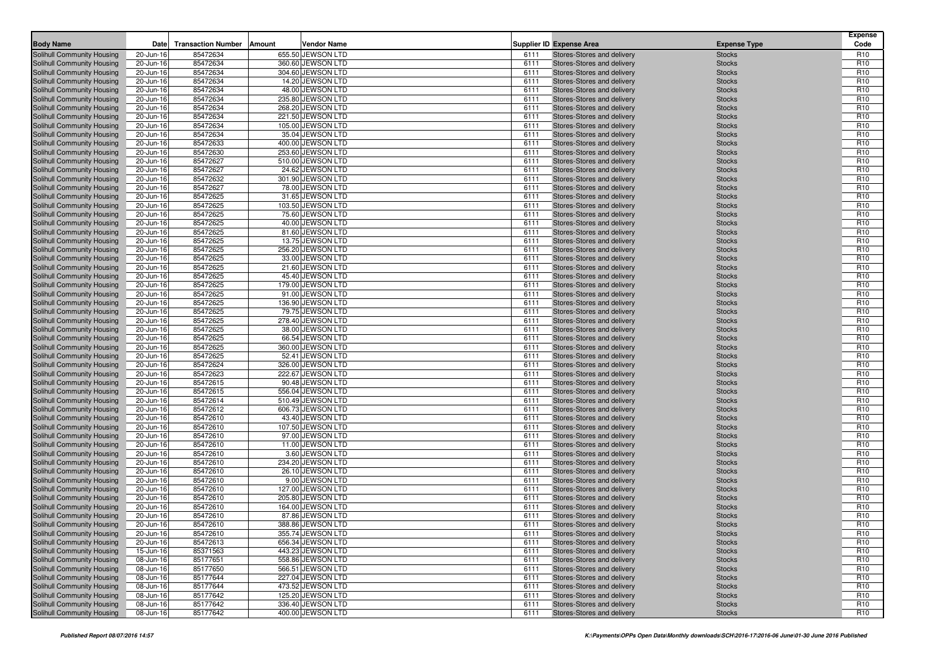| <b>Body Name</b>                                         | Date                   | <b>Transaction Number</b> | Amount | Vendor Name                           |              | <b>Supplier ID Expense Area</b>                          | <b>Expense Type</b>            | <b>Expense</b><br>Code             |
|----------------------------------------------------------|------------------------|---------------------------|--------|---------------------------------------|--------------|----------------------------------------------------------|--------------------------------|------------------------------------|
| Solihull Community Housing                               | 20-Jun-16              | 85472634                  |        | 655.50 JEWSON LTD                     | 6111         | Stores-Stores and delivery                               | <b>Stocks</b>                  | R <sub>10</sub>                    |
| Solihull Community Housing                               | 20-Jun-16              | 85472634                  |        | 360.60 JEWSON LTD                     | 6111         | Stores-Stores and delivery                               | <b>Stocks</b>                  | R <sub>10</sub>                    |
| Solihull Community Housing                               | 20-Jun-16              | 85472634                  |        | 304.60 JEWSON LTD                     | 6111         | Stores-Stores and delivery                               | <b>Stocks</b>                  | R <sub>10</sub>                    |
| Solihull Community Housing                               | 20-Jun-16              | 85472634                  |        | 14.20 JEWSON LTD                      | 6111         | Stores-Stores and delivery                               | <b>Stocks</b>                  | R <sub>10</sub>                    |
| Solihull Community Housing                               | 20-Jun-16              | 85472634                  |        | 48.00 JEWSON LTD                      | 6111         | Stores-Stores and delivery                               | <b>Stocks</b>                  | R <sub>10</sub>                    |
| Solihull Community Housing                               | 20-Jun-16              | 85472634                  |        | 235.80 JEWSON LTD                     | 6111         | Stores-Stores and delivery                               | <b>Stocks</b>                  | R <sub>10</sub>                    |
| Solihull Community Housing                               | 20-Jun-16              | 85472634                  |        | 268.20 JEWSON LTD                     | 6111         | Stores-Stores and delivery                               | <b>Stocks</b>                  | R <sub>10</sub>                    |
| Solihull Community Housing                               | 20-Jun-16              | 85472634                  |        | 221.50 JEWSON LTD                     | 6111         | Stores-Stores and delivery                               | <b>Stocks</b>                  | R <sub>10</sub>                    |
| Solihull Community Housing                               | 20-Jun-16              | 85472634                  |        | 105.00 JEWSON LTD                     | 6111         | Stores-Stores and delivery                               | <b>Stocks</b>                  | R <sub>10</sub>                    |
| Solihull Community Housing                               | 20-Jun-16              | 85472634                  |        | 35.04 JEWSON LTD                      | 6111         | Stores-Stores and delivery                               | <b>Stocks</b>                  | R <sub>10</sub>                    |
| Solihull Community Housing                               | 20-Jun-16              | 85472633                  |        | 400.00 JEWSON LTD                     | 6111         | Stores-Stores and delivery                               | <b>Stocks</b>                  | R <sub>10</sub>                    |
| Solihull Community Housing                               | 20-Jun-16              | 85472630                  |        | 253.60 JEWSON LTD                     | 6111         | Stores-Stores and delivery                               | <b>Stocks</b>                  | R <sub>10</sub>                    |
| Solihull Community Housing                               | 20-Jun-16              | 85472627                  |        | 510.00 JEWSON LTD                     | 6111         | Stores-Stores and delivery                               | <b>Stocks</b>                  | R <sub>10</sub>                    |
| Solihull Community Housing                               | 20-Jun-16              | 85472627                  |        | 24.62 JEWSON LTD                      | 6111         | Stores-Stores and delivery                               | <b>Stocks</b>                  | R <sub>10</sub>                    |
| Solihull Community Housing<br>Solihull Community Housing | 20-Jun-16<br>20-Jun-16 | 85472632<br>85472627      |        | 301.90 JEWSON LTD<br>78.00 JEWSON LTD | 6111<br>6111 | Stores-Stores and delivery<br>Stores-Stores and delivery | <b>Stocks</b><br><b>Stocks</b> | R <sub>10</sub><br>R <sub>10</sub> |
| Solihull Community Housing                               | 20-Jun-16              | 85472625                  |        | 31.65 JEWSON LTD                      | 6111         | Stores-Stores and delivery                               | <b>Stocks</b>                  | R <sub>10</sub>                    |
| Solihull Community Housing                               | 20-Jun-16              | 85472625                  |        | 103.50 JEWSON LTD                     | 6111         | Stores-Stores and delivery                               | <b>Stocks</b>                  | R <sub>10</sub>                    |
| Solihull Community Housing                               | 20-Jun-16              | 85472625                  |        | 75.60 JEWSON LTD                      | 6111         | Stores-Stores and delivery                               | <b>Stocks</b>                  | R <sub>10</sub>                    |
| Solihull Community Housing                               | 20-Jun-16              | 85472625                  |        | 40.00 JEWSON LTD                      | 6111         | Stores-Stores and delivery                               | <b>Stocks</b>                  | R <sub>10</sub>                    |
| Solihull Community Housing                               | 20-Jun-16              | 85472625                  |        | 81.60 JEWSON LTD                      | 6111         | Stores-Stores and delivery                               | <b>Stocks</b>                  | R <sub>10</sub>                    |
| Solihull Community Housing                               | 20-Jun-16              | 85472625                  |        | 13.75 JEWSON LTD                      | 6111         | Stores-Stores and delivery                               | <b>Stocks</b>                  | R <sub>10</sub>                    |
| Solihull Community Housing                               | 20-Jun-16              | 85472625                  |        | 256.20 JEWSON LTD                     | 6111         | Stores-Stores and delivery                               | <b>Stocks</b>                  | R <sub>10</sub>                    |
| Solihull Community Housing                               | 20-Jun-16              | 85472625                  |        | 33.00 JEWSON LTD                      | 6111         | Stores-Stores and delivery                               | <b>Stocks</b>                  | R <sub>10</sub>                    |
| Solihull Community Housing                               | 20-Jun-16              | 85472625                  |        | 21.60 JEWSON LTD                      | 6111         | Stores-Stores and delivery                               | <b>Stocks</b>                  | R <sub>10</sub>                    |
| Solihull Community Housing                               | 20-Jun-16              | 85472625                  |        | 45.40 JEWSON LTD                      | 6111         | Stores-Stores and delivery                               | <b>Stocks</b>                  | R <sub>10</sub>                    |
| Solihull Community Housing                               | 20-Jun-16              | 85472625                  |        | 179.00 JEWSON LTD                     | 6111         | Stores-Stores and delivery                               | <b>Stocks</b>                  | R <sub>10</sub>                    |
| Solihull Community Housing                               | 20-Jun-16              | 85472625                  |        | 91.00 JEWSON LTD                      | 6111         | Stores-Stores and delivery                               | <b>Stocks</b>                  | R <sub>10</sub>                    |
| Solihull Community Housing                               | 20-Jun-16              | 85472625                  |        | 136.90 JEWSON LTD                     | 6111         | Stores-Stores and delivery                               | <b>Stocks</b>                  | R <sub>10</sub>                    |
| Solihull Community Housing                               | 20-Jun-16              | 85472625                  |        | 79.75 JEWSON LTD                      | 6111         | Stores-Stores and delivery                               | <b>Stocks</b>                  | R <sub>10</sub>                    |
| Solihull Community Housing<br>Solihull Community Housing | 20-Jun-16<br>20-Jun-16 | 85472625<br>85472625      |        | 278.40 JEWSON LTD<br>38.00 JEWSON LTD | 6111<br>6111 | Stores-Stores and delivery<br>Stores-Stores and delivery | <b>Stocks</b><br><b>Stocks</b> | R <sub>10</sub><br>R <sub>10</sub> |
| Solihull Community Housing                               | 20-Jun-16              | 85472625                  |        | 66.54 JEWSON LTD                      | 6111         | Stores-Stores and delivery                               | <b>Stocks</b>                  | R <sub>10</sub>                    |
| Solihull Community Housing                               | 20-Jun-16              | 85472625                  |        | 360.00 JEWSON LTD                     | 6111         | Stores-Stores and delivery                               | <b>Stocks</b>                  | R <sub>10</sub>                    |
| Solihull Community Housing                               | 20-Jun-16              | 85472625                  |        | 52.41 JEWSON LTD                      | 6111         | Stores-Stores and delivery                               | <b>Stocks</b>                  | R <sub>10</sub>                    |
| Solihull Community Housing                               | 20-Jun-16              | 85472624                  |        | 326.00 JEWSON LTD                     | 6111         | Stores-Stores and delivery                               | <b>Stocks</b>                  | R <sub>10</sub>                    |
| Solihull Community Housing                               | 20-Jun-16              | 85472623                  |        | 222.67 JEWSON LTD                     | 6111         | Stores-Stores and delivery                               | <b>Stocks</b>                  | R <sub>10</sub>                    |
| Solihull Community Housing                               | 20-Jun-16              | 85472615                  |        | 90.48 JEWSON LTD                      | 6111         | Stores-Stores and delivery                               | <b>Stocks</b>                  | R <sub>10</sub>                    |
| <b>Solihull Community Housing</b>                        | 20-Jun-16              | 85472615                  |        | 556.04 JEWSON LTD                     | 6111         | Stores-Stores and delivery                               | <b>Stocks</b>                  | R <sub>10</sub>                    |
| Solihull Community Housing                               | 20-Jun-16              | 85472614                  |        | 510.49 JEWSON LTD                     | 6111         | Stores-Stores and delivery                               | <b>Stocks</b>                  | R <sub>10</sub>                    |
| Solihull Community Housing                               | 20-Jun-16              | 85472612                  |        | 606.73 JEWSON LTD                     | 6111         | Stores-Stores and delivery                               | <b>Stocks</b>                  | R <sub>10</sub>                    |
| Solihull Community Housing                               | 20-Jun-16              | 85472610                  |        | 43.40 JEWSON LTD                      | 6111         | Stores-Stores and delivery                               | <b>Stocks</b>                  | R <sub>10</sub>                    |
| Solihull Community Housing                               | 20-Jun-16              | 85472610                  |        | 107.50 JEWSON LTD                     | 6111         | Stores-Stores and delivery                               | <b>Stocks</b>                  | R <sub>10</sub>                    |
| Solihull Community Housing                               | 20-Jun-16              | 85472610                  |        | 97.00 JEWSON LTD                      | 6111         | Stores-Stores and delivery                               | <b>Stocks</b>                  | R <sub>10</sub>                    |
| Solihull Community Housing                               | 20-Jun-16              | 85472610                  |        | 11.00 JEWSON LTD                      | 6111         | Stores-Stores and delivery                               | <b>Stocks</b>                  | R <sub>10</sub>                    |
| Solihull Community Housing<br>Solihull Community Housing | 20-Jun-16<br>20-Jun-16 | 85472610<br>85472610      |        | 3.60 JEWSON LTD<br>234.20 JEWSON LTD  | 6111<br>6111 | Stores-Stores and delivery<br>Stores-Stores and delivery | <b>Stocks</b><br><b>Stocks</b> | R <sub>10</sub><br>R <sub>10</sub> |
| Solihull Community Housing                               | 20-Jun-16              | 85472610                  |        | 26.10 JEWSON LTD                      | 6111         | Stores-Stores and delivery                               | <b>Stocks</b>                  | R <sub>10</sub>                    |
| Solihull Community Housing                               | 20-Jun-16              | 85472610                  |        | 9.00 JEWSON LTD                       | 6111         | Stores-Stores and delivery                               | <b>Stocks</b>                  | R <sub>10</sub>                    |
| Solihull Community Housing                               | 20-Jun-16              | 85472610                  |        | 127.00 JEWSON LTD                     | 6111         | Stores-Stores and delivery                               | <b>Stocks</b>                  | R <sub>10</sub>                    |
| Solihull Community Housing                               | 20-Jun-16              | 85472610                  |        | 205.80 JEWSON LTD                     | 6111         | Stores-Stores and delivery                               | <b>Stocks</b>                  | R <sub>10</sub>                    |
| Solihull Community Housing                               | 20-Jun-16              | 85472610                  |        | 164.00 JEWSON LTD                     | 6111         | Stores-Stores and delivery                               | <b>Stocks</b>                  | R <sub>10</sub>                    |
| Solihull Community Housing                               | 20-Jun-16              | 85472610                  |        | 87.86 JEWSON LTD                      | 6111         | Stores-Stores and delivery                               | <b>Stocks</b>                  | R <sub>10</sub>                    |
| Solihull Community Housing                               | 20-Jun-16              | 85472610                  |        | 388.86 JEWSON LTD                     | 6111         | Stores-Stores and delivery                               | <b>Stocks</b>                  | R <sub>10</sub>                    |
| Solihull Community Housing                               | 20-Jun-16              | 85472610                  |        | 355.74 JEWSON LTD                     | 6111         | Stores-Stores and delivery                               | <b>Stocks</b>                  | R <sub>10</sub>                    |
| Solihull Community Housing                               | 20-Jun-16              | 85472613                  |        | 656.34 JEWSON LTD                     | 6111         | Stores-Stores and delivery                               | <b>Stocks</b>                  | R <sub>10</sub>                    |
| Solihull Community Housing                               | 15-Jun-16              | 85371563                  |        | 443.23 JEWSON LTD                     | 6111         | Stores-Stores and delivery                               | <b>Stocks</b>                  | R <sub>10</sub>                    |
| Solihull Community Housing                               | 08-Jun-16              | 85177651                  |        | 558.86 JEWSON LTD                     | 6111         | Stores-Stores and delivery                               | <b>Stocks</b>                  | R <sub>10</sub>                    |
| Solihull Community Housing                               | 08-Jun-16              | 85177650                  |        | 566.51 JEWSON LTD                     | 6111         | Stores-Stores and delivery                               | <b>Stocks</b>                  | R <sub>10</sub>                    |
| Solihull Community Housing                               | 08-Jun-16              | 85177644                  |        | 227.04 JEWSON LTD                     | 6111         | Stores-Stores and delivery                               | <b>Stocks</b>                  | R <sub>10</sub>                    |
| Solihull Community Housing                               | 08-Jun-16              | 85177644                  |        | 473.52 JEWSON LTD                     | 6111         | Stores-Stores and delivery                               | <b>Stocks</b>                  | R <sub>10</sub>                    |
| Solihull Community Housing                               | 08-Jun-16              | 85177642                  |        | 125.20 JEWSON LTD                     | 6111         | Stores-Stores and delivery                               | <b>Stocks</b>                  | R <sub>10</sub>                    |
| Solihull Community Housing                               | 08-Jun-16              | 85177642                  |        | 336.40 JEWSON LTD                     | 6111         | Stores-Stores and delivery                               | <b>Stocks</b>                  | R <sub>10</sub>                    |
| Solihull Community Housing                               | 08-Jun-16              | 85177642                  |        | 400.00 JEWSON LTD                     | 6111         | Stores-Stores and delivery                               | <b>Stocks</b>                  | R <sub>10</sub>                    |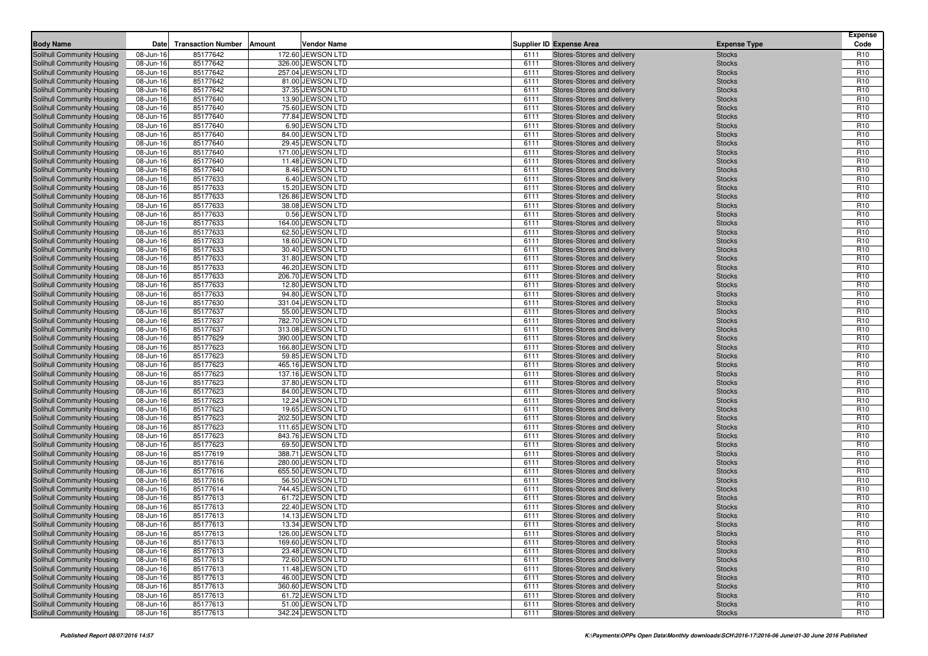| <b>Body Name</b>                                         | Date                   | <b>Transaction Number</b> | Amount<br>Vendor Name                  |              | <b>Supplier ID Expense Area</b>                          |                                | <b>Expense</b><br>Code             |
|----------------------------------------------------------|------------------------|---------------------------|----------------------------------------|--------------|----------------------------------------------------------|--------------------------------|------------------------------------|
|                                                          |                        |                           | 172.60 JEWSON LTD                      |              |                                                          | <b>Expense Type</b>            |                                    |
| Solihull Community Housing<br>Solihull Community Housing | 08-Jun-16<br>08-Jun-16 | 85177642<br>85177642      | 326.00 JEWSON LTD                      | 6111<br>6111 | Stores-Stores and delivery<br>Stores-Stores and delivery | <b>Stocks</b><br><b>Stocks</b> | R <sub>10</sub><br>R <sub>10</sub> |
| Solihull Community Housing                               | 08-Jun-16              | 85177642                  | 257.04 JEWSON LTD                      | 6111         | Stores-Stores and delivery                               | <b>Stocks</b>                  | R <sub>10</sub>                    |
| Solihull Community Housing                               | 08-Jun-16              | 85177642                  | 81.00 JEWSON LTD                       | 6111         | Stores-Stores and delivery                               | <b>Stocks</b>                  | R <sub>10</sub>                    |
| Solihull Community Housing                               | 08-Jun-16              | 85177642                  | 37.35 JEWSON LTD                       | 6111         | Stores-Stores and delivery                               | <b>Stocks</b>                  | R <sub>10</sub>                    |
| Solihull Community Housing                               | 08-Jun-16              | 85177640                  | 13.90 JEWSON LTD                       | 6111         | Stores-Stores and delivery                               | <b>Stocks</b>                  | R <sub>10</sub>                    |
| Solihull Community Housing                               | 08-Jun-16              | 85177640                  | 75.60 JEWSON LTD                       | 6111         | Stores-Stores and delivery                               | <b>Stocks</b>                  | R <sub>10</sub>                    |
| Solihull Community Housing                               | 08-Jun-16              | 85177640                  | 77.84 JEWSON LTD                       | 6111         | Stores-Stores and delivery                               | <b>Stocks</b>                  | R <sub>10</sub>                    |
| Solihull Community Housing                               | 08-Jun-16              | 85177640                  | 6.90 JEWSON LTD                        | 6111         | Stores-Stores and delivery                               | <b>Stocks</b>                  | R <sub>10</sub>                    |
| Solihull Community Housing                               | 08-Jun-16              | 85177640                  | 84.00 JEWSON LTD                       | 6111         | Stores-Stores and delivery                               | <b>Stocks</b>                  | R <sub>10</sub>                    |
| Solihull Community Housing                               | 08-Jun-16              | 85177640                  | 29.45 JEWSON LTD                       | 6111         | Stores-Stores and delivery                               | <b>Stocks</b>                  | R <sub>10</sub>                    |
| Solihull Community Housing                               | 08-Jun-16              | 85177640                  | 171.00 JEWSON LTD                      | 6111         | Stores-Stores and delivery                               | <b>Stocks</b>                  | R <sub>10</sub>                    |
| Solihull Community Housing                               | 08-Jun-16              | 85177640                  | 11.48 JEWSON LTD                       | 6111         | Stores-Stores and delivery                               | <b>Stocks</b>                  | R <sub>10</sub>                    |
| Solihull Community Housing                               | 08-Jun-16              | 85177640                  | 8.46 JEWSON LTD                        | 6111         | Stores-Stores and delivery                               | <b>Stocks</b>                  | R <sub>10</sub>                    |
| Solihull Community Housing                               | 08-Jun-16              | 85177633                  | 6.40 JEWSON LTD                        | 6111         | Stores-Stores and delivery                               | <b>Stocks</b>                  | R <sub>10</sub>                    |
| Solihull Community Housing                               | 08-Jun-16              | 85177633                  | 15.20 JEWSON LTD                       | 6111         | Stores-Stores and delivery                               | <b>Stocks</b>                  | R <sub>10</sub><br>R <sub>10</sub> |
| Solihull Community Housing<br>Solihull Community Housing | 08-Jun-16<br>08-Jun-16 | 85177633<br>85177633      | 126.86 JEWSON LTD<br>38.08 JEWSON LTD  | 6111<br>6111 | Stores-Stores and delivery<br>Stores-Stores and delivery | <b>Stocks</b><br><b>Stocks</b> | R <sub>10</sub>                    |
| Solihull Community Housing                               | 08-Jun-16              | 85177633                  | 0.56 JEWSON LTD                        | 6111         | Stores-Stores and delivery                               | <b>Stocks</b>                  | R <sub>10</sub>                    |
| Solihull Community Housing                               | 08-Jun-16              | 85177633                  | 164.00 JEWSON LTD                      | 6111         | Stores-Stores and delivery                               | <b>Stocks</b>                  | R <sub>10</sub>                    |
| Solihull Community Housing                               | 08-Jun-16              | 85177633                  | 62.50 JEWSON LTD                       | 6111         | Stores-Stores and delivery                               | <b>Stocks</b>                  | R <sub>10</sub>                    |
| Solihull Community Housing                               | 08-Jun-16              | 85177633                  | 18.60 JEWSON LTD                       | 6111         | Stores-Stores and delivery                               | <b>Stocks</b>                  | R <sub>10</sub>                    |
| Solihull Community Housing                               | 08-Jun-16              | 85177633                  | 30.40 JEWSON LTD                       | 6111         | Stores-Stores and delivery                               | <b>Stocks</b>                  | R <sub>10</sub>                    |
| Solihull Community Housing                               | 08-Jun-16              | 85177633                  | 31.80 JEWSON LTD                       | 6111         | Stores-Stores and delivery                               | <b>Stocks</b>                  | R <sub>10</sub>                    |
| Solihull Community Housing                               | 08-Jun-16              | 85177633                  | 46.20 JEWSON LTD                       | 6111         | Stores-Stores and delivery                               | <b>Stocks</b>                  | R <sub>10</sub>                    |
| Solihull Community Housing                               | 08-Jun-16              | 85177633                  | 206.70 JEWSON LTD                      | 6111         | Stores-Stores and delivery                               | <b>Stocks</b>                  | R <sub>10</sub>                    |
| Solihull Community Housing                               | 08-Jun-16              | 85177633                  | 12.80 JEWSON LTD                       | 6111         | Stores-Stores and delivery                               | <b>Stocks</b>                  | R <sub>10</sub>                    |
| Solihull Community Housing                               | 08-Jun-16              | 85177633                  | 94.80 JEWSON LTD                       | 6111         | Stores-Stores and delivery                               | <b>Stocks</b>                  | R <sub>10</sub>                    |
| Solihull Community Housing                               | 08-Jun-16              | 85177630                  | 331.04 JEWSON LTD                      | 6111         | Stores-Stores and delivery                               | <b>Stocks</b>                  | R <sub>10</sub>                    |
| Solihull Community Housing                               | 08-Jun-16              | 85177637                  | 55.00 JEWSON LTD                       | 6111         | Stores-Stores and delivery                               | <b>Stocks</b>                  | R <sub>10</sub>                    |
| Solihull Community Housing                               | 08-Jun-16              | 85177637                  | 782.70 JEWSON LTD                      | 6111         | Stores-Stores and delivery                               | <b>Stocks</b>                  | R <sub>10</sub>                    |
| Solihull Community Housing                               | 08-Jun-16              | 85177637                  | 313.08 JEWSON LTD                      | 6111         | Stores-Stores and delivery                               | <b>Stocks</b>                  | R <sub>10</sub>                    |
| Solihull Community Housing<br>Solihull Community Housing | 08-Jun-16<br>08-Jun-16 | 85177629<br>85177623      | 390.00 JEWSON LTD<br>166.80 JEWSON LTD | 6111<br>6111 | Stores-Stores and delivery<br>Stores-Stores and delivery | <b>Stocks</b><br><b>Stocks</b> | R <sub>10</sub><br>R <sub>10</sub> |
| Solihull Community Housing                               | 08-Jun-16              | 85177623                  | 59.85 JEWSON LTD                       | 6111         | Stores-Stores and delivery                               | <b>Stocks</b>                  | R <sub>10</sub>                    |
| Solihull Community Housing                               | 08-Jun-16              | 85177623                  | 465.16 JEWSON LTD                      | 6111         | Stores-Stores and delivery                               | <b>Stocks</b>                  | R <sub>10</sub>                    |
| <b>Solihull Community Housing</b>                        | 08-Jun-16              | 85177623                  | 137.16 JEWSON LTD                      | 6111         | Stores-Stores and delivery                               | <b>Stocks</b>                  | R <sub>10</sub>                    |
| Solihull Community Housing                               | 08-Jun-16              | 85177623                  | 37.80 JEWSON LTD                       | 6111         | Stores-Stores and delivery                               | <b>Stocks</b>                  | R <sub>10</sub>                    |
| Solihull Community Housing                               | 08-Jun-16              | 85177623                  | 84.00 JEWSON LTD                       | 6111         | Stores-Stores and delivery                               | <b>Stocks</b>                  | R <sub>10</sub>                    |
| Solihull Community Housing                               | 08-Jun-16              | 85177623                  | 12.24 JEWSON LTD                       | 6111         | Stores-Stores and delivery                               | <b>Stocks</b>                  | R <sub>10</sub>                    |
| Solihull Community Housing                               | 08-Jun-16              | 85177623                  | 19.65 JEWSON LTD                       | 6111         | Stores-Stores and delivery                               | <b>Stocks</b>                  | R <sub>10</sub>                    |
| Solihull Community Housing                               | 08-Jun-16              | 85177623                  | 202.50 JEWSON LTD                      | 6111         | Stores-Stores and delivery                               | <b>Stocks</b>                  | R <sub>10</sub>                    |
| Solihull Community Housing                               | 08-Jun-16              | 85177623                  | 111.65 JEWSON LTD                      | 6111         | Stores-Stores and delivery                               | <b>Stocks</b>                  | R <sub>10</sub>                    |
| Solihull Community Housing                               | 08-Jun-16              | 85177623                  | 843.76 JEWSON LTD                      | 6111         | Stores-Stores and delivery                               | <b>Stocks</b>                  | R <sub>10</sub>                    |
| Solihull Community Housing                               | 08-Jun-16              | 85177623                  | 69.50 JEWSON LTD                       | 6111         | Stores-Stores and delivery                               | <b>Stocks</b>                  | R <sub>10</sub>                    |
| Solihull Community Housing                               | 08-Jun-16              | 85177619                  | 388.71 JEWSON LTD                      | 6111         | Stores-Stores and delivery                               | <b>Stocks</b>                  | R <sub>10</sub>                    |
| Solihull Community Housing<br>Solihull Community Housing | 08-Jun-16<br>08-Jun-16 | 85177616<br>85177616      | 280.00 JEWSON LTD<br>655.50 JEWSON LTD | 6111<br>6111 | Stores-Stores and delivery<br>Stores-Stores and delivery | <b>Stocks</b><br><b>Stocks</b> | R <sub>10</sub><br>R <sub>10</sub> |
| Solihull Community Housing                               | 08-Jun-16              | 85177616                  | 56.50 JEWSON LTD                       | 6111         | Stores-Stores and delivery                               | <b>Stocks</b>                  | R <sub>10</sub>                    |
| Solihull Community Housing                               | 08-Jun-16              | 85177614                  | 744.45 JEWSON LTD                      | 6111         | Stores-Stores and delivery                               | <b>Stocks</b>                  | R <sub>10</sub>                    |
| Solihull Community Housing                               | 08-Jun-16              | 85177613                  | 61.72 JEWSON LTD                       | 6111         | Stores-Stores and delivery                               | <b>Stocks</b>                  | R <sub>10</sub>                    |
| Solihull Community Housing                               | 08-Jun-16              | 85177613                  | 22.40 JEWSON LTD                       | 6111         | Stores-Stores and delivery                               | <b>Stocks</b>                  | R <sub>10</sub>                    |
| Solihull Community Housing                               | 08-Jun-16              | 85177613                  | 14.13 JEWSON LTD                       | 6111         | Stores-Stores and delivery                               | <b>Stocks</b>                  | R <sub>10</sub>                    |
| Solihull Community Housing                               | 08-Jun-16              | 85177613                  | 13.34 JEWSON LTD                       | 6111         | Stores-Stores and delivery                               | <b>Stocks</b>                  | R <sub>10</sub>                    |
| Solihull Community Housing                               | 08-Jun-16              | 85177613                  | 126.00 JEWSON LTD                      | 6111         | Stores-Stores and delivery                               | <b>Stocks</b>                  | R <sub>10</sub>                    |
| Solihull Community Housing                               | 08-Jun-16              | 85177613                  | 169.60 JEWSON LTD                      | 6111         | Stores-Stores and delivery                               | <b>Stocks</b>                  | R <sub>10</sub>                    |
| Solihull Community Housing                               | 08-Jun-16              | 85177613                  | 23.48 JEWSON LTD                       | 6111         | Stores-Stores and delivery                               | <b>Stocks</b>                  | R <sub>10</sub>                    |
| Solihull Community Housing                               | 08-Jun-16              | 85177613                  | 72.60 JEWSON LTD                       | 6111         | Stores-Stores and delivery                               | <b>Stocks</b>                  | R <sub>10</sub>                    |
| Solihull Community Housing                               | 08-Jun-16              | 85177613                  | 11.48 JEWSON LTD                       | 6111         | Stores-Stores and delivery                               | <b>Stocks</b>                  | R <sub>10</sub>                    |
| Solihull Community Housing                               | 08-Jun-16              | 85177613                  | 46.00 JEWSON LTD                       | 6111         | Stores-Stores and delivery                               | <b>Stocks</b>                  | R <sub>10</sub>                    |
| Solihull Community Housing                               | 08-Jun-16              | 85177613                  | 360.60 JEWSON LTD                      | 6111         | Stores-Stores and delivery                               | <b>Stocks</b>                  | R <sub>10</sub>                    |
| <b>Solihull Community Housing</b>                        | 08-Jun-16              | 85177613                  | 61.72 JEWSON LTD                       | 6111         | Stores-Stores and delivery                               | <b>Stocks</b>                  | R <sub>10</sub>                    |
| Solihull Community Housing                               | 08-Jun-16              | 85177613                  | 51.00 JEWSON LTD                       | 6111         | Stores-Stores and delivery<br>Stores-Stores and delivery | <b>Stocks</b>                  | R <sub>10</sub>                    |
| Solihull Community Housing                               | 08-Jun-16              | 85177613                  | 342.24 JEWSON LTD                      | 6111         |                                                          | <b>Stocks</b>                  | R <sub>10</sub>                    |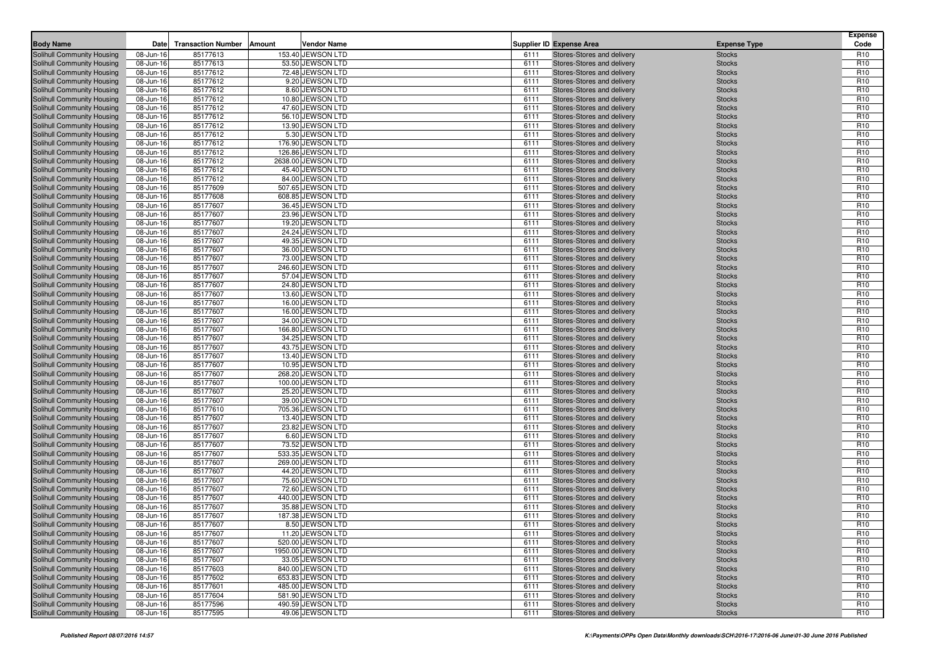| <b>Body Name</b>                                         | Date                   | <b>Transaction Number</b> | Amount<br>Vendor Name                 |              | <b>Supplier ID Expense Area</b>                          | <b>Expense Type</b>            | <b>Expense</b><br>Code             |
|----------------------------------------------------------|------------------------|---------------------------|---------------------------------------|--------------|----------------------------------------------------------|--------------------------------|------------------------------------|
|                                                          |                        |                           | 153.40 JEWSON LTD                     |              |                                                          |                                |                                    |
| Solihull Community Housing<br>Solihull Community Housing | 08-Jun-16<br>08-Jun-16 | 85177613<br>85177613      | 53.50 JEWSON LTD                      | 6111<br>6111 | Stores-Stores and delivery<br>Stores-Stores and delivery | <b>Stocks</b><br><b>Stocks</b> | R <sub>10</sub><br>R <sub>10</sub> |
| Solihull Community Housing                               | 08-Jun-16              | 85177612                  | 72.48 JEWSON LTD                      | 6111         | Stores-Stores and delivery                               | <b>Stocks</b>                  | R <sub>10</sub>                    |
| Solihull Community Housing                               | 08-Jun-16              | 85177612                  | 9.20 JEWSON LTD                       | 6111         | Stores-Stores and delivery                               | <b>Stocks</b>                  | R <sub>10</sub>                    |
| Solihull Community Housing                               | 08-Jun-16              | 85177612                  | 8.60 JEWSON LTD                       | 6111         | Stores-Stores and delivery                               | <b>Stocks</b>                  | R <sub>10</sub>                    |
| Solihull Community Housing                               | 08-Jun-16              | 85177612                  | 10.80 JEWSON LTD                      | 6111         | Stores-Stores and delivery                               | <b>Stocks</b>                  | R <sub>10</sub>                    |
| Solihull Community Housing                               | 08-Jun-16              | 85177612                  | 47.60 JEWSON LTD                      | 6111         | Stores-Stores and delivery                               | <b>Stocks</b>                  | R <sub>10</sub>                    |
| Solihull Community Housing                               | 08-Jun-16              | 85177612                  | 56.10 JEWSON LTD                      | 6111         | Stores-Stores and delivery                               | <b>Stocks</b>                  | R <sub>10</sub>                    |
| Solihull Community Housing                               | 08-Jun-16              | 85177612                  | 13.90 JEWSON LTD                      | 6111         | Stores-Stores and delivery                               | <b>Stocks</b>                  | R <sub>10</sub>                    |
| Solihull Community Housing                               | 08-Jun-16              | 85177612                  | 5.30 JEWSON LTD                       | 6111         | Stores-Stores and delivery                               | <b>Stocks</b>                  | R <sub>10</sub>                    |
| Solihull Community Housing                               | 08-Jun-16              | 85177612                  | 176.90 JEWSON LTD                     | 6111         | Stores-Stores and delivery                               | <b>Stocks</b>                  | R <sub>10</sub>                    |
| Solihull Community Housing                               | 08-Jun-16              | 85177612                  | 126.86 JEWSON LTD                     | 6111         | Stores-Stores and delivery                               | <b>Stocks</b>                  | R <sub>10</sub>                    |
| Solihull Community Housing                               | 08-Jun-16              | 85177612                  | 2638.00 JEWSON LTD                    | 6111         | Stores-Stores and delivery                               | <b>Stocks</b>                  | R <sub>10</sub>                    |
| Solihull Community Housing                               | 08-Jun-16              | 85177612                  | 45.40 JEWSON LTD                      | 6111         | Stores-Stores and delivery                               | <b>Stocks</b>                  | R <sub>10</sub>                    |
| Solihull Community Housing                               | 08-Jun-16              | 85177612                  | 84.00 JEWSON LTD                      | 6111         | Stores-Stores and delivery                               | <b>Stocks</b>                  | R <sub>10</sub>                    |
| Solihull Community Housing                               | 08-Jun-16              | 85177609                  | 507.65 JEWSON LTD                     | 6111         | Stores-Stores and delivery                               | <b>Stocks</b>                  | R <sub>10</sub><br>R <sub>10</sub> |
| Solihull Community Housing<br>Solihull Community Housing | 08-Jun-16<br>08-Jun-16 | 85177608<br>85177607      | 608.85 JEWSON LTD<br>36.45 JEWSON LTD | 6111<br>6111 | Stores-Stores and delivery<br>Stores-Stores and delivery | <b>Stocks</b><br><b>Stocks</b> | R <sub>10</sub>                    |
| Solihull Community Housing                               | 08-Jun-16              | 85177607                  | 23.96 JEWSON LTD                      | 6111         | Stores-Stores and delivery                               | <b>Stocks</b>                  | R <sub>10</sub>                    |
| Solihull Community Housing                               | 08-Jun-16              | 85177607                  | 19.20 JEWSON LTD                      | 6111         | Stores-Stores and delivery                               | <b>Stocks</b>                  | R <sub>10</sub>                    |
| Solihull Community Housing                               | 08-Jun-16              | 85177607                  | 24.24 JEWSON LTD                      | 6111         | Stores-Stores and delivery                               | <b>Stocks</b>                  | R <sub>10</sub>                    |
| Solihull Community Housing                               | 08-Jun-16              | 85177607                  | 49.35 JEWSON LTD                      | 6111         | Stores-Stores and delivery                               | <b>Stocks</b>                  | R <sub>10</sub>                    |
| Solihull Community Housing                               | 08-Jun-16              | 85177607                  | 36.00 JEWSON LTD                      | 6111         | Stores-Stores and delivery                               | <b>Stocks</b>                  | R <sub>10</sub>                    |
| Solihull Community Housing                               | 08-Jun-16              | 85177607                  | 73.00 JEWSON LTD                      | 6111         | Stores-Stores and delivery                               | <b>Stocks</b>                  | R <sub>10</sub>                    |
| Solihull Community Housing                               | 08-Jun-16              | 85177607                  | 246.60 JEWSON LTD                     | 6111         | Stores-Stores and delivery                               | <b>Stocks</b>                  | R <sub>10</sub>                    |
| Solihull Community Housing                               | 08-Jun-16              | 85177607                  | 57.04 JEWSON LTD                      | 6111         | Stores-Stores and delivery                               | <b>Stocks</b>                  | R <sub>10</sub>                    |
| Solihull Community Housing                               | 08-Jun-16              | 85177607                  | 24.80 JEWSON LTD                      | 6111         | Stores-Stores and delivery                               | <b>Stocks</b>                  | R <sub>10</sub>                    |
| Solihull Community Housing                               | 08-Jun-16              | 85177607                  | 13.60 JEWSON LTD                      | 6111         | Stores-Stores and delivery                               | <b>Stocks</b>                  | R <sub>10</sub>                    |
| Solihull Community Housing                               | 08-Jun-16              | 85177607                  | 16.00 JEWSON LTD                      | 6111         | Stores-Stores and delivery                               | <b>Stocks</b>                  | R <sub>10</sub>                    |
| Solihull Community Housing                               | 08-Jun-16              | 85177607                  | 16.00 JEWSON LTD                      | 6111         | Stores-Stores and delivery                               | <b>Stocks</b>                  | R <sub>10</sub>                    |
| Solihull Community Housing                               | 08-Jun-16              | 85177607                  | 34.00 JEWSON LTD                      | 6111         | Stores-Stores and delivery                               | <b>Stocks</b>                  | R <sub>10</sub>                    |
| Solihull Community Housing                               | 08-Jun-16              | 85177607                  | 166.80 JEWSON LTD                     | 6111         | Stores-Stores and delivery                               | <b>Stocks</b>                  | R <sub>10</sub>                    |
| Solihull Community Housing<br>Solihull Community Housing | 08-Jun-16<br>08-Jun-16 | 85177607<br>85177607      | 34.25 JEWSON LTD<br>43.75 JEWSON LTD  | 6111<br>6111 | Stores-Stores and delivery<br>Stores-Stores and delivery | <b>Stocks</b><br><b>Stocks</b> | R <sub>10</sub><br>R <sub>10</sub> |
| Solihull Community Housing                               | 08-Jun-16              | 85177607                  | 13.40 JEWSON LTD                      | 6111         | Stores-Stores and delivery                               | <b>Stocks</b>                  | R <sub>10</sub>                    |
| Solihull Community Housing                               | 08-Jun-16              | 85177607                  | 10.95 JEWSON LTD                      | 6111         | Stores-Stores and delivery                               | <b>Stocks</b>                  | R <sub>10</sub>                    |
| Solihull Community Housing                               | 08-Jun-16              | 85177607                  | 268.20 JEWSON LTD                     | 6111         | Stores-Stores and delivery                               | <b>Stocks</b>                  | R <sub>10</sub>                    |
| Solihull Community Housing                               | 08-Jun-16              | 85177607                  | 100.00 JEWSON LTD                     | 6111         | Stores-Stores and delivery                               | <b>Stocks</b>                  | R <sub>10</sub>                    |
| Solihull Community Housing                               | 08-Jun-16              | 85177607                  | 25.20 JEWSON LTD                      | 6111         | Stores-Stores and delivery                               | <b>Stocks</b>                  | R <sub>10</sub>                    |
| Solihull Community Housing                               | 08-Jun-16              | 85177607                  | 39.00 JEWSON LTD                      | 6111         | Stores-Stores and delivery                               | <b>Stocks</b>                  | R <sub>10</sub>                    |
| Solihull Community Housing                               | 08-Jun-16              | 85177610                  | 705.36 JEWSON LTD                     | 6111         | Stores-Stores and delivery                               | <b>Stocks</b>                  | R <sub>10</sub>                    |
| Solihull Community Housing                               | 08-Jun-16              | 85177607                  | 13.40 JEWSON LTD                      | 6111         | Stores-Stores and delivery                               | <b>Stocks</b>                  | R <sub>10</sub>                    |
| Solihull Community Housing                               | 08-Jun-16              | 85177607                  | 23.82 JEWSON LTD                      | 6111         | Stores-Stores and delivery                               | <b>Stocks</b>                  | R <sub>10</sub>                    |
| Solihull Community Housing                               | 08-Jun-16              | 85177607                  | 6.60 JEWSON LTD                       | 6111         | Stores-Stores and delivery                               | <b>Stocks</b>                  | R <sub>10</sub>                    |
| Solihull Community Housing                               | 08-Jun-16              | 85177607                  | 73.52 JEWSON LTD                      | 6111         | Stores-Stores and delivery                               | <b>Stocks</b>                  | R <sub>10</sub>                    |
| Solihull Community Housing                               | 08-Jun-16              | 85177607                  | 533.35 JEWSON LTD                     | 6111         | Stores-Stores and delivery                               | <b>Stocks</b>                  | R <sub>10</sub>                    |
| Solihull Community Housing<br>Solihull Community Housing | 08-Jun-16<br>08-Jun-16 | 85177607<br>85177607      | 269.00 JEWSON LTD<br>44.20 JEWSON LTD | 6111<br>6111 | Stores-Stores and delivery<br>Stores-Stores and delivery | <b>Stocks</b><br><b>Stocks</b> | R <sub>10</sub><br>R <sub>10</sub> |
| Solihull Community Housing                               | 08-Jun-16              | 85177607                  | 75.60 JEWSON LTD                      | 6111         | Stores-Stores and delivery                               | <b>Stocks</b>                  | R <sub>10</sub>                    |
| Solihull Community Housing                               | 08-Jun-16              | 85177607                  | 72.60 JEWSON LTD                      | 6111         | Stores-Stores and delivery                               | <b>Stocks</b>                  | R <sub>10</sub>                    |
| Solihull Community Housing                               | 08-Jun-16              | 85177607                  | 440.00 JEWSON LTD                     | 6111         | Stores-Stores and delivery                               | <b>Stocks</b>                  | R <sub>10</sub>                    |
| Solihull Community Housing                               | 08-Jun-16              | 85177607                  | 35.88 JEWSON LTD                      | 6111         | Stores-Stores and delivery                               | <b>Stocks</b>                  | R <sub>10</sub>                    |
| Solihull Community Housing                               | 08-Jun-16              | 85177607                  | 187.38 JEWSON LTD                     | 6111         | Stores-Stores and delivery                               | <b>Stocks</b>                  | R <sub>10</sub>                    |
| Solihull Community Housing                               | 08-Jun-16              | 85177607                  | 8.50 JEWSON LTD                       | 6111         | Stores-Stores and delivery                               | <b>Stocks</b>                  | R <sub>10</sub>                    |
| Solihull Community Housing                               | 08-Jun-16              | 85177607                  | 11.20 JEWSON LTD                      | 6111         | Stores-Stores and delivery                               | <b>Stocks</b>                  | R <sub>10</sub>                    |
| Solihull Community Housing                               | 08-Jun-16              | 85177607                  | 520.00 JEWSON LTD                     | 6111         | Stores-Stores and delivery                               | <b>Stocks</b>                  | R <sub>10</sub>                    |
| Solihull Community Housing                               | 08-Jun-16              | 85177607                  | 1950.00 JEWSON LTD                    | 6111         | Stores-Stores and delivery                               | <b>Stocks</b>                  | R <sub>10</sub>                    |
| Solihull Community Housing                               | 08-Jun-16              | 85177607                  | 33.05 JEWSON LTD                      | 6111         | Stores-Stores and delivery                               | <b>Stocks</b>                  | R <sub>10</sub>                    |
| Solihull Community Housing                               | 08-Jun-16              | 85177603                  | 840.00 JEWSON LTD                     | 6111         | Stores-Stores and delivery                               | <b>Stocks</b>                  | R <sub>10</sub>                    |
| Solihull Community Housing                               | 08-Jun-16              | 85177602                  | 653.83 JEWSON LTD                     | 6111         | Stores-Stores and delivery                               | <b>Stocks</b>                  | R <sub>10</sub>                    |
| Solihull Community Housing                               | 08-Jun-16              | 85177601                  | 485.00 JEWSON LTD                     | 6111         | Stores-Stores and delivery                               | <b>Stocks</b>                  | R <sub>10</sub>                    |
| Solihull Community Housing                               | 08-Jun-16<br>08-Jun-16 | 85177604                  | 581.90 JEWSON LTD                     | 6111<br>6111 | Stores-Stores and delivery                               | <b>Stocks</b>                  | R <sub>10</sub>                    |
| Solihull Community Housing<br>Solihull Community Housing | 08-Jun-16              | 85177596<br>85177595      | 490.59 JEWSON LTD<br>49.06 JEWSON LTD | 6111         | Stores-Stores and delivery<br>Stores-Stores and delivery | <b>Stocks</b><br><b>Stocks</b> | R <sub>10</sub><br>R <sub>10</sub> |
|                                                          |                        |                           |                                       |              |                                                          |                                |                                    |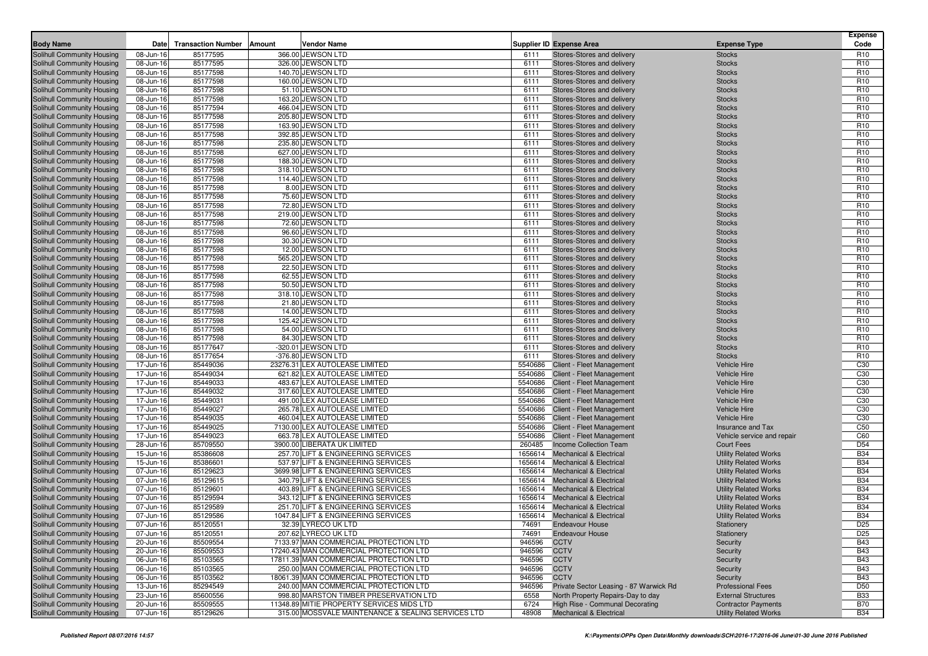| <b>Body Name</b>           | Date      | <b>Transaction Number</b> | Amount | Vendor Name                                                              |         | <b>Supplier ID Expense Area</b>        | <b>Expense Type</b>          | <b>Expense</b><br>Code |
|----------------------------|-----------|---------------------------|--------|--------------------------------------------------------------------------|---------|----------------------------------------|------------------------------|------------------------|
|                            |           |                           |        |                                                                          |         |                                        |                              |                        |
| Solihull Community Housing | 08-Jun-16 | 85177595                  |        | 366.00 JEWSON LTD                                                        | 6111    | Stores-Stores and delivery             | <b>Stocks</b>                | R <sub>10</sub>        |
| Solihull Community Housing | 08-Jun-16 | 85177595                  |        | 326.00 JEWSON LTD                                                        | 6111    | Stores-Stores and delivery             | <b>Stocks</b>                | R <sub>10</sub>        |
| Solihull Community Housing | 08-Jun-16 | 85177598                  |        | 140.70 JEWSON LTD                                                        | 6111    | Stores-Stores and delivery             | <b>Stocks</b>                | R <sub>10</sub>        |
| Solihull Community Housing | 08-Jun-16 | 85177598                  |        | 160.00 JEWSON LTD                                                        | 6111    | Stores-Stores and delivery             | <b>Stocks</b>                | R <sub>10</sub>        |
| Solihull Community Housing | 08-Jun-16 | 85177598                  |        | 51.10 JEWSON LTD                                                         | 6111    | Stores-Stores and delivery             | <b>Stocks</b>                | R <sub>10</sub>        |
| Solihull Community Housing | 08-Jun-16 | 85177598                  |        | 163.20 JEWSON LTD                                                        | 6111    | Stores-Stores and delivery             | <b>Stocks</b>                | R <sub>10</sub>        |
| Solihull Community Housing | 08-Jun-16 | 85177594                  |        | 466.04 JEWSON LTD                                                        | 6111    | Stores-Stores and delivery             | <b>Stocks</b>                | R <sub>10</sub>        |
| Solihull Community Housing | 08-Jun-16 | 85177598                  |        | 205.80 JEWSON LTD                                                        | 6111    | Stores-Stores and delivery             | <b>Stocks</b>                | R <sub>10</sub>        |
| Solihull Community Housing | 08-Jun-16 | 85177598                  |        | 163.90 JEWSON LTD                                                        | 6111    | Stores-Stores and delivery             | <b>Stocks</b>                | R <sub>10</sub>        |
| Solihull Community Housing | 08-Jun-16 | 85177598                  |        | 392.85 JEWSON LTD                                                        | 6111    | Stores-Stores and delivery             | <b>Stocks</b>                | R <sub>10</sub>        |
| Solihull Community Housing | 08-Jun-16 | 85177598                  |        | 235.80 JEWSON LTD                                                        | 6111    | Stores-Stores and delivery             | <b>Stocks</b>                | R <sub>10</sub>        |
| Solihull Community Housing | 08-Jun-16 | 85177598                  |        | 627.00 JEWSON LTD                                                        | 6111    | Stores-Stores and delivery             | <b>Stocks</b>                | R <sub>10</sub>        |
| Solihull Community Housing | 08-Jun-16 | 85177598                  |        | 188.30 JEWSON LTD                                                        | 6111    | Stores-Stores and delivery             | <b>Stocks</b>                | R <sub>10</sub>        |
| Solihull Community Housing | 08-Jun-16 | 85177598                  |        | 318.10 JEWSON LTD                                                        | 6111    | Stores-Stores and delivery             | <b>Stocks</b>                | R <sub>10</sub>        |
| Solihull Community Housing | 08-Jun-16 | 85177598                  |        | 114.40 JEWSON LTD                                                        | 6111    | Stores-Stores and delivery             | <b>Stocks</b>                | R <sub>10</sub>        |
| Solihull Community Housing | 08-Jun-16 | 85177598                  |        | 8.00 JEWSON LTD                                                          | 6111    | Stores-Stores and delivery             | <b>Stocks</b>                | R <sub>10</sub>        |
| Solihull Community Housing | 08-Jun-16 | 85177598                  |        | 75.60 JEWSON LTD                                                         | 6111    | Stores-Stores and delivery             | <b>Stocks</b>                | R <sub>10</sub>        |
| Solihull Community Housing | 08-Jun-16 | 85177598                  |        | 72.80 JEWSON LTD                                                         | 6111    | Stores-Stores and delivery             | <b>Stocks</b>                | R <sub>10</sub>        |
| Solihull Community Housing | 08-Jun-16 | 85177598                  |        | 219.00 JEWSON LTD                                                        | 6111    | Stores-Stores and delivery             | <b>Stocks</b>                | R <sub>10</sub>        |
| Solihull Community Housing | 08-Jun-16 | 85177598                  |        | 72.60 JEWSON LTD                                                         | 6111    | Stores-Stores and delivery             | <b>Stocks</b>                | R <sub>10</sub>        |
| Solihull Community Housing | 08-Jun-16 | 85177598                  |        | 96.60 JEWSON LTD                                                         | 6111    | Stores-Stores and delivery             | <b>Stocks</b>                | R <sub>10</sub>        |
| Solihull Community Housing | 08-Jun-16 | 85177598                  |        | 30.30 JEWSON LTD                                                         | 6111    | Stores-Stores and delivery             | <b>Stocks</b>                | R <sub>10</sub>        |
| Solihull Community Housing | 08-Jun-16 | 85177598                  |        | 12.00 JEWSON LTD                                                         | 6111    | Stores-Stores and delivery             | <b>Stocks</b>                | R <sub>10</sub>        |
| Solihull Community Housing | 08-Jun-16 | 85177598                  |        | 565.20 JEWSON LTD                                                        | 6111    | Stores-Stores and delivery             | <b>Stocks</b>                | R <sub>10</sub>        |
| Solihull Community Housing | 08-Jun-16 | 85177598                  |        | 22.50 JEWSON LTD                                                         | 6111    | Stores-Stores and delivery             | <b>Stocks</b>                | R <sub>10</sub>        |
| Solihull Community Housing | 08-Jun-16 | 85177598                  |        | 62.55 JEWSON LTD                                                         | 6111    | Stores-Stores and delivery             | <b>Stocks</b>                | R <sub>10</sub>        |
| Solihull Community Housing | 08-Jun-16 | 85177598                  |        | 50.50 JEWSON LTD                                                         | 6111    | Stores-Stores and delivery             | <b>Stocks</b>                | R <sub>10</sub>        |
| Solihull Community Housing | 08-Jun-16 | 85177598                  |        | 318.10 JEWSON LTD                                                        | 6111    | Stores-Stores and delivery             | <b>Stocks</b>                | R <sub>10</sub>        |
| Solihull Community Housing | 08-Jun-16 | 85177598                  |        | 21.80 JEWSON LTD                                                         | 6111    | Stores-Stores and delivery             | <b>Stocks</b>                | R <sub>10</sub>        |
| Solihull Community Housing | 08-Jun-16 | 85177598                  |        | 14.00 JEWSON LTD                                                         | 6111    | Stores-Stores and delivery             | <b>Stocks</b>                | R <sub>10</sub>        |
| Solihull Community Housing | 08-Jun-16 | 85177598                  |        | 125.42 JEWSON LTD                                                        | 6111    | Stores-Stores and delivery             | <b>Stocks</b>                | R <sub>10</sub>        |
| Solihull Community Housing | 08-Jun-16 | 85177598                  |        | 54.00 JEWSON LTD                                                         | 6111    | Stores-Stores and delivery             | <b>Stocks</b>                | R <sub>10</sub>        |
| Solihull Community Housing | 08-Jun-16 | 85177598                  |        | 84.30 JEWSON LTD                                                         | 6111    | Stores-Stores and delivery             | <b>Stocks</b>                | R <sub>10</sub>        |
| Solihull Community Housing | 08-Jun-16 | 85177647                  |        | -320.01 JEWSON LTD                                                       | 6111    | Stores-Stores and delivery             | <b>Stocks</b>                | R <sub>10</sub>        |
| Solihull Community Housing | 08-Jun-16 | 85177654                  |        | -376.80 JEWSON LTD                                                       | 6111    | Stores-Stores and delivery             | <b>Stocks</b>                | R <sub>10</sub>        |
| Solihull Community Housing | 17-Jun-16 | 85449036                  |        | 23276.31 LEX AUTOLEASE LIMITED                                           | 5540686 | Client - Fleet Management              | Vehicle Hire                 | C <sub>30</sub>        |
| Solihull Community Housing | 17-Jun-16 | 85449034                  |        | 621.82 LEX AUTOLEASE LIMITED                                             | 5540686 | Client - Fleet Management              | <b>Vehicle Hire</b>          | C <sub>30</sub>        |
| Solihull Community Housing | 17-Jun-16 | 85449033                  |        | 483.67 LEX AUTOLEASE LIMITED                                             | 5540686 | Client - Fleet Management              | <b>Vehicle Hire</b>          | C30                    |
| Solihull Community Housing | 17-Jun-16 | 85449032                  |        | 317.60 LEX AUTOLEASE LIMITED                                             | 5540686 | Client - Fleet Management              | Vehicle Hire                 | C <sub>30</sub>        |
| Solihull Community Housing | 17-Jun-16 | 85449031                  |        | 491.00 LEX AUTOLEASE LIMITED                                             | 5540686 | Client - Fleet Management              | <b>Vehicle Hire</b>          | C <sub>30</sub>        |
| Solihull Community Housing | 17-Jun-16 | 85449027                  |        | 265.78 LEX AUTOLEASE LIMITED                                             | 5540686 | Client - Fleet Management              | <b>Vehicle Hire</b>          | C30                    |
| Solihull Community Housing | 17-Jun-16 | 85449035                  |        | 460.04 LEX AUTOLEASE LIMITED                                             | 5540686 | Client - Fleet Management              | Vehicle Hire                 | C30                    |
| Solihull Community Housing | 17-Jun-16 | 85449025                  |        | 7130.00 LEX AUTOLEASE LIMITED                                            | 5540686 | Client - Fleet Management              | Insurance and Tax            | C <sub>50</sub>        |
| Solihull Community Housing | 17-Jun-16 | 85449023                  |        | 663.78 LEX AUTOLEASE LIMITED                                             | 5540686 | Client - Fleet Management              | Vehicle service and repair   | C60                    |
| Solihull Community Housing | 28-Jun-16 | 85709550                  |        | 3900.00 LIBERATA UK LIMITED                                              | 260485  | Income Collection Team                 | <b>Court Fees</b>            | D <sub>54</sub>        |
| Solihull Community Housing | 15-Jun-16 | 85386608                  |        | 257.70 LIFT & ENGINEERING SERVICES                                       | 1656614 | <b>Mechanical &amp; Electrical</b>     | <b>Utility Related Works</b> | <b>B34</b>             |
| Solihull Community Housing | 15-Jun-16 | 85386601                  |        | 537.97 LIFT & ENGINEERING SERVICES                                       | 1656614 | Mechanical & Electrical                | <b>Utility Related Works</b> | <b>B34</b>             |
| Solihull Community Housing | 07-Jun-16 | 85129623                  |        | 3699.98 LIFT & ENGINEERING SERVICES                                      | 1656614 | <b>Mechanical &amp; Electrical</b>     | <b>Utility Related Works</b> | <b>B34</b>             |
| Solihull Community Housing |           | 85129615                  |        | 340.79 LIFT & ENGINEERING SERVICES                                       | 1656614 | <b>Mechanical &amp; Electrical</b>     |                              | <b>B34</b>             |
|                            | 07-Jun-16 |                           |        |                                                                          |         |                                        | <b>Utility Related Works</b> | <b>B34</b>             |
| Solihull Community Housing | 07-Jun-16 | 85129601                  |        | 403.89 LIFT & ENGINEERING SERVICES<br>343.12 LIFT & ENGINEERING SERVICES | 1656614 | Mechanical & Electrical                | <b>Utility Related Works</b> |                        |
| Solihull Community Housing | 07-Jun-16 | 85129594                  |        |                                                                          | 1656614 | <b>Mechanical &amp; Electrical</b>     | <b>Utility Related Works</b> | <b>B34</b>             |
| Solihull Community Housing | 07-Jun-16 | 85129589                  |        | 251.70 LIFT & ENGINEERING SERVICES                                       | 1656614 | <b>Mechanical &amp; Electrical</b>     | <b>Utility Related Works</b> | <b>B34</b>             |
| Solihull Community Housing | 07-Jun-16 | 85129586                  |        | 1047.84 LIFT & ENGINEERING SERVICES                                      |         | 1656614 Mechanical & Electrical        | <b>Utility Related Works</b> | <b>B34</b>             |
| Solihull Community Housing | 07-Jun-16 | 85120551                  |        | 32.39 LYRECO UK LTD                                                      | 74691   | <b>Endeavour House</b>                 | Stationery                   | D <sub>25</sub>        |
| Solihull Community Housing | 07-Jun-16 | 85120551                  |        | 207.62 LYRECO UK LTD                                                     | 74691   | <b>Endeavour House</b>                 | Stationery                   | D <sub>25</sub>        |
| Solihull Community Housing | 20-Jun-16 | 85509554                  |        | 7133.97 MAN COMMERCIAL PROTECTION LTD                                    | 946596  | <b>CCTV</b>                            | Security                     | <b>B43</b>             |
| Solihull Community Housing | 20-Jun-16 | 85509553                  |        | 17240.43 MAN COMMERCIAL PROTECTION LTD                                   | 946596  | <b>CCTV</b>                            | Security                     | <b>B43</b>             |
| Solihull Community Housing | 06-Jun-16 | 85103565                  |        | 17811.39 MAN COMMERCIAL PROTECTION LTD                                   | 946596  | <b>CCTV</b>                            | Security                     | <b>B43</b>             |
| Solihull Community Housing | 06-Jun-16 | 85103565                  |        | 250.00 MAN COMMERCIAL PROTECTION LTD                                     | 946596  | <b>CCTV</b>                            | Security                     | <b>B43</b>             |
| Solihull Community Housing | 06-Jun-16 | 85103562                  |        | 18061.39 MAN COMMERCIAL PROTECTION LTD                                   | 946596  | <b>CCTV</b>                            | Security                     | <b>B43</b>             |
| Solihull Community Housing | 13-Jun-16 | 85294549                  |        | 240.00 MAN COMMERCIAL PROTECTION LTD                                     | 946596  | Private Sector Leasing - 87 Warwick Rd | <b>Professional Fees</b>     | D <sub>50</sub>        |
| Solihull Community Housing | 23-Jun-16 | 85600556                  |        | 998.80 MARSTON TIMBER PRESERVATION LTD                                   | 6558    | North Property Repairs-Day to day      | <b>External Structures</b>   | <b>B33</b>             |
| Solihull Community Housing | 20-Jun-16 | 85509555                  |        | 11348.89 MITIE PROPERTY SERVICES MIDS LTD                                | 6724    | High Rise - Communal Decorating        | <b>Contractor Payments</b>   | B70                    |
| Solihull Community Housing | 07-Jun-16 | 85129626                  |        | 315.00 MOSSVALE MAINTENANCE & SEALING SERVICES LTD                       | 48908   | Mechanical & Electrical                | <b>Utility Related Works</b> | <b>B34</b>             |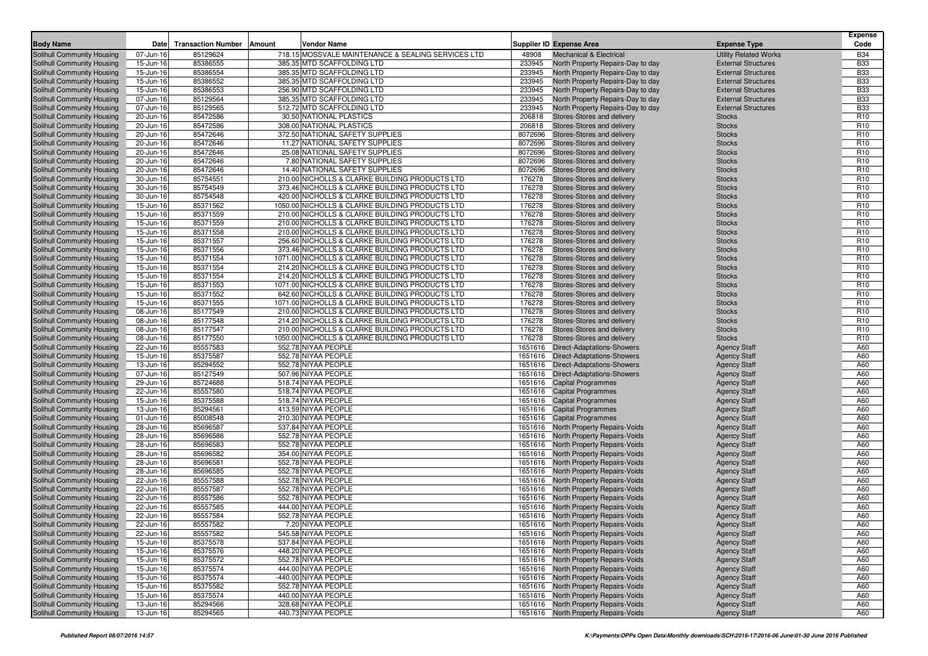| <b>Body Name</b>                                         | Date                   | <b>Transaction Number</b> | Amount<br>Vendor Name                                                                            |                  | Supplier ID Expense Area                                                     | <b>Expense Type</b>                                        | <b>Expense</b><br>Code             |
|----------------------------------------------------------|------------------------|---------------------------|--------------------------------------------------------------------------------------------------|------------------|------------------------------------------------------------------------------|------------------------------------------------------------|------------------------------------|
|                                                          |                        |                           |                                                                                                  |                  |                                                                              |                                                            |                                    |
| Solihull Community Housing<br>Solihull Community Housing | 07-Jun-16<br>15-Jun-16 | 85129624<br>85386555      | 718.15 MOSSVALE MAINTENANCE & SEALING SERVICES LTD<br>385.35 MTD SCAFFOLDING LTD                 | 48908<br>233945  | <b>Mechanical &amp; Electrical</b><br>North Property Repairs-Day to day      | <b>Utility Related Works</b><br><b>External Structures</b> | <b>B34</b><br><b>B33</b>           |
| Solihull Community Housing                               | 15-Jun-16              | 85386554                  | 385.35 MTD SCAFFOLDING LTD                                                                       | 233945           | North Property Repairs-Day to day                                            | <b>External Structures</b>                                 | <b>B33</b>                         |
| Solihull Community Housing                               | 15-Jun-16              | 85386552                  | 385.35 MTD SCAFFOLDING LTD                                                                       | 233945           | North Property Repairs-Day to day                                            | <b>External Structures</b>                                 | <b>B33</b>                         |
| Solihull Community Housing                               | 15-Jun-16              | 85386553                  | 256.90 MTD SCAFFOLDING LTD                                                                       | 233945           | North Property Repairs-Day to day                                            | <b>External Structures</b>                                 | <b>B33</b>                         |
| Solihull Community Housing                               | 07-Jun-16              | 85129564                  | 385.35 MTD SCAFFOLDING LTD                                                                       | 233945           | North Property Repairs-Day to day                                            | <b>External Structures</b>                                 | <b>B33</b>                         |
| Solihull Community Housing                               | 07-Jun-16              | 85129565                  | 512.72 MTD SCAFFOLDING LTD                                                                       | 233945           | North Property Repairs-Day to day                                            | <b>External Structures</b>                                 | <b>B33</b>                         |
| Solihull Community Housing                               | 20-Jun-16              | 85472586                  | 30.50 NATIONAL PLASTICS                                                                          | 206818           | Stores-Stores and delivery                                                   | <b>Stocks</b>                                              | R <sub>10</sub>                    |
| Solihull Community Housing                               | 20-Jun-16              | 85472586                  | 308.00 NATIONAL PLASTICS                                                                         | 206818           | Stores-Stores and delivery                                                   | <b>Stocks</b>                                              | R <sub>10</sub>                    |
| Solihull Community Housing                               | 20-Jun-16              | 85472646                  | 372.50 NATIONAL SAFETY SUPPLIES                                                                  | 8072696          | Stores-Stores and delivery                                                   | <b>Stocks</b>                                              | R <sub>10</sub>                    |
| Solihull Community Housing                               | 20-Jun-16              | 85472646                  | 11.27 NATIONAL SAFETY SUPPLIES                                                                   | 8072696          | Stores-Stores and delivery                                                   | <b>Stocks</b>                                              | R <sub>10</sub>                    |
| Solihull Community Housing                               | 20-Jun-16              | 85472646                  | 25.08 NATIONAL SAFETY SUPPLIES                                                                   | 8072696          | Stores-Stores and delivery                                                   | <b>Stocks</b>                                              | R <sub>10</sub>                    |
| Solihull Community Housing                               | 20-Jun-16              | 85472646                  | 7.80 NATIONAL SAFETY SUPPLIES                                                                    | 8072696          | Stores-Stores and delivery                                                   | <b>Stocks</b>                                              | R <sub>10</sub>                    |
| Solihull Community Housing                               | 20-Jun-16              | 85472646                  | 14.40 NATIONAL SAFETY SUPPLIES                                                                   | 8072696          | Stores-Stores and delivery                                                   | <b>Stocks</b>                                              | R <sub>10</sub>                    |
| Solihull Community Housing                               | 30-Jun-16              | 85754551                  | 210.00 NICHOLLS & CLARKE BUILDING PRODUCTS LTD                                                   | 176278           | Stores-Stores and delivery                                                   | <b>Stocks</b>                                              | R <sub>10</sub>                    |
| Solihull Community Housing                               | 30-Jun-16              | 85754549                  | 373.46 NICHOLLS & CLARKE BUILDING PRODUCTS LTD                                                   | 176278           | Stores-Stores and delivery                                                   | <b>Stocks</b>                                              | R <sub>10</sub>                    |
| Solihull Community Housing                               | 30-Jun-16              | 85754548                  | 420.00 NICHOLLS & CLARKE BUILDING PRODUCTS LTD                                                   | 176278           | Stores-Stores and delivery                                                   | <b>Stocks</b>                                              | R <sub>10</sub>                    |
| Solihull Community Housing                               | 15-Jun-16              | 85371562                  | 1050.00 NICHOLLS & CLARKE BUILDING PRODUCTS LTD                                                  | 176278           | Stores-Stores and delivery                                                   | <b>Stocks</b>                                              | R <sub>10</sub>                    |
| Solihull Community Housing                               | 15-Jun-16              | 85371559                  | 210.00 NICHOLLS & CLARKE BUILDING PRODUCTS LTD                                                   | 176278           | Stores-Stores and delivery                                                   | <b>Stocks</b>                                              | R <sub>10</sub><br>R <sub>10</sub> |
| Solihull Community Housing                               | 15-Jun-16<br>15-Jun-16 | 85371559<br>85371558      | 210.00 NICHOLLS & CLARKE BUILDING PRODUCTS LTD<br>210.00 NICHOLLS & CLARKE BUILDING PRODUCTS LTD | 176278<br>176278 | Stores-Stores and delivery<br>Stores-Stores and delivery                     | <b>Stocks</b><br><b>Stocks</b>                             | R <sub>10</sub>                    |
| Solihull Community Housing<br>Solihull Community Housing | 15-Jun-16              | 85371557                  | 256.60 NICHOLLS & CLARKE BUILDING PRODUCTS LTD                                                   | 176278           | Stores-Stores and delivery                                                   | <b>Stocks</b>                                              | R <sub>10</sub>                    |
| Solihull Community Housing                               | 15-Jun-16              | 85371556                  | 373.46 NICHOLLS & CLARKE BUILDING PRODUCTS LTD                                                   | 176278           | Stores-Stores and delivery                                                   | <b>Stocks</b>                                              | R <sub>10</sub>                    |
| Solihull Community Housing                               | 15-Jun-16              | 85371554                  | 1071.00 NICHOLLS & CLARKE BUILDING PRODUCTS LTD                                                  | 176278           | Stores-Stores and delivery                                                   | <b>Stocks</b>                                              | R <sub>10</sub>                    |
| Solihull Community Housing                               | 15-Jun-16              | 85371554                  | 214.20 NICHOLLS & CLARKE BUILDING PRODUCTS LTD                                                   | 176278           | Stores-Stores and delivery                                                   | <b>Stocks</b>                                              | R <sub>10</sub>                    |
| Solihull Community Housing                               | 15-Jun-16              | 85371554                  | 214.20 NICHOLLS & CLARKE BUILDING PRODUCTS LTD                                                   | 176278           | Stores-Stores and delivery                                                   | <b>Stocks</b>                                              | R <sub>10</sub>                    |
| <b>Solihull Community Housing</b>                        | 15-Jun-16              | 85371553                  | 1071.00 NICHOLLS & CLARKE BUILDING PRODUCTS LTD                                                  | 176278           | Stores-Stores and delivery                                                   | <b>Stocks</b>                                              | R <sub>10</sub>                    |
| Solihull Community Housing                               | 15-Jun-16              | 85371552                  | 642.60 NICHOLLS & CLARKE BUILDING PRODUCTS LTD                                                   | 176278           | Stores-Stores and delivery                                                   | <b>Stocks</b>                                              | R <sub>10</sub>                    |
| Solihull Community Housing                               | 15-Jun-16              | 85371555                  | 1071.00 NICHOLLS & CLARKE BUILDING PRODUCTS LTD                                                  | 176278           | Stores-Stores and delivery                                                   | <b>Stocks</b>                                              | R <sub>10</sub>                    |
| Solihull Community Housing                               | 08-Jun-16              | 85177549                  | 210.00 NICHOLLS & CLARKE BUILDING PRODUCTS LTD                                                   | 176278           | Stores-Stores and delivery                                                   | <b>Stocks</b>                                              | R <sub>10</sub>                    |
| Solihull Community Housing                               | 08-Jun-16              | 85177548                  | 214.20 NICHOLLS & CLARKE BUILDING PRODUCTS LTD                                                   | 176278           | Stores-Stores and delivery                                                   | <b>Stocks</b>                                              | R <sub>10</sub>                    |
| Solihull Community Housing                               | 08-Jun-16              | 85177547                  | 210.00 NICHOLLS & CLARKE BUILDING PRODUCTS LTD                                                   | 176278           | Stores-Stores and delivery                                                   | <b>Stocks</b>                                              | R <sub>10</sub>                    |
| Solihull Community Housing                               | 08-Jun-16              | 85177550                  | 1050.00 NICHOLLS & CLARKE BUILDING PRODUCTS LTD                                                  | 176278           | Stores-Stores and delivery                                                   | <b>Stocks</b>                                              | R <sub>10</sub>                    |
| Solihull Community Housing                               | 22-Jun-16              | 85557583                  | 552.78 NIYAA PEOPLE                                                                              | 1651616          | <b>Direct-Adaptations-Showers</b>                                            | <b>Agency Staff</b>                                        | A60                                |
| Solihull Community Housing                               | 15-Jun-16              | 85375587                  | 552.78 NIYAA PEOPLE                                                                              | 1651616          | <b>Direct-Adaptations-Showers</b>                                            | <b>Agency Staff</b>                                        | A60                                |
| Solihull Community Housing                               | 13-Jun-16              | 85294552                  | 552.78 NIYAA PEOPLE                                                                              |                  | 1651616 Direct-Adaptations-Showers                                           | <b>Agency Staff</b>                                        | A60                                |
| Solihull Community Housing                               | 07-Jun-16              | 85127549                  | 507.96 NIYAA PEOPLE                                                                              |                  | 1651616 Direct-Adaptations-Showers                                           | <b>Agency Staff</b>                                        | A60                                |
| Solihull Community Housing                               | 29-Jun-16              | 85724688                  | 518.74 NIYAA PEOPLE                                                                              |                  | 1651616 Capital Programmes                                                   | <b>Agency Staff</b>                                        | A60                                |
| Solihull Community Housing                               | 22-Jun-16              | 85557580                  | 518.74 NIYAA PEOPLE                                                                              | 1651616          | <b>Capital Programmes</b>                                                    | <b>Agency Staff</b>                                        | A60                                |
| Solihull Community Housing<br>Solihull Community Housing | 15-Jun-16<br>13-Jun-16 | 85375588<br>85294561      | 518.74 NIYAA PEOPLE<br>413.59 NIYAA PEOPLE                                                       |                  | 1651616 Capital Programmes                                                   | <b>Agency Staff</b>                                        | A60<br>A60                         |
| Solihull Community Housing                               | 01-Jun-16              | 85008548                  | 210.30 NIYAA PEOPLE                                                                              |                  | 1651616 Capital Programmes<br>1651616 Capital Programmes                     | <b>Agency Staff</b><br><b>Agency Staff</b>                 | A60                                |
| Solihull Community Housing                               | 28-Jun-16              | 85696587                  | 537.84 NIYAA PEOPLE                                                                              | 1651616          | <b>North Property Repairs-Voids</b>                                          | <b>Agency Staff</b>                                        | A60                                |
| Solihull Community Housing                               | 28-Jun-16              | 85696586                  | 552.78 NIYAA PEOPLE                                                                              |                  | 1651616 North Property Repairs-Voids                                         | <b>Agency Staff</b>                                        | A60                                |
| Solihull Community Housing                               | 28-Jun-16              | 85696583                  | 552.78 NIYAA PEOPLE                                                                              |                  | 1651616 North Property Repairs-Voids                                         | <b>Agency Staff</b>                                        | A60                                |
| Solihull Community Housing                               | 28-Jun-16              | 85696582                  | 354.00 NIYAA PEOPLE                                                                              | 1651616          | North Property Repairs-Voids                                                 | <b>Agency Staff</b>                                        | A60                                |
| Solihull Community Housing                               | 28-Jun-16              | 85696581                  | 552.78 NIYAA PEOPLE                                                                              |                  | 1651616 North Property Repairs-Voids                                         | <b>Agency Staff</b>                                        | A60                                |
| Solihull Community Housing                               | 28-Jun-16              | 85696585                  | 552.78 NIYAA PEOPLE                                                                              |                  | 1651616 North Property Repairs-Voids                                         | <b>Agency Staff</b>                                        | A60                                |
| Solihull Community Housing                               | 22-Jun-16              | 85557588                  | 552.78 NIYAA PEOPLE                                                                              | 1651616          | North Property Repairs-Voids                                                 | <b>Agency Staff</b>                                        | A60                                |
| Solihull Community Housing                               | 22-Jun-16              | 85557587                  | 552.78 NIYAA PEOPLE                                                                              |                  | 1651616 North Property Repairs-Voids                                         | <b>Agency Staff</b>                                        | A60                                |
| Solihull Community Housing                               | 22-Jun-16              | 85557586                  | 552.78 NIYAA PEOPLE                                                                              |                  | 1651616 North Property Repairs-Voids                                         | <b>Agency Staff</b>                                        | A60                                |
| Solihull Community Housing                               | 22-Jun-16              | 85557585                  | 444.00 NIYAA PEOPLE                                                                              |                  | 1651616 North Property Repairs-Voids                                         | <b>Agency Staff</b>                                        | A60                                |
| Solihull Community Housing                               | 22-Jun-16              | 85557584                  | 552.78 NIYAA PEOPLE                                                                              |                  | 1651616 North Property Repairs-Voids                                         | <b>Agency Staff</b>                                        | A60                                |
| Solihull Community Housing                               | 22-Jun-16              | 85557582                  | 7.20 NIYAA PEOPLE                                                                                |                  | 1651616 North Property Repairs-Voids                                         | <b>Agency Staff</b>                                        | A60                                |
| Solihull Community Housing                               | 22-Jun-16              | 85557582                  | 545.58 NIYAA PEOPLE                                                                              |                  | 1651616 North Property Repairs-Voids                                         | <b>Agency Staff</b>                                        | A60                                |
| Solihull Community Housing                               | 15-Jun-16              | 85375578                  | 537.84 NIYAA PEOPLE                                                                              |                  | 1651616 North Property Repairs-Voids                                         | <b>Agency Staff</b>                                        | A60                                |
| Solihull Community Housing                               | 15-Jun-16              | 85375576                  | 448.20 NIYAA PEOPLE                                                                              |                  | 1651616 North Property Repairs-Voids                                         | <b>Agency Staff</b>                                        | A60                                |
| Solihull Community Housing                               | 15-Jun-16              | 85375572                  | 552.78 NIYAA PEOPLE                                                                              |                  | 1651616 North Property Repairs-Voids                                         | <b>Agency Staff</b>                                        | A60                                |
| Solihull Community Housing                               | 15-Jun-16              | 85375574                  | 444.00 NIYAA PEOPLE                                                                              |                  | 1651616 North Property Repairs-Voids                                         | <b>Agency Staff</b>                                        | A60                                |
| Solihull Community Housing                               | 15-Jun-16              | 85375574                  | -440.00 NIYAA PEOPLE                                                                             |                  | 1651616 North Property Repairs-Voids                                         | <b>Agency Staff</b>                                        | A60                                |
| Solihull Community Housing                               | 15-Jun-16              | 85375582                  | 552.78 NIYAA PEOPLE                                                                              |                  | 1651616 North Property Repairs-Voids                                         | <b>Agency Staff</b>                                        | A60                                |
| Solihull Community Housing<br>Solihull Community Housing | 15-Jun-16              | 85375574                  | 440.00 NIYAA PEOPLE<br>328.68 NIYAA PEOPLE                                                       |                  | 1651616 North Property Repairs-Voids                                         | <b>Agency Staff</b>                                        | A60                                |
| Solihull Community Housing                               | 13-Jun-16              | 85294566<br>85294565      | 440.73 NIYAA PEOPLE                                                                              |                  | 1651616 North Property Repairs-Voids<br>1651616 North Property Repairs-Voids | <b>Agency Staff</b>                                        | A60<br>A60                         |
|                                                          | 13-Jun-16              |                           |                                                                                                  |                  |                                                                              | <b>Agency Staff</b>                                        |                                    |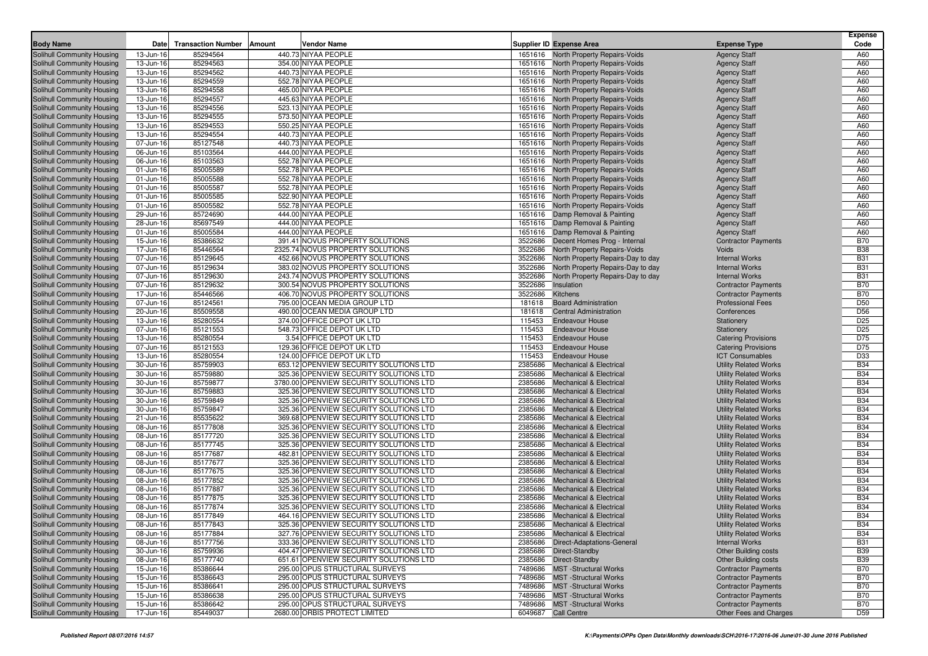|                                                          |                        |                                     |                                                                                                         |                                                                              |                                                              | Expense                  |
|----------------------------------------------------------|------------------------|-------------------------------------|---------------------------------------------------------------------------------------------------------|------------------------------------------------------------------------------|--------------------------------------------------------------|--------------------------|
| <b>Body Name</b>                                         | Date                   | <b>Transaction Number</b><br>Amount | Vendor Name                                                                                             | <b>Supplier ID Expense Area</b>                                              | <b>Expense Type</b>                                          | Code                     |
| Solihull Community Housing                               | 13-Jun-16              | 85294564                            | 440.73 NIYAA PEOPLE                                                                                     | 1651616 North Property Repairs-Voids                                         | <b>Agency Staff</b>                                          | A60                      |
| Solihull Community Housing                               | 13-Jun-16              | 85294563                            | 354.00 NIYAA PEOPLE<br>440.73 NIYAA PEOPLE                                                              | 1651616 North Property Repairs-Voids                                         | <b>Agency Staff</b>                                          | A60<br>A60               |
| Solihull Community Housing                               | 13-Jun-16              | 85294562                            | 552.78 NIYAA PEOPLE                                                                                     | 1651616 North Property Repairs-Voids                                         | <b>Agency Staff</b>                                          | A60                      |
| Solihull Community Housing<br>Solihull Community Housing | 13-Jun-16<br>13-Jun-16 | 85294559<br>85294558                | 465.00 NIYAA PEOPLE                                                                                     | 1651616 North Property Repairs-Voids<br>1651616 North Property Repairs-Voids | <b>Agency Staff</b><br><b>Agency Staff</b>                   | A60                      |
| Solihull Community Housing                               | 13-Jun-16              | 85294557                            | 445.63 NIYAA PEOPLE                                                                                     | 1651616 North Property Repairs-Voids                                         | <b>Agency Staff</b>                                          | A60                      |
| Solihull Community Housing                               | 13-Jun-16              | 85294556                            | 523.13 NIYAA PEOPLE                                                                                     | 1651616 North Property Repairs-Voids                                         | <b>Agency Staff</b>                                          | A60                      |
| Solihull Community Housing                               | 13-Jun-16              | 85294555                            | 573.50 NIYAA PEOPLE                                                                                     | 1651616 North Property Repairs-Voids                                         | <b>Agency Staff</b>                                          | A60                      |
| Solihull Community Housing                               | 13-Jun-16              | 85294553                            | 550.25 NIYAA PEOPLE                                                                                     | 1651616 North Property Repairs-Voids                                         | <b>Agency Staff</b>                                          | A60                      |
| Solihull Community Housing                               | 13-Jun-16              | 85294554                            | 440.73 NIYAA PEOPLE                                                                                     | 1651616 North Property Repairs-Voids                                         | <b>Agency Staff</b>                                          | A60                      |
| Solihull Community Housing                               | 07-Jun-16              | 85127548                            | 440.73 NIYAA PEOPLE                                                                                     | 1651616 North Property Repairs-Voids                                         | <b>Agency Staff</b>                                          | A60                      |
| Solihull Community Housing                               | 06-Jun-16              | 85103564                            | 444.00 NIYAA PEOPLE                                                                                     | 1651616 North Property Repairs-Voids                                         | <b>Agency Staff</b>                                          | A60                      |
| Solihull Community Housing                               | 06-Jun-16              | 85103563                            | 552.78 NIYAA PEOPLE                                                                                     | 1651616 North Property Repairs-Voids                                         | <b>Agency Staff</b>                                          | A60                      |
| Solihull Community Housing                               | 01-Jun-16              | 85005589                            | 552.78 NIYAA PEOPLE                                                                                     | 1651616 North Property Repairs-Voids                                         | <b>Agency Staff</b>                                          | A60                      |
| Solihull Community Housing                               | 01-Jun-16              | 85005588                            | 552.78 NIYAA PEOPLE                                                                                     | 1651616 North Property Repairs-Voids                                         | <b>Agency Staff</b>                                          | A60                      |
| Solihull Community Housing                               | 01-Jun-16              | 85005587                            | 552.78 NIYAA PEOPLE                                                                                     | 1651616 North Property Repairs-Voids                                         | <b>Agency Staff</b>                                          | A60                      |
| Solihull Community Housing                               | 01-Jun-16              | 85005585                            | 522.90 NIYAA PEOPLE                                                                                     | 1651616 North Property Repairs-Voids                                         | <b>Agency Staff</b>                                          | A60                      |
| Solihull Community Housing                               | 01-Jun-16              | 85005582                            | 552.78 NIYAA PEOPLE<br>1651616                                                                          | <b>North Property Repairs-Voids</b>                                          | <b>Agency Staff</b>                                          | A60                      |
| Solihull Community Housing                               | 29-Jun-16              | 85724690                            | 444.00 NIYAA PEOPLE                                                                                     | 1651616 Damp Removal & Painting                                              | <b>Agency Staff</b>                                          | A60                      |
| Solihull Community Housing                               | 28-Jun-16              | 85697549                            | 444.00 NIYAA PEOPLE                                                                                     | 1651616 Damp Removal & Painting                                              | <b>Agency Staff</b>                                          | A60                      |
| Solihull Community Housing                               | 01-Jun-16              | 85005584                            | 444.00 NIYAA PEOPLE                                                                                     | 1651616 Damp Removal & Painting                                              | <b>Agency Staff</b>                                          | A60                      |
| Solihull Community Housing                               | 15-Jun-16              | 85386632                            | 391.41 NOVUS PROPERTY SOLUTIONS<br>3522686                                                              | Decent Homes Prog - Internal                                                 | <b>Contractor Payments</b>                                   | <b>B70</b>               |
| Solihull Community Housing                               | 17-Jun-16              | 85446564                            | 2325.74 NOVUS PROPERTY SOLUTIONS<br>3522686                                                             | North Property Repairs-Voids                                                 | <b>Voids</b>                                                 | <b>B38</b>               |
| Solihull Community Housing                               | 07-Jun-16              | 85129645                            | 452.66 NOVUS PROPERTY SOLUTIONS<br>3522686                                                              | North Property Repairs-Day to day                                            | <b>Internal Works</b>                                        | <b>B31</b>               |
| Solihull Community Housing                               | 07-Jun-16              | 85129634                            | 383.02 NOVUS PROPERTY SOLUTIONS<br>3522686                                                              | North Property Repairs-Day to day                                            | <b>Internal Works</b>                                        | <b>B31</b>               |
| Solihull Community Housing                               | 07-Jun-16              | 85129630                            | 243.74 NOVUS PROPERTY SOLUTIONS<br>3522686                                                              | North Property Repairs-Day to day                                            | <b>Internal Works</b>                                        | <b>B31</b>               |
| Solihull Community Housing                               | 07-Jun-16              | 85129632                            | 3522686<br>300.54 NOVUS PROPERTY SOLUTIONS                                                              | Insulation                                                                   | <b>Contractor Payments</b>                                   | <b>B70</b>               |
| Solihull Community Housing                               | 17-Jun-16              | 85446566                            | 406.70 NOVUS PROPERTY SOLUTIONS<br>3522686                                                              | <b>Kitchens</b>                                                              | <b>Contractor Payments</b>                                   | <b>B70</b>               |
| Solihull Community Housing                               | 07-Jun-16              | 85124561                            | 795.00 OCEAN MEDIA GROUP LTD<br>181618                                                                  | <b>Board Administration</b>                                                  | <b>Professional Fees</b>                                     | D <sub>50</sub>          |
| Solihull Community Housing                               | 20-Jun-16              | 85509558                            | 490.00 OCEAN MEDIA GROUP LTD<br>181618                                                                  | <b>Central Administration</b>                                                | Conferences                                                  | D <sub>56</sub>          |
| Solihull Community Housing                               | 13-Jun-16              | 85280554                            | 374.00 OFFICE DEPOT UK LTD<br>115453                                                                    | <b>Endeavour House</b>                                                       | Stationery                                                   | D <sub>25</sub>          |
| Solihull Community Housing                               | 07-Jun-16              | 85121553                            | 548.73 OFFICE DEPOT UK LTD<br>115453                                                                    | <b>Endeavour House</b>                                                       | Stationery                                                   | D <sub>25</sub>          |
| Solihull Community Housing                               | 13-Jun-16              | 85280554                            | 3.54 OFFICE DEPOT UK LTD<br>115453                                                                      | <b>Endeavour House</b>                                                       | <b>Catering Provisions</b>                                   | D75                      |
| Solihull Community Housing                               | 07-Jun-16              | 85121553                            | 129.36 OFFICE DEPOT UK LTD<br>115453                                                                    | <b>Endeavour House</b>                                                       | <b>Catering Provisions</b>                                   | D75                      |
| Solihull Community Housing                               | 13-Jun-16              | 85280554                            | 124.00 OFFICE DEPOT UK LTD<br>115453                                                                    | <b>Endeavour House</b>                                                       | <b>ICT Consumables</b>                                       | D33                      |
| Solihull Community Housing                               | 30-Jun-16              | 85759903                            | 653.12 OPENVIEW SECURITY SOLUTIONS LTD<br>2385686                                                       | <b>Mechanical &amp; Electrical</b>                                           | <b>Utility Related Works</b>                                 | <b>B34</b>               |
| Solihull Community Housing                               | 30-Jun-16              | 85759880                            | 325.36 OPENVIEW SECURITY SOLUTIONS LTD<br>2385686                                                       | <b>Mechanical &amp; Electrical</b>                                           | <b>Utility Related Works</b>                                 | <b>B34</b>               |
| Solihull Community Housing<br>Solihull Community Housing | 30-Jun-16<br>30-Jun-16 | 85759877<br>85759883                | 3780.00 OPENVIEW SECURITY SOLUTIONS LTD<br>2385686<br>325.36 OPENVIEW SECURITY SOLUTIONS LTD<br>2385686 | <b>Mechanical &amp; Electrical</b><br><b>Mechanical &amp; Electrical</b>     | <b>Utility Related Works</b><br><b>Utility Related Works</b> | <b>B34</b><br><b>B34</b> |
| Solihull Community Housing                               | 30-Jun-16              | 85759849                            | 325.36 OPENVIEW SECURITY SOLUTIONS LTD<br>2385686                                                       | <b>Mechanical &amp; Electrical</b>                                           | <b>Utility Related Works</b>                                 | <b>B34</b>               |
| Solihull Community Housing                               | 30-Jun-16              | 85759847                            | 325.36 OPENVIEW SECURITY SOLUTIONS LTD<br>2385686                                                       | <b>Mechanical &amp; Electrical</b>                                           | <b>Utility Related Works</b>                                 | <b>B34</b>               |
| Solihull Community Housing                               | 21-Jun-16              | 85535622                            | 369.68 OPENVIEW SECURITY SOLUTIONS LTD<br>2385686                                                       | <b>Mechanical &amp; Electrical</b>                                           | <b>Utility Related Works</b>                                 | <b>B34</b>               |
| Solihull Community Housing                               | 08-Jun-16              | 85177808                            | 325.36 OPENVIEW SECURITY SOLUTIONS LTD<br>2385686                                                       | <b>Mechanical &amp; Electrical</b>                                           | <b>Utility Related Works</b>                                 | <b>B34</b>               |
| Solihull Community Housing                               | 08-Jun-16              | 85177720                            | 325.36 OPENVIEW SECURITY SOLUTIONS LTD<br>2385686                                                       | <b>Mechanical &amp; Electrical</b>                                           | <b>Utility Related Works</b>                                 | <b>B34</b>               |
| Solihull Community Housing                               | 08-Jun-16              | 85177745                            | 325.36 OPENVIEW SECURITY SOLUTIONS LTD<br>2385686                                                       | <b>Mechanical &amp; Electrical</b>                                           | <b>Utility Related Works</b>                                 | <b>B34</b>               |
| Solihull Community Housing                               | 08-Jun-16              | 85177687                            | 482.81 OPENVIEW SECURITY SOLUTIONS LTD<br>2385686                                                       | <b>Mechanical &amp; Electrical</b>                                           | <b>Utility Related Works</b>                                 | <b>B34</b>               |
| Solihull Community Housing                               | 08-Jun-16              | 85177677                            | 325.36 OPENVIEW SECURITY SOLUTIONS LTD<br>2385686                                                       | <b>Mechanical &amp; Electrical</b>                                           | <b>Utility Related Works</b>                                 | <b>B34</b>               |
| Solihull Community Housing                               | 08-Jun-16              | 85177675                            | 325.36 OPENVIEW SECURITY SOLUTIONS LTD<br>2385686                                                       | <b>Mechanical &amp; Electrical</b>                                           | <b>Utility Related Works</b>                                 | <b>B34</b>               |
| Solihull Community Housing                               | 08-Jun-16              | 85177852                            | 325.36 OPENVIEW SECURITY SOLUTIONS LTD<br>2385686                                                       | <b>Mechanical &amp; Electrical</b>                                           | <b>Utility Related Works</b>                                 | <b>B34</b>               |
| Solihull Community Housing                               | 08-Jun-16              | 85177887                            | 325.36 OPENVIEW SECURITY SOLUTIONS LTD<br>2385686                                                       | <b>Mechanical &amp; Electrical</b>                                           | <b>Utility Related Works</b>                                 | <b>B34</b>               |
| Solihull Community Housing                               | 08-Jun-16              | 85177875                            | 325.36 OPENVIEW SECURITY SOLUTIONS LTD<br>2385686                                                       | <b>Mechanical &amp; Electrical</b>                                           | <b>Utility Related Works</b>                                 | <b>B34</b>               |
| Solihull Community Housing                               | 08-Jun-16              | 85177874                            | 325.36 OPENVIEW SECURITY SOLUTIONS LTD<br>2385686                                                       | <b>Mechanical &amp; Electrical</b>                                           | <b>Utility Related Works</b>                                 | <b>B34</b>               |
| Solihull Community Housing                               | 08-Jun-16              | 85177849                            | 464.16 OPENVIEW SECURITY SOLUTIONS LTD                                                                  | 2385686 Mechanical & Electrical                                              | <b>Utility Related Works</b>                                 | <b>B34</b>               |
| Solihull Community Housing                               | 08-Jun-16              | 85177843                            | 325.36 OPENVIEW SECURITY SOLUTIONS LTD                                                                  | 2385686 Mechanical & Electrical                                              | <b>Utility Related Works</b>                                 | <b>B34</b>               |
| Solihull Community Housing                               | 08-Jun-16              | 85177884                            | 327.76 OPENVIEW SECURITY SOLUTIONS LTD                                                                  | 2385686 Mechanical & Electrical                                              | <b>Utility Related Works</b>                                 | <b>B34</b>               |
| Solihull Community Housing                               | 08-Jun-16              | 85177756                            | 333.36 OPENVIEW SECURITY SOLUTIONS LTD                                                                  | 2385686 Direct-Adaptations-General                                           | <b>Internal Works</b>                                        | <b>B31</b>               |
| Solihull Community Housing                               | 30-Jun-16              | 85759936                            | 404.47 OPENVIEW SECURITY SOLUTIONS LTD                                                                  | 2385686 Direct-Standby                                                       | <b>Other Building costs</b>                                  | <b>B39</b>               |
| Solihull Community Housing                               | 08-Jun-16              | 85177740                            | 651.61 OPENVIEW SECURITY SOLUTIONS LTD                                                                  | 2385686 Direct-Standby                                                       | <b>Other Building costs</b>                                  | <b>B39</b>               |
| Solihull Community Housing                               | 15-Jun-16              | 85386644                            | 295.00 OPUS STRUCTURAL SURVEYS                                                                          | 7489686 MST -Structural Works                                                | <b>Contractor Payments</b>                                   | <b>B70</b>               |
| Solihull Community Housing                               | 15-Jun-16              | 85386643                            | 295.00 OPUS STRUCTURAL SURVEYS                                                                          | 7489686 MST -Structural Works                                                | <b>Contractor Payments</b>                                   | <b>B70</b>               |
| Solihull Community Housing                               | 15-Jun-16              | 85386641                            | 295.00 OPUS STRUCTURAL SURVEYS<br>295.00 OPUS STRUCTURAL SURVEYS                                        | 7489686 MST - Structural Works                                               | <b>Contractor Payments</b>                                   | <b>B70</b>               |
| Solihull Community Housing                               | 15-Jun-16              | 85386638                            |                                                                                                         | 7489686 MST-Structural Works                                                 | <b>Contractor Payments</b>                                   | <b>B70</b>               |
| Solihull Community Housing<br>Solihull Community Housing | 15-Jun-16              | 85386642                            | 295.00 OPUS STRUCTURAL SURVEYS                                                                          | 7489686 MST -Structural Works                                                | <b>Contractor Payments</b><br>Other Fees and Charges         | <b>B70</b>               |
|                                                          | 17-Jun-16              | 85449037                            | 2680.00 ORBIS PROTECT LIMITED                                                                           | 6049687 Call Centre                                                          |                                                              | D <sub>59</sub>          |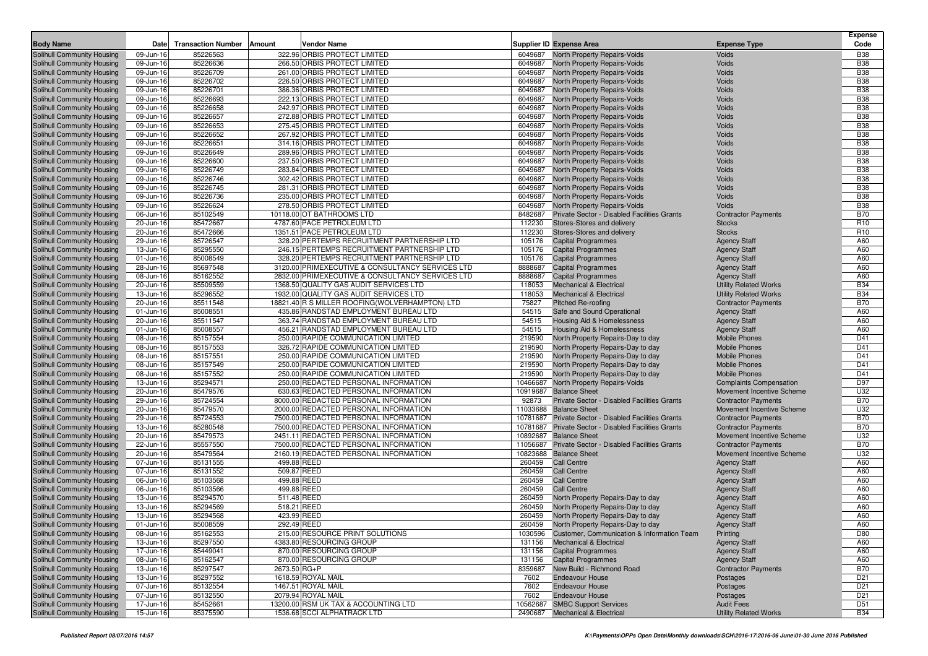| <b>Body Name</b>                                         | Date                   | <b>Transaction Number</b> | Vendor Name<br>Amount                                                     |                   | <b>Supplier ID Expense Area</b>                        | <b>Expense Type</b>                               | <b>Expense</b><br>Code        |
|----------------------------------------------------------|------------------------|---------------------------|---------------------------------------------------------------------------|-------------------|--------------------------------------------------------|---------------------------------------------------|-------------------------------|
| Solihull Community Housing                               | 09-Jun-16              | 85226563                  | 322.96 ORBIS PROTECT LIMITED                                              | 6049687           | <b>North Property Repairs-Voids</b>                    | Voids                                             | <b>B38</b>                    |
| Solihull Community Housing                               | 09-Jun-16              | 85226636                  | 266.50 ORBIS PROTECT LIMITED                                              | 6049687           | <b>North Property Repairs-Voids</b>                    | Voids                                             | <b>B38</b>                    |
| Solihull Community Housing                               | 09-Jun-16              | 85226709                  | 261.00 ORBIS PROTECT LIMITED                                              | 6049687           | <b>North Property Repairs-Voids</b>                    | Voids                                             | <b>B38</b>                    |
| Solihull Community Housing                               | 09-Jun-16              | 85226702                  | 226.50 ORBIS PROTECT LIMITED                                              | 6049687           | <b>North Property Repairs-Voids</b>                    | Voids                                             | <b>B38</b>                    |
| Solihull Community Housing                               | 09-Jun-16              | 85226701                  | 386.36 ORBIS PROTECT LIMITED                                              | 6049687           | North Property Repairs-Voids                           | Voids                                             | <b>B38</b>                    |
| Solihull Community Housing                               | 09-Jun-16              | 85226693                  | 222.13 ORBIS PROTECT LIMITED                                              | 6049687           | North Property Repairs-Voids                           | Voids                                             | <b>B38</b>                    |
| Solihull Community Housing                               | 09-Jun-16              | 85226658                  | 242.97 ORBIS PROTECT LIMITED                                              | 6049687           | North Property Repairs-Voids                           | Voids                                             | <b>B38</b>                    |
| Solihull Community Housing                               | 09-Jun-16              | 85226657                  | 272.88 ORBIS PROTECT LIMITED                                              | 6049687           | North Property Repairs-Voids                           | Voids                                             | <b>B38</b>                    |
| Solihull Community Housing                               | 09-Jun-16              | 85226653                  | 275.45 ORBIS PROTECT LIMITED                                              | 6049687           | North Property Repairs-Voids                           | Voids                                             | <b>B38</b>                    |
| Solihull Community Housing                               | 09-Jun-16              | 85226652                  | 267.92 ORBIS PROTECT LIMITED                                              | 6049687           | <b>North Property Repairs-Voids</b>                    | Voids                                             | <b>B38</b>                    |
| Solihull Community Housing                               | 09-Jun-16              | 85226651                  | 314.16 ORBIS PROTECT LIMITED                                              | 6049687           | North Property Repairs-Voids                           | Voids                                             | <b>B38</b>                    |
| Solihull Community Housing                               | 09-Jun-16              | 85226649                  | 289.96 ORBIS PROTECT LIMITED                                              | 6049687           | North Property Repairs-Voids                           | Voids                                             | <b>B38</b>                    |
| Solihull Community Housing                               | 09-Jun-16              | 85226600                  | 237.50 ORBIS PROTECT LIMITED                                              | 6049687           | <b>North Property Repairs-Voids</b>                    | Voids                                             | <b>B38</b>                    |
| Solihull Community Housing                               | 09-Jun-16              | 85226749                  | 283.84 ORBIS PROTECT LIMITED                                              | 6049687           | North Property Repairs-Voids                           | Voids                                             | <b>B38</b>                    |
| Solihull Community Housing                               | 09-Jun-16              | 85226746                  | 302.42 ORBIS PROTECT LIMITED                                              | 6049687           | North Property Repairs-Voids                           | Voids                                             | <b>B38</b>                    |
| Solihull Community Housing                               | 09-Jun-16              | 85226745                  | 281.31 ORBIS PROTECT LIMITED                                              | 6049687           | <b>North Property Repairs-Voids</b>                    | Voids                                             | <b>B38</b>                    |
| Solihull Community Housing                               | 09-Jun-16              | 85226736                  | 235.00 ORBIS PROTECT LIMITED                                              | 6049687           | North Property Repairs-Voids                           | Voids                                             | <b>B38</b><br><b>B38</b>      |
| Solihull Community Housing                               | 09-Jun-16              | 85226624                  | 278.50 ORBIS PROTECT LIMITED                                              | 6049687           | North Property Repairs-Voids                           | Voids                                             |                               |
| Solihull Community Housing                               | 06-Jun-16              | 85102549                  | 10118.00 OT BATHROOMS LTD                                                 | 8482687           | Private Sector - Disabled Facilities Grants            | <b>Contractor Payments</b>                        | <b>B70</b><br>R <sub>10</sub> |
| Solihull Community Housing                               | 20-Jun-16              | 85472667                  | 4787.60 PACE PETROLEUM LTD                                                | 112230            | Stores-Stores and delivery                             | <b>Stocks</b><br><b>Stocks</b>                    | R <sub>10</sub>               |
| Solihull Community Housing                               | 20-Jun-16              | 85472666<br>85726547      | 1351.51 PACE PETROLEUM LTD<br>328.20 PERTEMPS RECRUITMENT PARTNERSHIP LTD | 112230<br>105176  | Stores-Stores and delivery                             |                                                   | A60                           |
| Solihull Community Housing<br>Solihull Community Housing | 29-Jun-16<br>13-Jun-16 | 85295550                  | 246.15 PERTEMPS RECRUITMENT PARTNERSHIP LTD                               | 105176            | <b>Capital Programmes</b><br><b>Capital Programmes</b> | <b>Agency Staff</b>                               | A60                           |
| Solihull Community Housing                               | 01-Jun-16              | 85008549                  | 328.20 PERTEMPS RECRUITMENT PARTNERSHIP LTD                               | 105176            | <b>Capital Programmes</b>                              | <b>Agency Staff</b><br><b>Agency Staff</b>        | A60                           |
| Solihull Community Housing                               | 28-Jun-16              | 85697548                  | 3120.00 PRIMEXECUTIVE & CONSULTANCY SERVICES LTD                          | 8888687           | <b>Capital Programmes</b>                              | <b>Agency Staff</b>                               | A60                           |
| Solihull Community Housing                               | 08-Jun-16              | 85162552                  | 2832.00 PRIMEXECUTIVE & CONSULTANCY SERVICES LTD                          | 8888687           | <b>Capital Programmes</b>                              | <b>Agency Staff</b>                               | A60                           |
| Solihull Community Housing                               | 20-Jun-16              | 85509559                  | 1368.50 QUALITY GAS AUDIT SERVICES LTD                                    | 118053            | <b>Mechanical &amp; Electrical</b>                     | <b>Utility Related Works</b>                      | <b>B34</b>                    |
| Solihull Community Housing                               | 13-Jun-16              | 85296552                  | 1932.00 QUALITY GAS AUDIT SERVICES LTD                                    | 118053            | <b>Mechanical &amp; Electrical</b>                     | <b>Utility Related Works</b>                      | <b>B34</b>                    |
| Solihull Community Housing                               | 20-Jun-16              | 85511548                  | 18821.40 R S MILLER ROOFING(WOLVERHAMPTON) LTD                            | 75827             | <b>Pitched Re-roofing</b>                              | <b>Contractor Payments</b>                        | <b>B70</b>                    |
| Solihull Community Housing                               | 01-Jun-16              | 85008551                  | 435.86 RANDSTAD EMPLOYMENT BUREAU LTD                                     | 54515             | Safe and Sound Operational                             | <b>Agency Staff</b>                               | A60                           |
| Solihull Community Housing                               | 20-Jun-16              | 85511547                  | 363.74 RANDSTAD EMPLOYMENT BUREAU LTD                                     | 54515             | <b>Housing Aid &amp; Homelessness</b>                  | <b>Agency Staff</b>                               | A60                           |
| Solihull Community Housing                               | 01-Jun-16              | 85008557                  | 456.21 RANDSTAD EMPLOYMENT BUREAU LTD                                     | 54515             | Housing Aid & Homelessness                             | <b>Agency Staff</b>                               | A60                           |
| Solihull Community Housing                               | 08-Jun-16              | 85157554                  | 250.00 RAPIDE COMMUNICATION LIMITED                                       | 219590            | North Property Repairs-Day to day                      | <b>Mobile Phones</b>                              | D41                           |
| Solihull Community Housing                               | 08-Jun-16              | 85157553                  | 326.72 RAPIDE COMMUNICATION LIMITED                                       | 219590            | North Property Repairs-Day to day                      | <b>Mobile Phones</b>                              | D41                           |
| Solihull Community Housing                               | 08-Jun-16              | 85157551                  | 250.00 RAPIDE COMMUNICATION LIMITED                                       | 219590            | North Property Repairs-Day to day                      | <b>Mobile Phones</b>                              | D41                           |
| Solihull Community Housing                               | 08-Jun-16              | 85157549                  | 250.00 RAPIDE COMMUNICATION LIMITED                                       | 219590            | North Property Repairs-Day to day                      | <b>Mobile Phones</b>                              | D41                           |
| Solihull Community Housing                               | 08-Jun-16              | 85157552                  | 250.00 RAPIDE COMMUNICATION LIMITED                                       | 219590            | North Property Repairs-Day to day                      | <b>Mobile Phones</b>                              | D41                           |
| Solihull Community Housing                               | 13-Jun-16              | 85294571                  | 250.00 REDACTED PERSONAL INFORMATION                                      | 10466687          | <b>North Property Repairs-Voids</b>                    | <b>Complaints Compensation</b>                    | D97                           |
| Solihull Community Housing                               | 20-Jun-16              | 85479576                  | 630.63 REDACTED PERSONAL INFORMATION                                      | 10919687          | <b>Balance Sheet</b>                                   | Movement Incentive Scheme                         | U32                           |
| Solihull Community Housing                               | 29-Jun-16              | 85724554                  | 8000.00 REDACTED PERSONAL INFORMATION                                     | 92873             | Private Sector - Disabled Facilities Grants            | <b>Contractor Payments</b>                        | <b>B70</b>                    |
| Solihull Community Housing                               | 20-Jun-16              | 85479570                  | 2000.00 REDACTED PERSONAL INFORMATION                                     |                   | 11033688 Balance Sheet                                 | Movement Incentive Scheme                         | U32                           |
| Solihull Community Housing                               | 29-Jun-16              | 85724553                  | 7500.00 REDACTED PERSONAL INFORMATION                                     |                   | 10781687 Private Sector - Disabled Facilities Grants   | <b>Contractor Payments</b>                        | <b>B70</b>                    |
| Solihull Community Housing                               | 13-Jun-16              | 85280548                  | 7500.00 REDACTED PERSONAL INFORMATION                                     |                   | 10781687 Private Sector - Disabled Facilities Grants   | <b>Contractor Payments</b>                        | <b>B70</b>                    |
| Solihull Community Housing                               | 20-Jun-16              | 85479573                  | 2451.11 REDACTED PERSONAL INFORMATION                                     | 10892687          | <b>Balance Sheet</b>                                   | Movement Incentive Scheme                         | U32                           |
| Solihull Community Housing                               | 22-Jun-16              | 85557550                  | 7500.00 REDACTED PERSONAL INFORMATION                                     | 11056687          | Private Sector - Disabled Facilities Grants            | <b>Contractor Payments</b>                        | <b>B70</b>                    |
| Solihull Community Housing                               | 20-Jun-16              | 85479564                  | 2160.19 REDACTED PERSONAL INFORMATION                                     | 10823688          | <b>Balance Sheet</b>                                   | Movement Incentive Scheme                         | U32                           |
| Solihull Community Housing                               | 07-Jun-16              | 85131555                  | 499.88 REED                                                               | 260459            | <b>Call Centre</b>                                     | <b>Agency Staff</b>                               | A60                           |
| Solihull Community Housing                               | 07-Jun-16              | 85131552                  | 509.87 REED                                                               | 260459            | <b>Call Centre</b>                                     | <b>Agency Staff</b>                               | A60                           |
| Solihull Community Housing                               | 06-Jun-16              | 85103568                  | 499.88 REED                                                               | 260459            | <b>Call Centre</b>                                     | <b>Agency Staff</b>                               | A60                           |
| Solihull Community Housing                               | 06-Jun-16              | 85103566                  | 499.88 REED                                                               | 260459            | <b>Call Centre</b>                                     | <b>Agency Staff</b>                               | A60                           |
| Solihull Community Housing                               | 13-Jun-16              | 85294570                  | 511.48 REED                                                               | 260459            | North Property Repairs-Day to day                      | <b>Agency Staff</b>                               | A60                           |
| Solihull Community Housing                               | 13-Jun-16              | 85294569                  | 518.21 REED                                                               | 260459            | North Property Repairs-Day to day                      | <b>Agency Staff</b>                               | A60                           |
| Solihull Community Housing                               | 13-Jun-16              | 85294568                  | 423.99 REED                                                               | 260459            | North Property Repairs-Day to day                      | <b>Agency Staff</b>                               | A60                           |
| Solihull Community Housing                               | $01 - Jun-16$          | 85008559                  | 292.49 REED                                                               |                   | 260459 North Property Repairs-Day to day               | Agency Staff                                      | A60                           |
| Solihull Community Housing<br>Solihull Community Housing | 08-Jun-16              | 85162553                  | 215.00 RESOURCE PRINT SOLUTIONS                                           |                   | 1030596 Customer, Communication & Information Team     | Printing                                          | D80                           |
|                                                          | 13-Jun-16              | 85297550                  | 4383.80 RESOURCING GROUP                                                  | 131156            | <b>Mechanical &amp; Electrical</b>                     | <b>Agency Staff</b>                               | A60                           |
| Solihull Community Housing                               | 17-Jun-16              | 85449041                  | 870.00 RESOURCING GROUP                                                   | 131156            | <b>Capital Programmes</b>                              | <b>Agency Staff</b>                               | A60                           |
| Solihull Community Housing<br>Solihull Community Housing | 08-Jun-16              | 85162547<br>85297547      | 870.00 RESOURCING GROUP<br>2673.50 RG+P                                   | 131156<br>8359687 | <b>Capital Programmes</b><br>New Build - Richmond Road | <b>Agency Staff</b><br><b>Contractor Payments</b> | A60<br><b>B70</b>             |
| Solihull Community Housing                               | 13-Jun-16<br>13-Jun-16 | 85297552                  | 1618.59 ROYAL MAIL                                                        | 7602              | <b>Endeavour House</b>                                 | Postages                                          | D <sub>21</sub>               |
| Solihull Community Housing                               | 07-Jun-16              | 85132554                  | 1467.51 ROYAL MAIL                                                        | 7602              | <b>Endeavour House</b>                                 | Postages                                          | D <sub>21</sub>               |
| Solihull Community Housing                               | 07-Jun-16              | 85132550                  | 2079.94 ROYAL MAIL                                                        | 7602              | <b>Endeavour House</b>                                 | Postages                                          | D <sub>21</sub>               |
| Solihull Community Housing                               | 17-Jun-16              | 85452661                  | 13200.00 RSM UK TAX & ACCOUNTING LTD                                      | 10562687          | <b>SMBC Support Services</b>                           | <b>Audit Fees</b>                                 | D51                           |
| Solihull Community Housing                               | 15-Jun-16              | 85375590                  | 1536.68 SCCI ALPHATRACK LTD                                               |                   | 2490687 Mechanical & Electrical                        | <b>Utility Related Works</b>                      | <b>B34</b>                    |
|                                                          |                        |                           |                                                                           |                   |                                                        |                                                   |                               |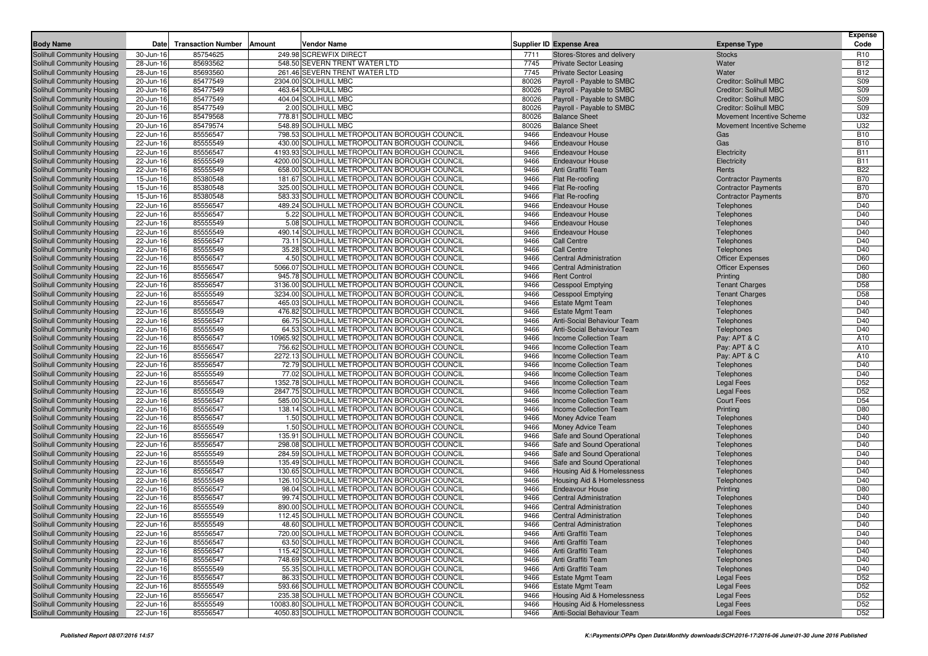|                                                          |                        |                           |                                                                                                |                |                                                         |                                                                | <b>Expense</b>                     |
|----------------------------------------------------------|------------------------|---------------------------|------------------------------------------------------------------------------------------------|----------------|---------------------------------------------------------|----------------------------------------------------------------|------------------------------------|
| <b>Body Name</b>                                         | Date                   | <b>Transaction Number</b> | Amount<br>Vendor Name                                                                          |                | <b>Supplier ID Expense Area</b>                         | <b>Expense Type</b>                                            | Code                               |
| Solihull Community Housing                               | 30-Jun-16              | 85754625                  | 249.98 SCREWFIX DIRECT                                                                         | 7711           | Stores-Stores and delivery                              | <b>Stocks</b>                                                  | R <sub>10</sub>                    |
| Solihull Community Housing                               | 28-Jun-16              | 85693562                  | 548.50 SEVERN TRENT WATER LTD                                                                  | 7745           | <b>Private Sector Leasing</b>                           | Water                                                          | <b>B12</b>                         |
| Solihull Community Housing                               | 28-Jun-16              | 85693560                  | 261.46 SEVERN TRENT WATER LTD                                                                  | 7745           | <b>Private Sector Leasing</b>                           | Water                                                          | <b>B12</b>                         |
| Solihull Community Housing                               | 20-Jun-16              | 85477549                  | 2304.00 SOLIHULL MBC                                                                           | 80026          | Payroll - Payable to SMBC                               | Creditor: Solihull MBC                                         | S09                                |
| Solihull Community Housing                               | 20-Jun-16              | 85477549                  | 463.64 SOLIHULL MBC                                                                            | 80026          | Payroll - Payable to SMBC                               | Creditor: Solihull MBC                                         | S09                                |
| Solihull Community Housing                               | 20-Jun-16              | 85477549<br>85477549      | 404.04 SOLIHULL MBC                                                                            | 80026<br>80026 | Payroll - Payable to SMBC                               | <b>Creditor: Solihull MBC</b><br><b>Creditor: Solihull MBC</b> | S09<br>S09                         |
| Solihull Community Housing                               | 20-Jun-16              |                           | 2.00 SOLIHULL MBC                                                                              | 80026          | Payroll - Payable to SMBC                               |                                                                | U32                                |
| Solihull Community Housing<br>Solihull Community Housing | 20-Jun-16<br>20-Jun-16 | 85479568<br>85479574      | 778.81 SOLIHULL MBC<br>548.89 SOLIHULL MBC                                                     | 80026          | <b>Balance Sheet</b><br><b>Balance Sheet</b>            | Movement Incentive Scheme<br>Movement Incentive Scheme         | U32                                |
| Solihull Community Housing                               | 22-Jun-16              | 85556547                  | 798.53 SOLIHULL METROPOLITAN BOROUGH COUNCIL                                                   | 9466           | <b>Endeavour House</b>                                  | Gas                                                            | <b>B10</b>                         |
| Solihull Community Housing                               | 22-Jun-16              | 85555549                  | 430.00 SOLIHULL METROPOLITAN BOROUGH COUNCIL                                                   | 9466           | <b>Endeavour House</b>                                  | Gas                                                            | <b>B10</b>                         |
| Solihull Community Housing                               | 22-Jun-16              | 85556547                  | 4193.93 SOLIHULL METROPOLITAN BOROUGH COUNCIL                                                  | 9466           | <b>Endeavour House</b>                                  | Electricity                                                    | <b>B11</b>                         |
| Solihull Community Housing                               | 22-Jun-16              | 85555549                  | 4200.00 SOLIHULL METROPOLITAN BOROUGH COUNCIL                                                  | 9466           | <b>Endeavour House</b>                                  | Electricity                                                    | <b>B11</b>                         |
| Solihull Community Housing                               | 22-Jun-16              | 85555549                  | 658.00 SOLIHULL METROPOLITAN BOROUGH COUNCIL                                                   | 9466           | Anti Graffiti Team                                      | Rents                                                          | <b>B22</b>                         |
| Solihull Community Housing                               | 15-Jun-16              | 85380548                  | 181.67 SOLIHULL METROPOLITAN BOROUGH COUNCIL                                                   | 9466           | Flat Re-roofing                                         | <b>Contractor Payments</b>                                     | <b>B70</b>                         |
| Solihull Community Housing                               | 15-Jun-16              | 85380548                  | 325.00 SOLIHULL METROPOLITAN BOROUGH COUNCIL                                                   | 9466           | <b>Flat Re-roofing</b>                                  | <b>Contractor Payments</b>                                     | <b>B70</b>                         |
| Solihull Community Housing                               | 15-Jun-16              | 85380548                  | 583.33 SOLIHULL METROPOLITAN BOROUGH COUNCIL                                                   | 9466           | Flat Re-roofing                                         | <b>Contractor Payments</b>                                     | <b>B70</b>                         |
| Solihull Community Housing                               | 22-Jun-16              | 85556547                  | 489.24 SOLIHULL METROPOLITAN BOROUGH COUNCIL                                                   | 9466           | <b>Endeavour House</b>                                  | Telephones                                                     | D40                                |
| Solihull Community Housing                               | 22-Jun-16              | 85556547                  | 5.22 SOLIHULL METROPOLITAN BOROUGH COUNCIL                                                     | 9466           | <b>Endeavour House</b>                                  | Telephones                                                     | D40                                |
| Solihull Community Housing                               | 22-Jun-16              | 85555549                  | 5.08 SOLIHULL METROPOLITAN BOROUGH COUNCIL                                                     | 9466           | <b>Endeavour House</b>                                  | Telephones                                                     | D40                                |
| Solihull Community Housing                               | 22-Jun-16              | 85555549                  | 490.14 SOLIHULL METROPOLITAN BOROUGH COUNCIL                                                   | 9466           | <b>Endeavour House</b>                                  | Telephones                                                     | D40                                |
| Solihull Community Housing                               | 22-Jun-16              | 85556547                  | 73.11 SOLIHULL METROPOLITAN BOROUGH COUNCIL                                                    | 9466           | Call Centre                                             | Telephones                                                     | D40                                |
| Solihull Community Housing                               | 22-Jun-16              | 85555549                  | 35.28 SOLIHULL METROPOLITAN BOROUGH COUNCIL                                                    | 9466           | <b>Call Centre</b>                                      | Telephones                                                     | D40                                |
| Solihull Community Housing                               | 22-Jun-16              | 85556547                  | 4.50 SOLIHULL METROPOLITAN BOROUGH COUNCIL                                                     | 9466           | <b>Central Administration</b>                           | <b>Officer Expenses</b>                                        | D60                                |
| Solihull Community Housing                               | 22-Jun-16              | 85556547                  | 5066.07 SOLIHULL METROPOLITAN BOROUGH COUNCIL                                                  | 9466           | <b>Central Administration</b>                           | <b>Officer Expenses</b>                                        | D60                                |
| Solihull Community Housing                               | 22-Jun-16              | 85556547                  | 945.78 SOLIHULL METROPOLITAN BOROUGH COUNCIL                                                   | 9466           | <b>Rent Control</b>                                     | Printing                                                       | D80                                |
| Solihull Community Housing                               | 22-Jun-16              | 85556547                  | 3136.00 SOLIHULL METROPOLITAN BOROUGH COUNCIL                                                  | 9466           | <b>Cesspool Emptying</b>                                | <b>Tenant Charges</b>                                          | D <sub>58</sub>                    |
| Solihull Community Housing                               | 22-Jun-16              | 85555549                  | 3234.00 SOLIHULL METROPOLITAN BOROUGH COUNCIL                                                  | 9466           | <b>Cesspool Emptying</b>                                | <b>Tenant Charges</b>                                          | D <sub>58</sub>                    |
| Solihull Community Housing                               | 22-Jun-16              | 85556547                  | 465.03 SOLIHULL METROPOLITAN BOROUGH COUNCIL                                                   | 9466           | <b>Estate Mgmt Team</b>                                 | Telephones                                                     | D40                                |
| Solihull Community Housing                               | 22-Jun-16              | 85555549                  | 476.82 SOLIHULL METROPOLITAN BOROUGH COUNCIL                                                   | 9466           | <b>Estate Mgmt Team</b>                                 | Telephones                                                     | D40                                |
| Solihull Community Housing                               | 22-Jun-16              | 85556547                  | 66.75 SOLIHULL METROPOLITAN BOROUGH COUNCIL                                                    | 9466           | Anti-Social Behaviour Team                              | Telephones                                                     | D40                                |
| Solihull Community Housing                               | 22-Jun-16              | 85555549                  | 64.53 SOLIHULL METROPOLITAN BOROUGH COUNCIL                                                    | 9466           | <b>Anti-Social Behaviour Team</b>                       | Telephones                                                     | D40                                |
| Solihull Community Housing<br>Solihull Community Housing | 22-Jun-16              | 85556547<br>85556547      | 10965.92 SOLIHULL METROPOLITAN BOROUGH COUNCIL<br>756.62 SOLIHULL METROPOLITAN BOROUGH COUNCIL | 9466<br>9466   | Income Collection Team<br><b>Income Collection Team</b> | Pay: APT & C<br>Pay: APT & C                                   | A10                                |
|                                                          | 22-Jun-16<br>22-Jun-16 | 85556547                  | 2272.13 SOLIHULL METROPOLITAN BOROUGH COUNCIL                                                  | 9466           | Income Collection Team                                  |                                                                | A10<br>A10                         |
| Solihull Community Housing<br>Solihull Community Housing | 22-Jun-16              | 85556547                  | 72.79 SOLIHULL METROPOLITAN BOROUGH COUNCIL                                                    | 9466           | Income Collection Team                                  | Pay: APT & C<br>Telephones                                     | D40                                |
| Solihull Community Housing                               | 22-Jun-16              | 85555549                  | 77.02 SOLIHULL METROPOLITAN BOROUGH COUNCIL                                                    | 9466           | Income Collection Team                                  | Telephones                                                     | D40                                |
| Solihull Community Housing                               | 22-Jun-16              | 85556547                  | 1352.78 SOLIHULL METROPOLITAN BOROUGH COUNCIL                                                  | 9466           | Income Collection Team                                  | <b>Legal Fees</b>                                              | D <sub>52</sub>                    |
| Solihull Community Housing                               | 22-Jun-16              | 85555549                  | 2847.75 SOLIHULL METROPOLITAN BOROUGH COUNCIL                                                  | 9466           | <b>Income Collection Team</b>                           | <b>Legal Fees</b>                                              | D <sub>52</sub>                    |
| Solihull Community Housing                               | 22-Jun-16              | 85556547                  | 585.00 SOLIHULL METROPOLITAN BOROUGH COUNCIL                                                   | 9466           | Income Collection Team                                  | <b>Court Fees</b>                                              | D <sub>54</sub>                    |
| Solihull Community Housing                               | 22-Jun-16              | 85556547                  | 138.14 SOLIHULL METROPOLITAN BOROUGH COUNCIL                                                   | 9466           | Income Collection Team                                  | Printing                                                       | D80                                |
| Solihull Community Housing                               | 22-Jun-16              | 85556547                  | 1.50 SOLIHULL METROPOLITAN BOROUGH COUNCIL                                                     | 9466           | Money Advice Team                                       | Telephones                                                     | D40                                |
| Solihull Community Housing                               | 22-Jun-16              | 85555549                  | 1.50 SOLIHULL METROPOLITAN BOROUGH COUNCIL                                                     | 9466           | Money Advice Team                                       | Telephones                                                     | D40                                |
| Solihull Community Housing                               | 22-Jun-16              | 85556547                  | 135.91 SOLIHULL METROPOLITAN BOROUGH COUNCIL                                                   | 9466           | Safe and Sound Operational                              | Telephones                                                     | D40                                |
| Solihull Community Housing                               | 22-Jun-16              | 85556547                  | 298.08 SOLIHULL METROPOLITAN BOROUGH COUNCIL                                                   | 9466           | Safe and Sound Operational                              | Telephones                                                     | D40                                |
| Solihull Community Housing                               | 22-Jun-16              | 85555549                  | 284.59 SOLIHULL METROPOLITAN BOROUGH COUNCIL                                                   | 9466           | Safe and Sound Operational                              | Telephones                                                     | D40                                |
| Solihull Community Housing                               | 22-Jun-16              | 85555549                  | 135.49 SOLIHULL METROPOLITAN BOROUGH COUNCIL                                                   | 9466           | Safe and Sound Operational                              | Telephones                                                     | D40                                |
| Solihull Community Housing                               | 22-Jun-16              | 85556547                  | 130.65 SOLIHULL METROPOLITAN BOROUGH COUNCIL                                                   | 9466           | Housing Aid & Homelessness                              | Telephones                                                     | D40                                |
| Solihull Community Housing                               | 22-Jun-16              | 85555549                  | 126.10 SOLIHULL METROPOLITAN BOROUGH COUNCIL                                                   | 9466           | Housing Aid & Homelessness                              | Telephones                                                     | D40                                |
| Solihull Community Housing                               | 22-Jun-16              | 85556547                  | 98.04 SOLIHULL METROPOLITAN BOROUGH COUNCIL                                                    | 9466           | <b>Endeavour House</b>                                  | Printing                                                       | D80                                |
| Solihull Community Housing                               | 22-Jun-16              | 85556547                  | 99.74 SOLIHULL METROPOLITAN BOROUGH COUNCIL                                                    | 9466           | <b>Central Administration</b>                           | Telephones                                                     | D40                                |
| Solihull Community Housing                               | 22-Jun-16              | 85555549                  | 890.00 SOLIHULL METROPOLITAN BOROUGH COUNCIL                                                   | 9466           | <b>Central Administration</b>                           | Telephones                                                     | D40                                |
| Solihull Community Housing                               | 22-Jun-16              | 85555549                  | 112.45 SOLIHULL METROPOLITAN BOROUGH COUNCIL                                                   | 9466           | <b>Central Administration</b>                           | Telephones                                                     | D40                                |
| Solihull Community Housing                               | 22-Jun-16              | 85555549                  | 48.60 SOLIHULL METROPOLITAN BOROUGH COUNCIL                                                    | 9466           | <b>Central Administration</b>                           | Telephones                                                     | D40                                |
| Solihull Community Housing                               | 22-Jun-16              | 85556547                  | 720.00 SOLIHULL METROPOLITAN BOROUGH COUNCIL                                                   | 9466           | Anti Graffiti Team                                      | Telephones                                                     | D40                                |
| Solihull Community Housing                               | 22-Jun-16              | 85556547                  | 63.50 SOLIHULL METROPOLITAN BOROUGH COUNCIL                                                    | 9466           | Anti Graffiti Team                                      | Telephones                                                     | D40                                |
| Solihull Community Housing                               | 22-Jun-16              | 85556547                  | 115.42 SOLIHULL METROPOLITAN BOROUGH COUNCIL                                                   | 9466           | Anti Graffiti Team                                      | Telephones                                                     | D40                                |
| Solihull Community Housing                               | 22-Jun-16              | 85556547                  | 748.69 SOLIHULL METROPOLITAN BOROUGH COUNCIL                                                   | 9466           | Anti Graffiti Team                                      | Telephones                                                     | D40                                |
| Solihull Community Housing                               | 22-Jun-16              | 85555549                  | 55.35 SOLIHULL METROPOLITAN BOROUGH COUNCIL<br>86.33 SOLIHULL METROPOLITAN BOROUGH COUNCIL     | 9466           | Anti Graffiti Team                                      | Telephones                                                     | D40                                |
| Solihull Community Housing<br>Solihull Community Housing | 22-Jun-16              | 85556547<br>85555549      | 593.66 SOLIHULL METROPOLITAN BOROUGH COUNCIL                                                   | 9466<br>9466   | <b>Estate Mgmt Team</b><br><b>Estate Mgmt Team</b>      | <b>Legal Fees</b>                                              | D <sub>52</sub><br>D <sub>52</sub> |
| Solihull Community Housing                               | 22-Jun-16<br>22-Jun-16 | 85556547                  | 235.38 SOLIHULL METROPOLITAN BOROUGH COUNCIL                                                   | 9466           | Housing Aid & Homelessness                              | Legal Fees<br><b>Legal Fees</b>                                | D <sub>52</sub>                    |
| Solihull Community Housing                               | 22-Jun-16              | 85555549                  | 10083.80 SOLIHULL METROPOLITAN BOROUGH COUNCIL                                                 | 9466           | <b>Housing Aid &amp; Homelessness</b>                   | Legal Fees                                                     | D <sub>52</sub>                    |
| Solihull Community Housing                               | 22-Jun-16              | 85556547                  | 4050.83 SOLIHULL METROPOLITAN BOROUGH COUNCIL                                                  | 9466           | Anti-Social Behaviour Team                              | <b>Legal Fees</b>                                              | D <sub>52</sub>                    |
|                                                          |                        |                           |                                                                                                |                |                                                         |                                                                |                                    |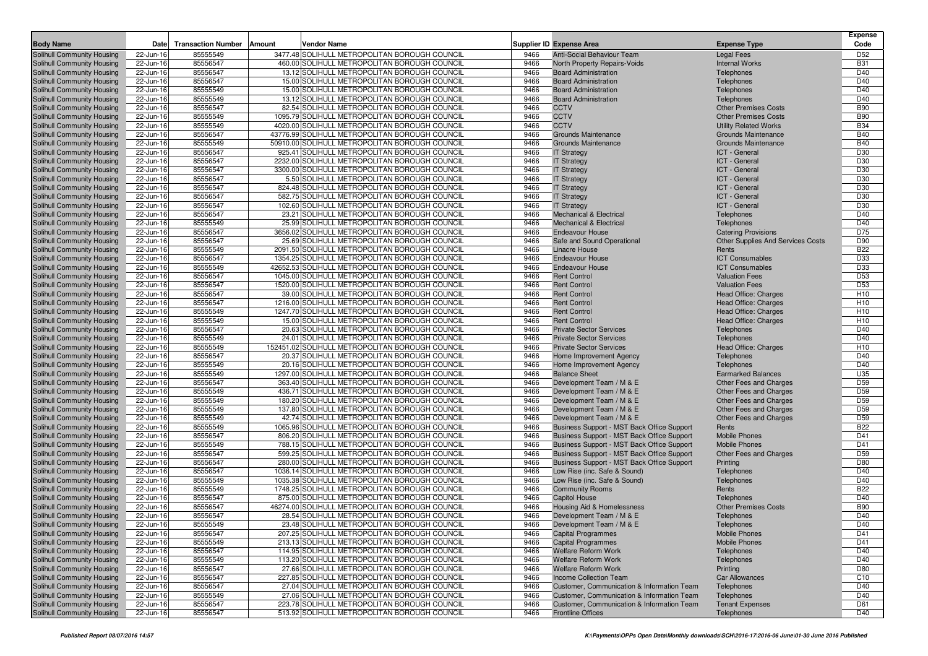| <b>Body Name</b>                                         | Date                   | <b>Transaction Number</b> | Amount | Vendor Name                                                                                    |              | <b>Supplier ID Expense Area</b>                                                          | <b>Expense Type</b>                              | <b>Expense</b><br>Code             |
|----------------------------------------------------------|------------------------|---------------------------|--------|------------------------------------------------------------------------------------------------|--------------|------------------------------------------------------------------------------------------|--------------------------------------------------|------------------------------------|
| <b>Solihull Community Housing</b>                        | 22-Jun-16              | 85555549                  |        | 3477.48 SOLIHULL METROPOLITAN BOROUGH COUNCIL                                                  | 9466         | Anti-Social Behaviour Team                                                               | <b>Legal Fees</b>                                | D <sub>52</sub>                    |
| Solihull Community Housing                               | 22-Jun-16              | 85556547                  |        | 460.00 SOLIHULL METROPOLITAN BOROUGH COUNCIL                                                   | 9466         | North Property Repairs-Voids                                                             | <b>Internal Works</b>                            | <b>B31</b>                         |
| Solihull Community Housing                               | 22-Jun-16              | 85556547                  |        | 13.12 SOLIHULL METROPOLITAN BOROUGH COUNCIL                                                    | 9466         | <b>Board Administration</b>                                                              | Telephones                                       | D40                                |
| Solihull Community Housing                               | 22-Jun-16              | 85556547                  |        | 15.00 SOLIHULL METROPOLITAN BOROUGH COUNCIL                                                    | 9466         | <b>Board Administration</b>                                                              | Telephones                                       | D40                                |
| Solihull Community Housing                               | 22-Jun-16              | 85555549                  |        | 15.00 SOLIHULL METROPOLITAN BOROUGH COUNCIL                                                    | 9466         | <b>Board Administration</b>                                                              | Telephones                                       | D40                                |
| Solihull Community Housing                               | 22-Jun-16              | 85555549                  |        | 13.12 SOLIHULL METROPOLITAN BOROUGH COUNCIL                                                    | 9466         | <b>Board Administration</b>                                                              | Telephones                                       | D40                                |
| Solihull Community Housing                               | 22-Jun-16              | 85556547                  |        | 82.54 SOLIHULL METROPOLITAN BOROUGH COUNCIL                                                    | 9466         | <b>CCTV</b>                                                                              | <b>Other Premises Costs</b>                      | <b>B90</b>                         |
| Solihull Community Housing                               | 22-Jun-16              | 85555549                  |        | 1095.79 SOLIHULL METROPOLITAN BOROUGH COUNCIL                                                  | 9466         | <b>CCTV</b>                                                                              | <b>Other Premises Costs</b>                      | <b>B90</b>                         |
| Solihull Community Housing                               | 22-Jun-16              | 85555549                  |        | 4020.00 SOLIHULL METROPOLITAN BOROUGH COUNCIL                                                  | 9466         | <b>CCTV</b>                                                                              | <b>Utility Related Works</b>                     | <b>B34</b>                         |
| Solihull Community Housing                               | 22-Jun-16              | 85556547                  |        | 43776.99 SOLIHULL METROPOLITAN BOROUGH COUNCIL                                                 | 9466         | <b>Grounds Maintenance</b>                                                               | <b>Grounds Maintenance</b>                       | <b>B40</b>                         |
| Solihull Community Housing                               | 22-Jun-16              | 85555549                  |        | 50910.00 SOLIHULL METROPOLITAN BOROUGH COUNCIL                                                 | 9466         | <b>Grounds Maintenance</b>                                                               | <b>Grounds Maintenance</b>                       | <b>B40</b>                         |
| Solihull Community Housing                               | 22-Jun-16              | 85556547                  |        | 925.41 SOLIHULL METROPOLITAN BOROUGH COUNCIL                                                   | 9466         | <b>IT Strategy</b>                                                                       | ICT - General                                    | D30                                |
| Solihull Community Housing                               | 22-Jun-16              | 85556547                  |        | 2232.00 SOLIHULL METROPOLITAN BOROUGH COUNCIL<br>3300.00 SOLIHULL METROPOLITAN BOROUGH COUNCIL | 9466<br>9466 | <b>IT Strategy</b>                                                                       | ICT - General                                    | D30                                |
| Solihull Community Housing                               | 22-Jun-16              | 85556547                  |        | 5.50 SOLIHULL METROPOLITAN BOROUGH COUNCIL                                                     |              | <b>IT Strategy</b>                                                                       | ICT - General<br>ICT - General                   | D30                                |
| Solihull Community Housing<br>Solihull Community Housing | 22-Jun-16<br>22-Jun-16 | 85556547<br>85556547      |        | 824.48 SOLIHULL METROPOLITAN BOROUGH COUNCIL                                                   | 9466<br>9466 | <b>IT Strategy</b><br><b>IT Strategy</b>                                                 | ICT - General                                    | D30<br>D30                         |
| Solihull Community Housing                               | 22-Jun-16              | 85556547                  |        | 582.75 SOLIHULL METROPOLITAN BOROUGH COUNCIL                                                   | 9466         | <b>IT Strategy</b>                                                                       | ICT - General                                    | D30                                |
| Solihull Community Housing                               | 22-Jun-16              | 85556547                  |        | 102.60 SOLIHULL METROPOLITAN BOROUGH COUNCIL                                                   | 9466         | <b>IT Strategy</b>                                                                       | ICT - General                                    | D30                                |
| Solihull Community Housing                               | 22-Jun-16              | 85556547                  |        | 23.21 SOLIHULL METROPOLITAN BOROUGH COUNCIL                                                    | 9466         | <b>Mechanical &amp; Electrical</b>                                                       | Telephones                                       | D40                                |
| Solihull Community Housing                               | 22-Jun-16              | 85555549                  |        | 25.99 SOLIHULL METROPOLITAN BOROUGH COUNCIL                                                    | 9466         | <b>Mechanical &amp; Electrical</b>                                                       | Telephones                                       | D40                                |
| Solihull Community Housing                               | 22-Jun-16              | 85556547                  |        | 3656.02 SOLIHULL METROPOLITAN BOROUGH COUNCIL                                                  | 9466         | <b>Endeavour House</b>                                                                   | <b>Catering Provisions</b>                       | D75                                |
| Solihull Community Housing                               | 22-Jun-16              | 85556547                  |        | 25.69 SOLIHULL METROPOLITAN BOROUGH COUNCIL                                                    | 9466         | Safe and Sound Operational                                                               | <b>Other Supplies And Services Costs</b>         | D90                                |
| Solihull Community Housing                               | 22-Jun-16              | 85555549                  |        | 2091.50 SOLIHULL METROPOLITAN BOROUGH COUNCIL                                                  | 9466         | <b>Linacre House</b>                                                                     | Rents                                            | <b>B22</b>                         |
| Solihull Community Housing                               | 22-Jun-16              | 85556547                  |        | 1354.25 SOLIHULL METROPOLITAN BOROUGH COUNCIL                                                  | 9466         | <b>Endeavour House</b>                                                                   | <b>ICT Consumables</b>                           | D33                                |
| Solihull Community Housing                               | 22-Jun-16              | 85555549                  |        | 42652.53 SOLIHULL METROPOLITAN BOROUGH COUNCIL                                                 | 9466         | <b>Endeavour House</b>                                                                   | <b>ICT Consumables</b>                           | D33                                |
| Solihull Community Housing                               | 22-Jun-16              | 85556547                  |        | 1045.00 SOLIHULL METROPOLITAN BOROUGH COUNCIL                                                  | 9466         | <b>Rent Control</b>                                                                      | <b>Valuation Fees</b>                            | D <sub>53</sub>                    |
| Solihull Community Housing                               | 22-Jun-16              | 85556547                  |        | 1520.00 SOLIHULL METROPOLITAN BOROUGH COUNCIL                                                  | 9466         | <b>Rent Control</b>                                                                      | <b>Valuation Fees</b>                            | D <sub>53</sub>                    |
| Solihull Community Housing                               | 22-Jun-16              | 85556547                  |        | 39.00 SOLIHULL METROPOLITAN BOROUGH COUNCIL                                                    | 9466         | <b>Rent Control</b>                                                                      | Head Office: Charges                             | H <sub>10</sub>                    |
| Solihull Community Housing                               | 22-Jun-16              | 85556547                  |        | 1216.00 SOLIHULL METROPOLITAN BOROUGH COUNCIL                                                  | 9466         | <b>Rent Control</b>                                                                      | Head Office: Charges                             | H <sub>10</sub>                    |
| Solihull Community Housing                               | 22-Jun-16              | 85555549                  |        | 1247.70 SOLIHULL METROPOLITAN BOROUGH COUNCIL                                                  | 9466         | <b>Rent Control</b>                                                                      | <b>Head Office: Charges</b>                      | H <sub>10</sub>                    |
| Solihull Community Housing                               | 22-Jun-16              | 85555549                  |        | 15.00 SOLIHULL METROPOLITAN BOROUGH COUNCIL                                                    | 9466         | <b>Rent Control</b>                                                                      | <b>Head Office: Charges</b>                      | H <sub>10</sub>                    |
| Solihull Community Housing                               | 22-Jun-16              | 85556547                  |        | 20.63 SOLIHULL METROPOLITAN BOROUGH COUNCIL                                                    | 9466         | <b>Private Sector Services</b>                                                           | Telephones                                       | D40                                |
| Solihull Community Housing                               | 22-Jun-16              | 85555549                  |        | 24.01 SOLIHULL METROPOLITAN BOROUGH COUNCIL                                                    | 9466         | <b>Private Sector Services</b>                                                           | Telephones                                       | D40                                |
| Solihull Community Housing                               | 22-Jun-16              | 85555549                  |        | 152451.02 SOLIHULL METROPOLITAN BOROUGH COUNCIL                                                | 9466         | <b>Private Sector Services</b>                                                           | <b>Head Office: Charges</b>                      | H <sub>10</sub>                    |
| Solihull Community Housing                               | 22-Jun-16              | 85556547                  |        | 20.37 SOLIHULL METROPOLITAN BOROUGH COUNCIL                                                    | 9466         | Home Improvement Agency                                                                  | Telephones                                       | D40                                |
| Solihull Community Housing                               | 22-Jun-16              | 85555549                  |        | 20.16 SOLIHULL METROPOLITAN BOROUGH COUNCIL                                                    | 9466         | Home Improvement Agency                                                                  | Telephones                                       | D40                                |
| Solihull Community Housing                               | 22-Jun-16              | 85555549                  |        | 1297.00 SOLIHULL METROPOLITAN BOROUGH COUNCIL                                                  | 9466         | <b>Balance Sheet</b>                                                                     | <b>Earmarked Balances</b>                        | U35                                |
| Solihull Community Housing<br>Solihull Community Housing | 22-Jun-16<br>22-Jun-16 | 85556547<br>85555549      |        | 363.40 SOLIHULL METROPOLITAN BOROUGH COUNCIL<br>436.71 SOLIHULL METROPOLITAN BOROUGH COUNCIL   | 9466<br>9466 | Development Team / M & E<br>Development Team / M & E                                     | Other Fees and Charges<br>Other Fees and Charges | D <sub>59</sub><br>D <sub>59</sub> |
| Solihull Community Housing                               | 22-Jun-16              | 85555549                  |        | 180.20 SOLIHULL METROPOLITAN BOROUGH COUNCIL                                                   | 9466         | Development Team / M & E                                                                 | Other Fees and Charges                           | D <sub>59</sub>                    |
| Solihull Community Housing                               | 22-Jun-16              | 85555549                  |        | 137.80 SOLIHULL METROPOLITAN BOROUGH COUNCIL                                                   | 9466         | Development Team / M & E                                                                 | Other Fees and Charges                           | D <sub>59</sub>                    |
| Solihull Community Housing                               | 22-Jun-16              | 85555549                  |        | 42.74 SOLIHULL METROPOLITAN BOROUGH COUNCIL                                                    | 9466         | Development Team / M & E                                                                 | Other Fees and Charges                           | D <sub>59</sub>                    |
| Solihull Community Housing                               | 22-Jun-16              | 85555549                  |        | 1065.96 SOLIHULL METROPOLITAN BOROUGH COUNCIL                                                  | 9466         | Business Support - MST Back Office Support                                               | Rents                                            | <b>B22</b>                         |
| Solihull Community Housing                               | 22-Jun-16              | 85556547                  |        | 806.20 SOLIHULL METROPOLITAN BOROUGH COUNCIL                                                   | 9466         | Business Support - MST Back Office Support                                               | <b>Mobile Phones</b>                             | D41                                |
| Solihull Community Housing                               | 22-Jun-16              | 85555549                  |        | 788.15 SOLIHULL METROPOLITAN BOROUGH COUNCIL                                                   | 9466         | Business Support - MST Back Office Support                                               | <b>Mobile Phones</b>                             | D41                                |
| Solihull Community Housing                               | 22-Jun-16              | 85556547                  |        | 599.25 SOLIHULL METROPOLITAN BOROUGH COUNCIL                                                   | 9466         | Business Support - MST Back Office Support                                               | Other Fees and Charges                           | D <sub>59</sub>                    |
| Solihull Community Housing                               | 22-Jun-16              | 85556547                  |        | 280.00 SOLIHULL METROPOLITAN BOROUGH COUNCIL                                                   | 9466         | Business Support - MST Back Office Support                                               | Printing                                         | D80                                |
| Solihull Community Housing                               | 22-Jun-16              | 85556547                  |        | 1036.14 SOLIHULL METROPOLITAN BOROUGH COUNCIL                                                  | 9466         | Low Rise (inc. Safe & Sound)                                                             | Telephones                                       | D40                                |
| Solihull Community Housing                               | 22-Jun-16              | 85555549                  |        | 1035.38 SOLIHULL METROPOLITAN BOROUGH COUNCIL                                                  | 9466         | Low Rise (inc. Safe & Sound)                                                             | Telephones                                       | D40                                |
| Solihull Community Housing                               | 22-Jun-16              | 85555549                  |        | 1748.25 SOLIHULL METROPOLITAN BOROUGH COUNCIL                                                  | 9466         | <b>Community Rooms</b>                                                                   | Rents                                            | <b>B22</b>                         |
| Solihull Community Housing                               | 22-Jun-16              | 85556547                  |        | 875.00 SOLIHULL METROPOLITAN BOROUGH COUNCIL                                                   | 9466         | <b>Capitol House</b>                                                                     | Telephones                                       | D40                                |
| Solihull Community Housing                               | 22-Jun-16              | 85556547                  |        | 46274.00 SOLIHULL METROPOLITAN BOROUGH COUNCIL                                                 | 9466         | Housing Aid & Homelessness                                                               | <b>Other Premises Costs</b>                      | <b>B90</b>                         |
| Solihull Community Housing                               | 22-Jun-16              | 85556547                  |        | 28.54 SOLIHULL METROPOLITAN BOROUGH COUNCIL                                                    | 9466         | Development Team / M & E                                                                 | Telephones                                       | D40                                |
| Solihull Community Housing                               | 22-Jun-16              | 85555549                  |        | 23.48 SOLIHULL METROPOLITAN BOROUGH COUNCIL                                                    | 9466         | Development Team / M & E                                                                 | Telephones                                       | D40                                |
| Solihull Community Housing                               | 22-Jun-16              | 85556547                  |        | 207.25 SOLIHULL METROPOLITAN BOROUGH COUNCIL                                                   | 9466         | <b>Capital Programmes</b>                                                                | <b>Mobile Phones</b>                             | D41                                |
| Solihull Community Housing                               | 22-Jun-16              | 85555549                  |        | 213.13 SOLIHULL METROPOLITAN BOROUGH COUNCIL                                                   | 9466         | <b>Capital Programmes</b>                                                                | <b>Mobile Phones</b>                             | D41                                |
| Solihull Community Housing                               | 22-Jun-16              | 85556547                  |        | 114.95 SOLIHULL METROPOLITAN BOROUGH COUNCIL                                                   | 9466         | <b>Welfare Reform Work</b>                                                               | Telephones                                       | D40                                |
| Solihull Community Housing                               | 22-Jun-16              | 85555549                  |        | 113.20 SOLIHULL METROPOLITAN BOROUGH COUNCIL                                                   | 9466         | <b>Welfare Reform Work</b>                                                               | Telephones                                       | D40                                |
| Solihull Community Housing                               | 22-Jun-16              | 85556547                  |        | 27.66 SOLIHULL METROPOLITAN BOROUGH COUNCIL                                                    | 9466         | Welfare Reform Work                                                                      | Printing                                         | D80                                |
| Solihull Community Housing                               | 22-Jun-16              | 85556547                  |        | 227.85 SOLIHULL METROPOLITAN BOROUGH COUNCIL                                                   | 9466         | Income Collection Team                                                                   | <b>Car Allowances</b>                            | C <sub>10</sub>                    |
| Solihull Community Housing                               | 22-Jun-16              | 85556547                  |        | 27.04 SOLIHULL METROPOLITAN BOROUGH COUNCIL                                                    | 9466         | Customer, Communication & Information Team                                               | Telephones                                       | D40                                |
| Solihull Community Housing<br>Solihull Community Housing | 22-Jun-16              | 85555549<br>85556547      |        | 27.06 SOLIHULL METROPOLITAN BOROUGH COUNCIL<br>223.78 SOLIHULL METROPOLITAN BOROUGH COUNCIL    | 9466<br>9466 | Customer, Communication & Information Team<br>Customer, Communication & Information Team | Telephones<br><b>Tenant Expenses</b>             | D40<br>D61                         |
| Solihull Community Housing                               | 22-Jun-16<br>22-Jun-16 | 85556547                  |        | 513.92 SOLIHULL METROPOLITAN BOROUGH COUNCIL                                                   | 9466         | <b>Frontline Offices</b>                                                                 |                                                  | D40                                |
|                                                          |                        |                           |        |                                                                                                |              |                                                                                          | Telephones                                       |                                    |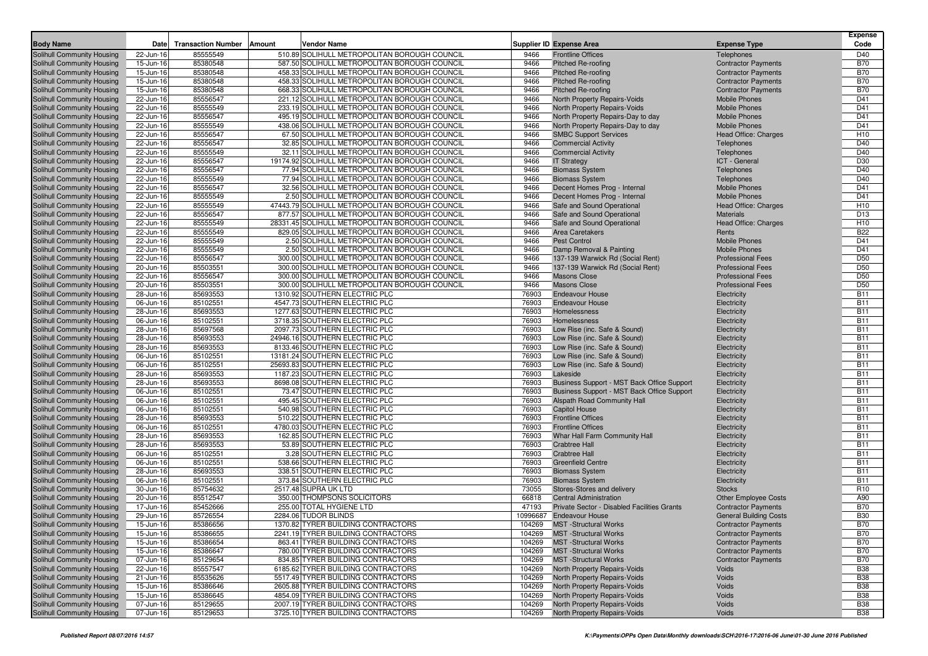| <b>Body Name</b>                                         | Date                   | <b>Transaction Number</b> | Amount | Vendor Name                                                                                  |                | <b>Supplier ID Expense Area</b>                                      | <b>Expense Type</b>                              | <b>Expense</b><br>Code   |
|----------------------------------------------------------|------------------------|---------------------------|--------|----------------------------------------------------------------------------------------------|----------------|----------------------------------------------------------------------|--------------------------------------------------|--------------------------|
|                                                          |                        | 85555549                  |        | 510.89 SOLIHULL METROPOLITAN BOROUGH COUNCIL                                                 |                |                                                                      |                                                  |                          |
| Solihull Community Housing<br>Solihull Community Housing | 22-Jun-16<br>15-Jun-16 | 85380548                  |        | 587.50 SOLIHULL METROPOLITAN BOROUGH COUNCIL                                                 | 9466<br>9466   | <b>Frontline Offices</b><br>Pitched Re-roofing                       | Telephones<br><b>Contractor Payments</b>         | D40<br><b>B70</b>        |
| Solihull Community Housing                               | 15-Jun-16              | 85380548                  |        | 458.33 SOLIHULL METROPOLITAN BOROUGH COUNCIL                                                 | 9466           | Pitched Re-roofing                                                   | <b>Contractor Payments</b>                       | <b>B70</b>               |
| Solihull Community Housing                               | 15-Jun-16              | 85380548                  |        | 458.33 SOLIHULL METROPOLITAN BOROUGH COUNCIL                                                 | 9466           | Pitched Re-roofing                                                   | <b>Contractor Payments</b>                       | <b>B70</b>               |
| Solihull Community Housing                               | 15-Jun-16              | 85380548                  |        | 668.33 SOLIHULL METROPOLITAN BOROUGH COUNCIL                                                 | 9466           | Pitched Re-roofing                                                   | <b>Contractor Payments</b>                       | <b>B70</b>               |
| Solihull Community Housing                               | 22-Jun-16              | 85556547                  |        | 221.12 SOLIHULL METROPOLITAN BOROUGH COUNCIL                                                 | 9466           | North Property Repairs-Voids                                         | <b>Mobile Phones</b>                             | D41                      |
| Solihull Community Housing                               | 22-Jun-16              | 85555549                  |        | 233.19 SOLIHULL METROPOLITAN BOROUGH COUNCIL                                                 | 9466           | North Property Repairs-Voids                                         | <b>Mobile Phones</b>                             | D41                      |
| Solihull Community Housing                               | 22-Jun-16              | 85556547                  |        | 495.19 SOLIHULL METROPOLITAN BOROUGH COUNCIL                                                 | 9466           | North Property Repairs-Day to day                                    | <b>Mobile Phones</b>                             | D41                      |
| Solihull Community Housing                               | 22-Jun-16              | 85555549                  |        | 438.06 SOLIHULL METROPOLITAN BOROUGH COUNCIL                                                 | 9466           | North Property Repairs-Day to day                                    | <b>Mobile Phones</b>                             | D41                      |
| Solihull Community Housing                               | 22-Jun-16              | 85556547                  |        | 67.50 SOLIHULL METROPOLITAN BOROUGH COUNCIL                                                  | 9466           | <b>SMBC Support Services</b>                                         | <b>Head Office: Charges</b>                      | H <sub>10</sub>          |
| Solihull Community Housing                               | 22-Jun-16              | 85556547                  |        | 32.85 SOLIHULL METROPOLITAN BOROUGH COUNCIL                                                  | 9466           | <b>Commercial Activity</b>                                           | Telephones                                       | D40                      |
| Solihull Community Housing                               | 22-Jun-16              | 85555549                  |        | 32.11 SOLIHULL METROPOLITAN BOROUGH COUNCIL                                                  | 9466           | <b>Commercial Activity</b>                                           | Telephones                                       | D40                      |
| Solihull Community Housing                               | 22-Jun-16              | 85556547                  |        | 19174.92 SOLIHULL METROPOLITAN BOROUGH COUNCIL                                               | 9466           | <b>IT Strategy</b>                                                   | ICT - General                                    | D30                      |
| Solihull Community Housing                               | 22-Jun-16              | 85556547                  |        | 77.94 SOLIHULL METROPOLITAN BOROUGH COUNCIL                                                  | 9466           | <b>Biomass System</b>                                                | Telephones                                       | D40                      |
| Solihull Community Housing                               | 22-Jun-16              | 85555549                  |        | 77.94 SOLIHULL METROPOLITAN BOROUGH COUNCIL                                                  | 9466           | <b>Biomass System</b>                                                | Telephones                                       | D40                      |
| Solihull Community Housing                               | 22-Jun-16              | 85556547                  |        | 32.56 SOLIHULL METROPOLITAN BOROUGH COUNCIL                                                  | 9466           | Decent Homes Prog - Internal                                         | <b>Mobile Phones</b>                             | D41                      |
| Solihull Community Housing                               | 22-Jun-16              | 85555549                  |        | 2.50 SOLIHULL METROPOLITAN BOROUGH COUNCIL                                                   | 9466           | Decent Homes Prog - Internal                                         | <b>Mobile Phones</b>                             | D41                      |
| Solihull Community Housing                               | 22-Jun-16              | 85555549                  |        | 47443.79 SOLIHULL METROPOLITAN BOROUGH COUNCIL                                               | 9466           | Safe and Sound Operational                                           | Head Office: Charges                             | H <sub>10</sub>          |
| Solihull Community Housing                               | 22-Jun-16              | 85556547                  |        | 877.57 SOLIHULL METROPOLITAN BOROUGH COUNCIL                                                 | 9466           | Safe and Sound Operational                                           | <b>Materials</b>                                 | D <sub>13</sub>          |
| Solihull Community Housing                               | 22-Jun-16              | 85555549                  |        | 28331.45 SOLIHULL METROPOLITAN BOROUGH COUNCIL                                               | 9466           | Safe and Sound Operational                                           | Head Office: Charges                             | H <sub>10</sub>          |
| Solihull Community Housing                               | 22-Jun-16              | 85555549                  |        | 829.05 SOLIHULL METROPOLITAN BOROUGH COUNCIL                                                 | 9466           | <b>Area Caretakers</b>                                               | Rents                                            | <b>B22</b>               |
| Solihull Community Housing                               | 22-Jun-16              | 85555549                  |        | 2.50 SOLIHULL METROPOLITAN BOROUGH COUNCIL                                                   | 9466           | <b>Pest Control</b>                                                  | <b>Mobile Phones</b>                             | D41                      |
| Solihull Community Housing                               | 22-Jun-16              | 85555549<br>85556547      |        | 2.50 SOLIHULL METROPOLITAN BOROUGH COUNCIL                                                   | 9466           | Damp Removal & Painting                                              | <b>Mobile Phones</b><br><b>Professional Fees</b> | D41<br>D <sub>50</sub>   |
| Solihull Community Housing<br>Solihull Community Housing | 22-Jun-16<br>20-Jun-16 | 85503551                  |        | 300.00 SOLIHULL METROPOLITAN BOROUGH COUNCIL<br>300.00 SOLIHULL METROPOLITAN BOROUGH COUNCIL | 9466<br>9466   | 137-139 Warwick Rd (Social Rent)<br>137-139 Warwick Rd (Social Rent) | <b>Professional Fees</b>                         | D <sub>50</sub>          |
| Solihull Community Housing                               | 22-Jun-16              | 85556547                  |        | 300.00 SOLIHULL METROPOLITAN BOROUGH COUNCIL                                                 | 9466           | <b>Masons Close</b>                                                  | <b>Professional Fees</b>                         | D <sub>50</sub>          |
| Solihull Community Housing                               | 20-Jun-16              | 85503551                  |        | 300.00 SOLIHULL METROPOLITAN BOROUGH COUNCIL                                                 | 9466           | <b>Masons Close</b>                                                  | <b>Professional Fees</b>                         | D <sub>50</sub>          |
| Solihull Community Housing                               | 28-Jun-16              | 85693553                  |        | 1310.92 SOUTHERN ELECTRIC PLC                                                                | 76903          | <b>Endeavour House</b>                                               | Electricity                                      | <b>B11</b>               |
| Solihull Community Housing                               | 06-Jun-16              | 85102551                  |        | 4547.73 SOUTHERN ELECTRIC PLC                                                                | 76903          | <b>Endeavour House</b>                                               | Electricity                                      | <b>B11</b>               |
| Solihull Community Housing                               | 28-Jun-16              | 85693553                  |        | 1277.63 SOUTHERN ELECTRIC PLC                                                                | 76903          | Homelessness                                                         | Electricity                                      | <b>B11</b>               |
| Solihull Community Housing                               | 06-Jun-16              | 85102551                  |        | 3718.35 SOUTHERN ELECTRIC PLC                                                                | 76903          | Homelessness                                                         | Electricity                                      | <b>B11</b>               |
| Solihull Community Housing                               | 28-Jun-16              | 85697568                  |        | 2097.73 SOUTHERN ELECTRIC PLC                                                                | 76903          | Low Rise (inc. Safe & Sound)                                         | Electricity                                      | <b>B11</b>               |
| Solihull Community Housing                               | 28-Jun-16              | 85693553                  |        | 24946.16 SOUTHERN ELECTRIC PLC                                                               | 76903          | Low Rise (inc. Safe & Sound)                                         | Electricity                                      | <b>B11</b>               |
| Solihull Community Housing                               | 28-Jun-16              | 85693553                  |        | 8133.46 SOUTHERN ELECTRIC PLC                                                                | 76903          | Low Rise (inc. Safe & Sound)                                         | Electricity                                      | <b>B11</b>               |
| Solihull Community Housing                               | 06-Jun-16              | 85102551                  |        | 13181.24 SOUTHERN ELECTRIC PLC                                                               | 76903          | Low Rise (inc. Safe & Sound)                                         | Electricity                                      | <b>B11</b>               |
| Solihull Community Housing                               | 06-Jun-16              | 85102551                  |        | 25693.83 SOUTHERN ELECTRIC PLC                                                               | 76903          | Low Rise (inc. Safe & Sound)                                         | Electricity                                      | <b>B11</b>               |
| Solihull Community Housing                               | 28-Jun-16              | 85693553                  |        | 1187.23 SOUTHERN ELECTRIC PLC                                                                | 76903          | Lakeside                                                             | Electricity                                      | <b>B11</b>               |
| Solihull Community Housing                               | 28-Jun-16              | 85693553                  |        | 8698.08 SOUTHERN ELECTRIC PLC                                                                | 76903          | Business Support - MST Back Office Support                           | Electricity                                      | <b>B11</b>               |
| Solihull Community Housing                               | 06-Jun-16              | 85102551                  |        | 73.47 SOUTHERN ELECTRIC PLC                                                                  | 76903          | Business Support - MST Back Office Support                           | Electricity                                      | <b>B11</b>               |
| Solihull Community Housing                               | 06-Jun-16              | 85102551                  |        | 495.45 SOUTHERN ELECTRIC PLC                                                                 | 76903          | Alspath Road Community Hall                                          | Electricity                                      | <b>B11</b>               |
| Solihull Community Housing                               | 06-Jun-16              | 85102551                  |        | 540.98 SOUTHERN ELECTRIC PLC                                                                 | 76903          | <b>Capitol House</b>                                                 | Electricity                                      | <b>B11</b>               |
| Solihull Community Housing                               | 28-Jun-16              | 85693553                  |        | 510.22 SOUTHERN ELECTRIC PLC                                                                 | 76903          | <b>Frontline Offices</b>                                             | Electricity                                      | <b>B11</b>               |
| Solihull Community Housing                               | 06-Jun-16              | 85102551                  |        | 4780.03 SOUTHERN ELECTRIC PLC                                                                | 76903          | <b>Frontline Offices</b>                                             | Electricity                                      | <b>B11</b>               |
| Solihull Community Housing                               | 28-Jun-16              | 85693553                  |        | 162.85 SOUTHERN ELECTRIC PLC                                                                 | 76903          | Whar Hall Farm Community Hall                                        | Electricity                                      | <b>B11</b>               |
| Solihull Community Housing                               | 28-Jun-16              | 85693553                  |        | 53.89 SOUTHERN ELECTRIC PLC                                                                  | 76903          | <b>Crabtree Hall</b>                                                 | Electricity                                      | <b>B11</b>               |
| Solihull Community Housing                               | 06-Jun-16              | 85102551                  |        | 3.28 SOUTHERN ELECTRIC PLC                                                                   | 76903          | <b>Crabtree Hall</b>                                                 | Electricity                                      | <b>B11</b>               |
| Solihull Community Housing<br>Solihull Community Housing | 06-Jun-16<br>28-Jun-16 | 85102551<br>85693553      |        | 538.66 SOUTHERN ELECTRIC PLC<br>338.51 SOUTHERN ELECTRIC PLC                                 | 76903<br>76903 | <b>Greenfield Centre</b><br><b>Biomass System</b>                    | Electricity<br>Electricity                       | <b>B11</b><br><b>B11</b> |
| Solihull Community Housing                               | 06-Jun-16              | 85102551                  |        | 373.84 SOUTHERN ELECTRIC PLC                                                                 | 76903          | <b>Biomass System</b>                                                | Electricity                                      | <b>B11</b>               |
| Solihull Community Housing                               | 30-Jun-16              | 85754632                  |        | 2517.48 SUPRA UK LTD                                                                         | 73055          | Stores-Stores and delivery                                           | <b>Stocks</b>                                    | R <sub>10</sub>          |
| Solihull Community Housing                               | 20-Jun-16              | 85512547                  |        | 350.00 THOMPSONS SOLICITORS                                                                  | 66818          | <b>Central Administration</b>                                        | <b>Other Employee Costs</b>                      | A90                      |
| Solihull Community Housing                               | 17-Jun-16              | 85452666                  |        | 255.00 TOTAL HYGIENE LTD                                                                     | 47193          | Private Sector - Disabled Facilities Grants                          | <b>Contractor Payments</b>                       | <b>B70</b>               |
| Solihull Community Housing                               | 29-Jun-16              | 85726554                  |        | 2284.06 TUDOR BLINDS                                                                         |                | 10996687 Endeavour House                                             | <b>General Building Costs</b>                    | <b>B30</b>               |
| Solihull Community Housing                               | $15 - Jun-16$          | 85386656                  |        | 1370.82 TYRER BUILDING CONTRACTORS                                                           |                | 104269 MST - Structural Works                                        | <b>Contractor Payments</b>                       | <b>B70</b>               |
| Solihull Community Housing                               | 15-Jun-16              | 85386655                  |        | 2241.19 TYRER BUILDING CONTRACTORS                                                           | 104269         | <b>MST</b> - Structural Works                                        | <b>Contractor Payments</b>                       | <b>B70</b>               |
| Solihull Community Housing                               | 15-Jun-16              | 85386654                  |        | 863.41 TYRER BUILDING CONTRACTORS                                                            | 104269         | <b>MST</b> - Structural Works                                        | <b>Contractor Payments</b>                       | <b>B70</b>               |
| Solihull Community Housing                               | 15-Jun-16              | 85386647                  |        | 780.00 TYRER BUILDING CONTRACTORS                                                            | 104269         | <b>MST</b> -Structural Works                                         | <b>Contractor Payments</b>                       | <b>B70</b>               |
| Solihull Community Housing                               | 07-Jun-16              | 85129654                  |        | 834.85 TYRER BUILDING CONTRACTORS                                                            | 104269         | <b>MST</b> -Structural Works                                         | <b>Contractor Payments</b>                       | <b>B70</b>               |
| Solihull Community Housing                               | 22-Jun-16              | 85557547                  |        | 6185.62 TYRER BUILDING CONTRACTORS                                                           | 104269         | <b>North Property Repairs-Voids</b>                                  | Voids                                            | <b>B38</b>               |
| Solihull Community Housing                               | 21-Jun-16              | 85535626                  |        | 5517.49 TYRER BUILDING CONTRACTORS                                                           | 104269         | North Property Repairs-Voids                                         | Voids                                            | <b>B38</b>               |
| Solihull Community Housing                               | 15-Jun-16              | 85386646                  |        | 2605.88 TYRER BUILDING CONTRACTORS                                                           | 104269         | North Property Repairs-Voids                                         | Voids                                            | <b>B38</b>               |
| Solihull Community Housing                               | 15-Jun-16              | 85386645                  |        | 4854.09 TYRER BUILDING CONTRACTORS                                                           | 104269         | North Property Repairs-Voids                                         | Voids                                            | <b>B38</b>               |
| Solihull Community Housing                               | 07-Jun-16              | 85129655                  |        | 2007.19 TYRER BUILDING CONTRACTORS                                                           | 104269         | North Property Repairs-Voids                                         | Voids                                            | <b>B38</b>               |
| Solihull Community Housing                               | 07-Jun-16              | 85129653                  |        | 3725.10 TYRER BUILDING CONTRACTORS                                                           | 104269         | North Property Repairs-Voids                                         | Voids                                            | <b>B38</b>               |